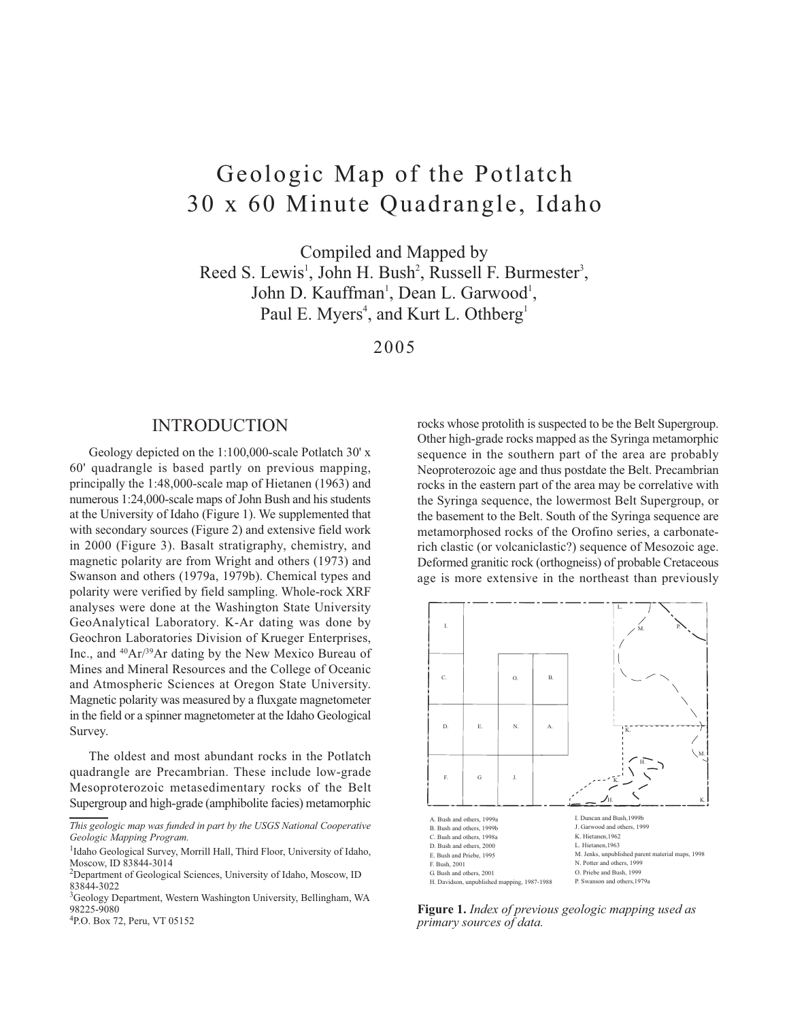# Geologic Map of the Potlatch 30 x 60 Minute Quadrangle, Idaho

Compiled and Mapped by Reed S. Lewis<sup>1</sup>, John H. Bush<sup>2</sup>, Russell F. Burmester<sup>3</sup>, John D. Kauffman<sup>1</sup>, Dean L. Garwood<sup>1</sup>, Paul E. Myers<sup>4</sup>, and Kurt L. Othberg<sup>1</sup>

2005

# **INTRODUCTION**

Geology depicted on the 1:100,000-scale Potlatch 30' x 60' quadrangle is based partly on previous mapping, principally the 1:48,000-scale map of Hietanen (1963) and numerous 1:24,000-scale maps of John Bush and his students at the University of Idaho (Figure 1). We supplemented that with secondary sources (Figure 2) and extensive field work in 2000 (Figure 3). Basalt stratigraphy, chemistry, and magnetic polarity are from Wright and others (1973) and Swanson and others (1979a, 1979b). Chemical types and polarity were verified by field sampling. Whole-rock XRF analyses were done at the Washington State University GeoAnalytical Laboratory. K-Ar dating was done by Geochron Laboratories Division of Krueger Enterprises, Inc., and <sup>40</sup>Ar/<sup>39</sup>Ar dating by the New Mexico Bureau of Mines and Mineral Resources and the College of Oceanic and Atmospheric Sciences at Oregon State University. Magnetic polarity was measured by a fluxgate magnetometer in the field or a spinner magnetometer at the Idaho Geological Survey.

The oldest and most abundant rocks in the Potlatch quadrangle are Precambrian. These include low-grade Mesoproterozoic metasedimentary rocks of the Belt Supergroup and high-grade (amphibolite facies) metamorphic rocks whose protolith is suspected to be the Belt Supergroup. Other high-grade rocks mapped as the Syringa metamorphic sequence in the southern part of the area are probably Neoproterozoic age and thus postdate the Belt. Precambrian rocks in the eastern part of the area may be correlative with the Syringa sequence, the lowermost Belt Supergroup, or the basement to the Belt. South of the Syringa sequence are metamorphosed rocks of the Orofino series, a carbonaterich clastic (or volcaniclastic?) sequence of Mesozoic age. Deformed granitic rock (orthogneiss) of probable Cretaceous age is more extensive in the northeast than previously



Figure 1. Index of previous geologic mapping used as primary sources of data.

This geologic map was funded in part by the USGS National Cooperative Geologic Mapping Program.

<sup>&</sup>lt;sup>1</sup>Idaho Geological Survey, Morrill Hall, Third Floor, University of Idaho, Moscow, ID 83844-3014

<sup>&</sup>lt;sup>2</sup>Department of Geological Sciences, University of Idaho, Moscow, ID 83844-3022

<sup>&</sup>lt;sup>3</sup>Geology Department, Western Washington University, Bellingham, WA 98225-9080

<sup>&</sup>lt;sup>4</sup>P.O. Box 72, Peru, VT 05152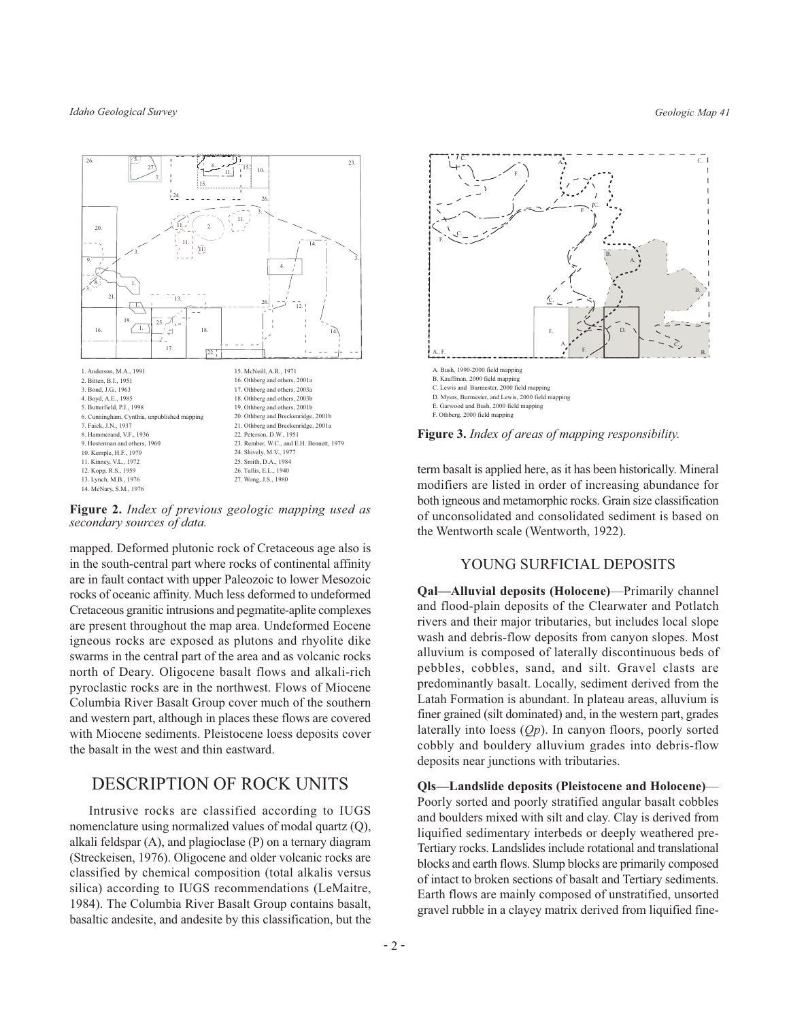Idaho Geological Survey

Geologic Map 41



Figure 2. Index of previous geologic mapping used as secondary sources of data.

mapped. Deformed plutonic rock of Cretaceous age also is in the south-central part where rocks of continental affinity are in fault contact with upper Paleozoic to lower Mesozoic rocks of oceanic affinity. Much less deformed to undeformed Cretaceous granitic intrusions and pegmatite-aplite complexes are present throughout the map area. Undeformed Eocene igneous rocks are exposed as plutons and rhyolite dike swarms in the central part of the area and as volcanic rocks north of Deary. Oligocene basalt flows and alkali-rich pyroclastic rocks are in the northwest. Flows of Miocene Columbia River Basalt Group cover much of the southern and western part, although in places these flows are covered with Miocene sediments. Pleistocene loess deposits cover the basalt in the west and thin eastward.

# **DESCRIPTION OF ROCK UNITS**

Intrusive rocks are classified according to IUGS nomenclature using normalized values of modal quartz (Q), alkali feldspar (A), and plagioclase (P) on a ternary diagram (Streckeisen, 1976). Oligocene and older volcanic rocks are classified by chemical composition (total alkalis versus silica) according to IUGS recommendations (LeMaitre, 1984). The Columbia River Basalt Group contains basalt, basaltic andesite, and andesite by this classification, but the



**Figure 3.** Index of areas of mapping responsibility.

term basalt is applied here, as it has been historically. Mineral modifiers are listed in order of increasing abundance for both igneous and metamorphic rocks. Grain size classification of unconsolidated and consolidated sediment is based on the Wentworth scale (Wentworth, 1922).

#### YOUNG SURFICIAL DEPOSITS

**Qal—Alluvial deposits (Holocene)—Primarily channel** and flood-plain deposits of the Clearwater and Potlatch rivers and their major tributaries, but includes local slope wash and debris-flow deposits from canyon slopes. Most alluvium is composed of laterally discontinuous beds of pebbles, cobbles, sand, and silt. Gravel clasts are predominantly basalt. Locally, sediment derived from the Latah Formation is abundant. In plateau areas, alluvium is finer grained (silt dominated) and, in the western part, grades laterally into loess  $(Qp)$ . In canyon floors, poorly sorted cobbly and bouldery alluvium grades into debris-flow deposits near junctions with tributaries.

Qls-Landslide deposits (Pleistocene and Holocene)-Poorly sorted and poorly stratified angular basalt cobbles and boulders mixed with silt and clay. Clay is derived from liquified sedimentary interbeds or deeply weathered pre-Tertiary rocks. Landslides include rotational and translational blocks and earth flows. Slump blocks are primarily composed of intact to broken sections of basalt and Tertiary sediments. Earth flows are mainly composed of unstratified, unsorted gravel rubble in a clayey matrix derived from liquified fine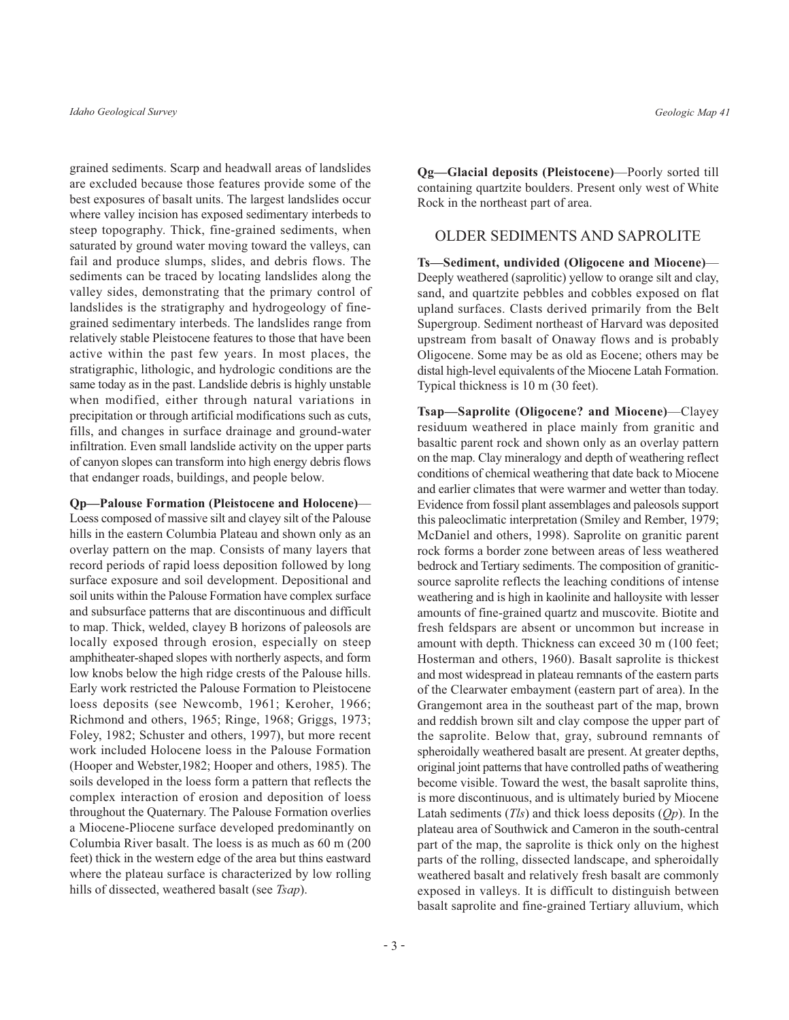grained sediments. Scarp and headwall areas of landslides are excluded because those features provide some of the best exposures of basalt units. The largest landslides occur where valley incision has exposed sedimentary interbeds to steep topography. Thick, fine-grained sediments, when saturated by ground water moving toward the valleys, can fail and produce slumps, slides, and debris flows. The sediments can be traced by locating landslides along the valley sides, demonstrating that the primary control of landslides is the stratigraphy and hydrogeology of finegrained sedimentary interbeds. The landslides range from relatively stable Pleistocene features to those that have been active within the past few years. In most places, the stratigraphic, lithologic, and hydrologic conditions are the same today as in the past. Landslide debris is highly unstable when modified, either through natural variations in precipitation or through artificial modifications such as cuts, fills, and changes in surface drainage and ground-water infiltration. Even small landslide activity on the upper parts of canyon slopes can transform into high energy debris flows that endanger roads, buildings, and people below.

Op-Palouse Formation (Pleistocene and Holocene)-Loess composed of massive silt and clayey silt of the Palouse hills in the eastern Columbia Plateau and shown only as an overlay pattern on the map. Consists of many layers that record periods of rapid loess deposition followed by long surface exposure and soil development. Depositional and soil units within the Palouse Formation have complex surface and subsurface patterns that are discontinuous and difficult to map. Thick, welded, clavey B horizons of paleosols are locally exposed through erosion, especially on steep amphitheater-shaped slopes with northerly aspects, and form low knobs below the high ridge crests of the Palouse hills. Early work restricted the Palouse Formation to Pleistocene loess deposits (see Newcomb, 1961; Keroher, 1966; Richmond and others, 1965; Ringe, 1968; Griggs, 1973; Foley, 1982; Schuster and others, 1997), but more recent work included Holocene loess in the Palouse Formation (Hooper and Webster, 1982; Hooper and others, 1985). The soils developed in the loess form a pattern that reflects the complex interaction of erosion and deposition of loess throughout the Quaternary. The Palouse Formation overlies a Miocene-Pliocene surface developed predominantly on Columbia River basalt. The loess is as much as 60 m (200) feet) thick in the western edge of the area but thins eastward where the plateau surface is characterized by low rolling hills of dissected, weathered basalt (see Tsap).

**Qg—Glacial deposits (Pleistocene)—Poorly sorted till** containing quartzite boulders. Present only west of White Rock in the northeast part of area.

#### **OLDER SEDIMENTS AND SAPROLITE**

Ts-Sediment, undivided (Oligocene and Miocene)-Deeply weathered (saprolitic) yellow to orange silt and clay, sand, and quartzite pebbles and cobbles exposed on flat upland surfaces. Clasts derived primarily from the Belt Supergroup. Sediment northeast of Harvard was deposited upstream from basalt of Onaway flows and is probably Oligocene. Some may be as old as Eocene; others may be distal high-level equivalents of the Miocene Latah Formation. Typical thickness is 10 m (30 feet).

Tsap-Saprolite (Oligocene? and Miocene)-Clayey residuum weathered in place mainly from granitic and basaltic parent rock and shown only as an overlay pattern on the map. Clay mineralogy and depth of weathering reflect conditions of chemical weathering that date back to Miocene and earlier climates that were warmer and wetter than today. Evidence from fossil plant assemblages and paleosols support this paleoclimatic interpretation (Smiley and Rember, 1979; McDaniel and others, 1998). Saprolite on granitic parent rock forms a border zone between areas of less weathered bedrock and Tertiary sediments. The composition of graniticsource saprolite reflects the leaching conditions of intense weathering and is high in kaolinite and halloysite with lesser amounts of fine-grained quartz and muscovite. Biotite and fresh feldspars are absent or uncommon but increase in amount with depth. Thickness can exceed 30 m (100 feet; Hosterman and others, 1960). Basalt saprolite is thickest and most widespread in plateau remnants of the eastern parts of the Clearwater embayment (eastern part of area). In the Grangemont area in the southeast part of the map, brown and reddish brown silt and clay compose the upper part of the saprolite. Below that, gray, subround remnants of spheroidally weathered basalt are present. At greater depths, original joint patterns that have controlled paths of weathering become visible. Toward the west, the basalt saprolite thins, is more discontinuous, and is ultimately buried by Miocene Latah sediments  $(Tls)$  and thick loess deposits  $(Qp)$ . In the plateau area of Southwick and Cameron in the south-central part of the map, the saprolite is thick only on the highest parts of the rolling, dissected landscape, and spheroidally weathered basalt and relatively fresh basalt are commonly exposed in valleys. It is difficult to distinguish between basalt saprolite and fine-grained Tertiary alluvium, which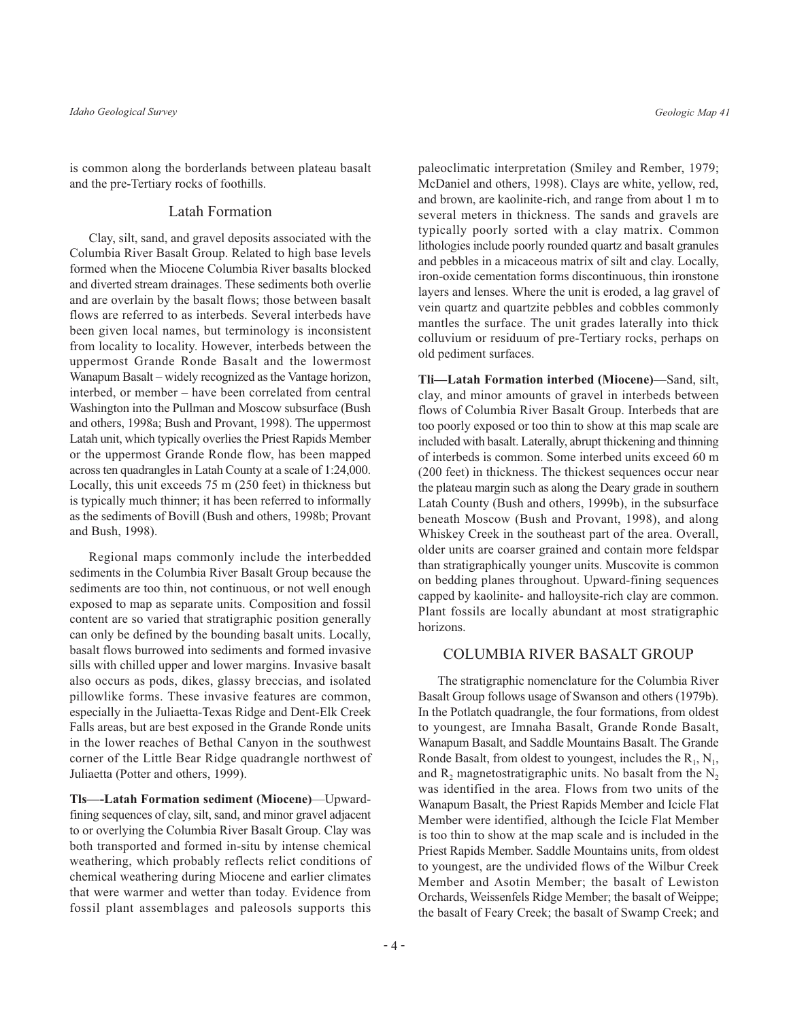is common along the borderlands between plateau basalt and the pre-Tertiary rocks of foothills.

#### **Latah Formation**

Clay, silt, sand, and gravel deposits associated with the Columbia River Basalt Group. Related to high base levels formed when the Miocene Columbia River basalts blocked and diverted stream drainages. These sediments both overlie and are overlain by the basalt flows; those between basalt flows are referred to as interbeds. Several interbeds have been given local names, but terminology is inconsistent from locality to locality. However, interbeds between the uppermost Grande Ronde Basalt and the lowermost Wanapum Basalt – widely recognized as the Vantage horizon, interbed, or member – have been correlated from central Washington into the Pullman and Moscow subsurface (Bush and others, 1998a; Bush and Provant, 1998). The uppermost Latah unit, which typically overlies the Priest Rapids Member or the uppermost Grande Ronde flow, has been mapped across ten quadrangles in Latah County at a scale of 1:24,000. Locally, this unit exceeds  $75 \text{ m}$  (250 feet) in thickness but is typically much thinner; it has been referred to informally as the sediments of Bovill (Bush and others, 1998b; Provant and Bush, 1998).

Regional maps commonly include the interbedded sediments in the Columbia River Basalt Group because the sediments are too thin, not continuous, or not well enough exposed to map as separate units. Composition and fossil content are so varied that stratigraphic position generally can only be defined by the bounding basalt units. Locally, basalt flows burrowed into sediments and formed invasive sills with chilled upper and lower margins. Invasive basalt also occurs as pods, dikes, glassy breccias, and isolated pillowlike forms. These invasive features are common, especially in the Juliaetta-Texas Ridge and Dent-Elk Creek Falls areas, but are best exposed in the Grande Ronde units in the lower reaches of Bethal Canyon in the southwest corner of the Little Bear Ridge quadrangle northwest of Juliaetta (Potter and others, 1999).

Tls--Latah Formation sediment (Miocene)-Upwardfining sequences of clay, silt, sand, and minor gravel adjacent to or overlying the Columbia River Basalt Group. Clay was both transported and formed in-situ by intense chemical weathering, which probably reflects relict conditions of chemical weathering during Miocene and earlier climates that were warmer and wetter than today. Evidence from fossil plant assemblages and paleosols supports this

paleoclimatic interpretation (Smiley and Rember, 1979; McDaniel and others, 1998). Clays are white, yellow, red, and brown, are kaolinite-rich, and range from about 1 m to several meters in thickness. The sands and gravels are typically poorly sorted with a clay matrix. Common lithologies include poorly rounded quartz and basalt granules and pebbles in a micaceous matrix of silt and clay. Locally, iron-oxide cementation forms discontinuous, thin ironstone layers and lenses. Where the unit is eroded, a lag gravel of vein quartz and quartzite pebbles and cobbles commonly mantles the surface. The unit grades laterally into thick colluvium or residuum of pre-Tertiary rocks, perhaps on old pediment surfaces.

Tli-Latah Formation interbed (Miocene)-Sand, silt, clay, and minor amounts of gravel in interbeds between flows of Columbia River Basalt Group. Interbeds that are too poorly exposed or too thin to show at this map scale are included with basalt. Laterally, abrupt thickening and thinning of interbeds is common. Some interbed units exceed 60 m (200 feet) in thickness. The thickest sequences occur near the plateau margin such as along the Deary grade in southern Latah County (Bush and others, 1999b), in the subsurface beneath Moscow (Bush and Provant, 1998), and along Whiskey Creek in the southeast part of the area. Overall, older units are coarser grained and contain more feldspar than stratigraphically younger units. Muscovite is common on bedding planes throughout. Upward-fining sequences capped by kaolinite- and halloysite-rich clay are common. Plant fossils are locally abundant at most stratigraphic horizons

#### **COLUMBIA RIVER BASALT GROUP**

The stratigraphic nomenclature for the Columbia River Basalt Group follows usage of Swanson and others (1979b). In the Potlatch quadrangle, the four formations, from oldest to youngest, are Imnaha Basalt, Grande Ronde Basalt, Wanapum Basalt, and Saddle Mountains Basalt. The Grande Ronde Basalt, from oldest to youngest, includes the  $R_1$ ,  $N_1$ , and  $R_2$  magnetostratigraphic units. No basalt from the  $N_2$ was identified in the area. Flows from two units of the Wanapum Basalt, the Priest Rapids Member and Icicle Flat Member were identified, although the Icicle Flat Member is too thin to show at the map scale and is included in the Priest Rapids Member. Saddle Mountains units, from oldest to youngest, are the undivided flows of the Wilbur Creek Member and Asotin Member; the basalt of Lewiston Orchards, Weissenfels Ridge Member; the basalt of Weippe; the basalt of Feary Creek; the basalt of Swamp Creek; and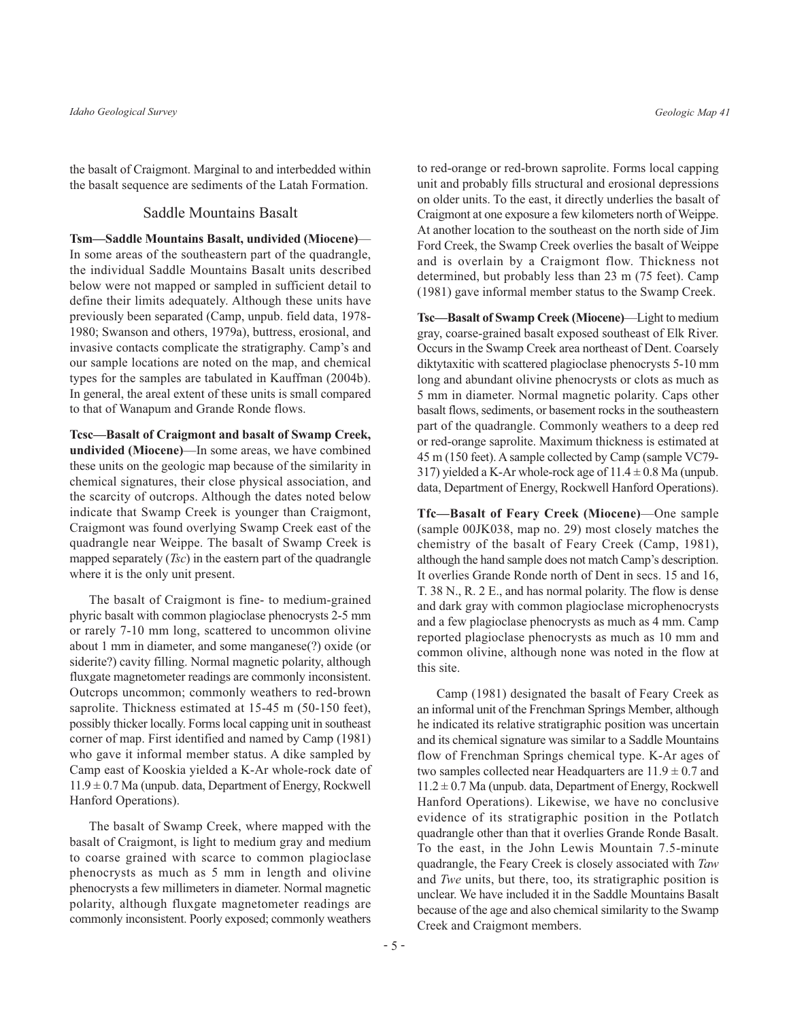the basalt of Craigmont. Marginal to and interbedded within the basalt sequence are sediments of the Latah Formation.

#### **Saddle Mountains Basalt**

Tsm-Saddle Mountains Basalt, undivided (Miocene)-In some areas of the southeastern part of the quadrangle, the individual Saddle Mountains Basalt units described below were not mapped or sampled in sufficient detail to define their limits adequately. Although these units have previously been separated (Camp, unpub. field data, 1978-1980; Swanson and others, 1979a), buttress, erosional, and invasive contacts complicate the stratigraphy. Camp's and our sample locations are noted on the map, and chemical types for the samples are tabulated in Kauffman (2004b). In general, the areal extent of these units is small compared to that of Wanapum and Grande Ronde flows.

Tcsc—Basalt of Craigmont and basalt of Swamp Creek, **undivided (Miocene)**—In some areas, we have combined these units on the geologic map because of the similarity in chemical signatures, their close physical association, and the scarcity of outcrops. Although the dates noted below indicate that Swamp Creek is younger than Craigmont, Craigmont was found overlying Swamp Creek east of the quadrangle near Weippe. The basalt of Swamp Creek is mapped separately  $(Tsc)$  in the eastern part of the quadrangle where it is the only unit present.

The basalt of Craigmont is fine- to medium-grained phyric basalt with common plagioclase phenocrysts 2-5 mm or rarely 7-10 mm long, scattered to uncommon olivine about 1 mm in diameter, and some manganese(?) oxide (or siderite?) cavity filling. Normal magnetic polarity, although fluxgate magnetometer readings are commonly inconsistent. Outcrops uncommon; commonly weathers to red-brown saprolite. Thickness estimated at 15-45 m (50-150 feet), possibly thicker locally. Forms local capping unit in southeast corner of map. First identified and named by Camp (1981) who gave it informal member status. A dike sampled by Camp east of Kooskia yielded a K-Ar whole-rock date of  $11.9 \pm 0.7$  Ma (unpub. data, Department of Energy, Rockwell Hanford Operations).

The basalt of Swamp Creek, where mapped with the basalt of Craigmont, is light to medium gray and medium to coarse grained with scarce to common plagioclase phenocrysts as much as 5 mm in length and olivine phenocrysts a few millimeters in diameter. Normal magnetic polarity, although fluxgate magnetometer readings are commonly inconsistent. Poorly exposed; commonly weathers

to red-orange or red-brown saprolite. Forms local capping unit and probably fills structural and erosional depressions on older units. To the east, it directly underlies the basalt of Craigmont at one exposure a few kilometers north of Weippe. At another location to the southeast on the north side of Jim Ford Creek, the Swamp Creek overlies the basalt of Weippe and is overlain by a Craigmont flow. Thickness not determined, but probably less than 23 m (75 feet). Camp (1981) gave informal member status to the Swamp Creek.

Tsc-Basalt of Swamp Creek (Miocene)-Light to medium gray, coarse-grained basalt exposed southeast of Elk River. Occurs in the Swamp Creek area northeast of Dent. Coarsely diktytaxitic with scattered plagioclase phenocrysts 5-10 mm long and abundant olivine phenocrysts or clots as much as 5 mm in diameter. Normal magnetic polarity. Caps other basalt flows, sediments, or basement rocks in the southeastern part of the quadrangle. Commonly weathers to a deep red or red-orange saprolite. Maximum thickness is estimated at 45 m (150 feet). A sample collected by Camp (sample VC79-317) yielded a K-Ar whole-rock age of  $11.4 \pm 0.8$  Ma (unpub. data, Department of Energy, Rockwell Hanford Operations).

Tfc-Basalt of Feary Creek (Miocene)-One sample (sample 00JK038, map no. 29) most closely matches the chemistry of the basalt of Feary Creek (Camp, 1981), although the hand sample does not match Camp's description. It overlies Grande Ronde north of Dent in secs. 15 and 16, T. 38 N., R. 2 E., and has normal polarity. The flow is dense and dark gray with common plagioclase microphenocrysts and a few plagioclase phenocrysts as much as 4 mm. Camp reported plagioclase phenocrysts as much as 10 mm and common olivine, although none was noted in the flow at this site.

Camp (1981) designated the basalt of Feary Creek as an informal unit of the Frenchman Springs Member, although he indicated its relative stratigraphic position was uncertain and its chemical signature was similar to a Saddle Mountains flow of Frenchman Springs chemical type. K-Ar ages of two samples collected near Headquarters are  $11.9 \pm 0.7$  and  $11.2 \pm 0.7$  Ma (unpub. data, Department of Energy, Rockwell Hanford Operations). Likewise, we have no conclusive evidence of its stratigraphic position in the Potlatch quadrangle other than that it overlies Grande Ronde Basalt. To the east, in the John Lewis Mountain 7.5-minute quadrangle, the Feary Creek is closely associated with Taw and Twe units, but there, too, its stratigraphic position is unclear. We have included it in the Saddle Mountains Basalt because of the age and also chemical similarity to the Swamp Creek and Craigmont members.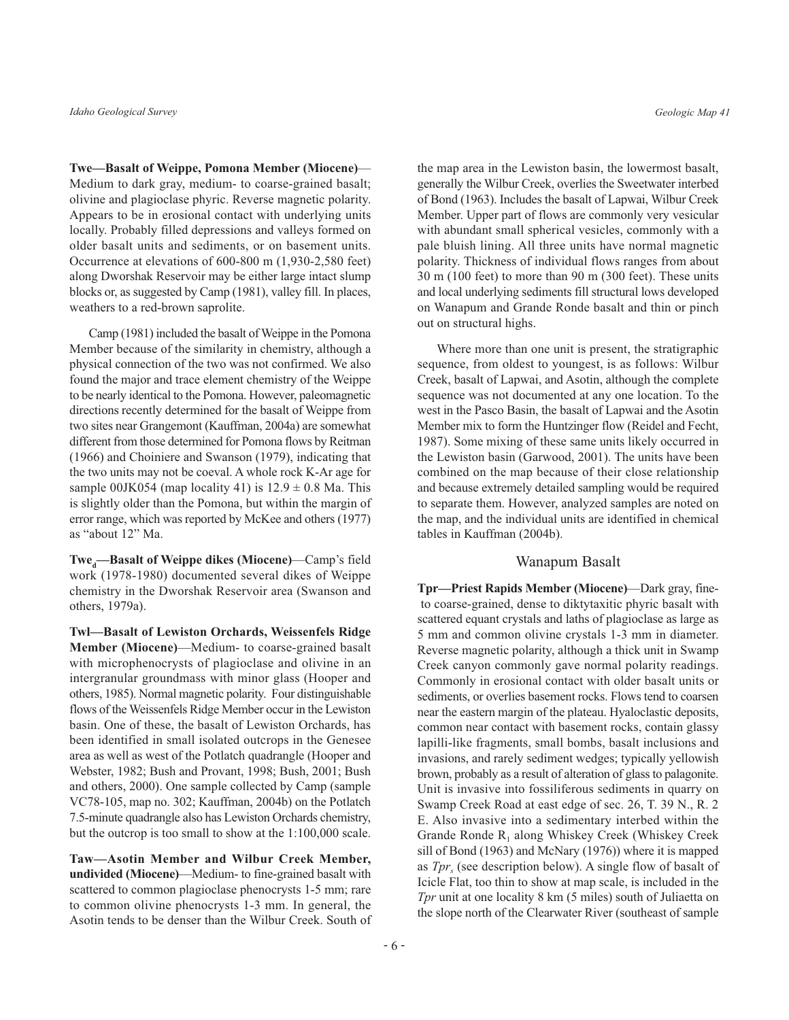Twe-Basalt of Weippe, Pomona Member (Miocene)-Medium to dark gray, medium- to coarse-grained basalt; olivine and plagioclase phyric. Reverse magnetic polarity. Appears to be in erosional contact with underlying units locally. Probably filled depressions and valleys formed on older basalt units and sediments, or on basement units. Occurrence at elevations of 600-800 m (1,930-2,580 feet) along Dworshak Reservoir may be either large intact slump blocks or, as suggested by Camp (1981), valley fill. In places, weathers to a red-brown saprolite.

Camp (1981) included the basalt of Weippe in the Pomona Member because of the similarity in chemistry, although a physical connection of the two was not confirmed. We also found the major and trace element chemistry of the Weippe to be nearly identical to the Pomona. However, paleomagnetic directions recently determined for the basalt of Weippe from two sites near Grangemont (Kauffman, 2004a) are somewhat different from those determined for Pomona flows by Reitman (1966) and Choiniere and Swanson (1979), indicating that the two units may not be coeval. A whole rock K-Ar age for sample 00JK054 (map locality 41) is  $12.9 \pm 0.8$  Ma. This is slightly older than the Pomona, but within the margin of error range, which was reported by McKee and others (1977) as "about 12" Ma.

Twe<sub>d</sub>—Basalt of Weippe dikes (Miocene)—Camp's field work (1978-1980) documented several dikes of Weippe chemistry in the Dworshak Reservoir area (Swanson and others, 1979a).

Twl-Basalt of Lewiston Orchards, Weissenfels Ridge Member (Miocene)—Medium- to coarse-grained basalt with microphenocrysts of plagioclase and olivine in an intergranular groundmass with minor glass (Hooper and others, 1985). Normal magnetic polarity. Four distinguishable flows of the Weissenfels Ridge Member occur in the Lewiston basin. One of these, the basalt of Lewiston Orchards, has been identified in small isolated outcrops in the Genesee area as well as west of the Potlatch quadrangle (Hooper and Webster, 1982; Bush and Provant, 1998; Bush, 2001; Bush and others, 2000). One sample collected by Camp (sample VC78-105, map no. 302; Kauffman, 2004b) on the Potlatch 7.5-minute quadrangle also has Lewiston Orchards chemistry, but the outcrop is too small to show at the 1:100,000 scale.

Taw-Asotin Member and Wilbur Creek Member, undivided (Miocene)—Medium- to fine-grained basalt with scattered to common plagioclase phenocrysts 1-5 mm; rare to common olivine phenocrysts 1-3 mm. In general, the Asotin tends to be denser than the Wilbur Creek. South of

the map area in the Lewiston basin, the lowermost basalt, generally the Wilbur Creek, overlies the Sweetwater interbed of Bond (1963). Includes the basalt of Lapwai, Wilbur Creek Member. Upper part of flows are commonly very vesicular with abundant small spherical vesicles, commonly with a pale bluish lining. All three units have normal magnetic polarity. Thickness of individual flows ranges from about 30 m (100 feet) to more than 90 m (300 feet). These units and local underlying sediments fill structural lows developed on Wanapum and Grande Ronde basalt and thin or pinch out on structural highs.

Where more than one unit is present, the stratigraphic sequence, from oldest to youngest, is as follows: Wilbur Creek, basalt of Lapwai, and Asotin, although the complete sequence was not documented at any one location. To the west in the Pasco Basin, the basalt of Lapwai and the Asotin Member mix to form the Huntzinger flow (Reidel and Fecht, 1987). Some mixing of these same units likely occurred in the Lewiston basin (Garwood, 2001). The units have been combined on the map because of their close relationship and because extremely detailed sampling would be required to separate them. However, analyzed samples are noted on the map, and the individual units are identified in chemical tables in Kauffman (2004b).

#### Wanapum Basalt

Tpr—Priest Rapids Member (Miocene)—Dark gray, fineto coarse-grained, dense to diktytaxitic phyric basalt with scattered equant crystals and laths of plagioclase as large as 5 mm and common olivine crystals 1-3 mm in diameter. Reverse magnetic polarity, although a thick unit in Swamp Creek canyon commonly gave normal polarity readings. Commonly in erosional contact with older basalt units or sediments, or overlies basement rocks. Flows tend to coarsen near the eastern margin of the plateau. Hyaloclastic deposits, common near contact with basement rocks, contain glassy lapilli-like fragments, small bombs, basalt inclusions and invasions, and rarely sediment wedges; typically yellowish brown, probably as a result of alteration of glass to palagonite. Unit is invasive into fossiliferous sediments in quarry on Swamp Creek Road at east edge of sec. 26, T. 39 N., R. 2 E. Also invasive into a sedimentary interbed within the Grande Ronde R<sub>1</sub> along Whiskey Creek (Whiskey Creek sill of Bond (1963) and McNary (1976)) where it is mapped as  $Tpr_s$  (see description below). A single flow of basalt of Icicle Flat, too thin to show at map scale, is included in the Tpr unit at one locality 8 km (5 miles) south of Juliaetta on the slope north of the Clearwater River (southeast of sample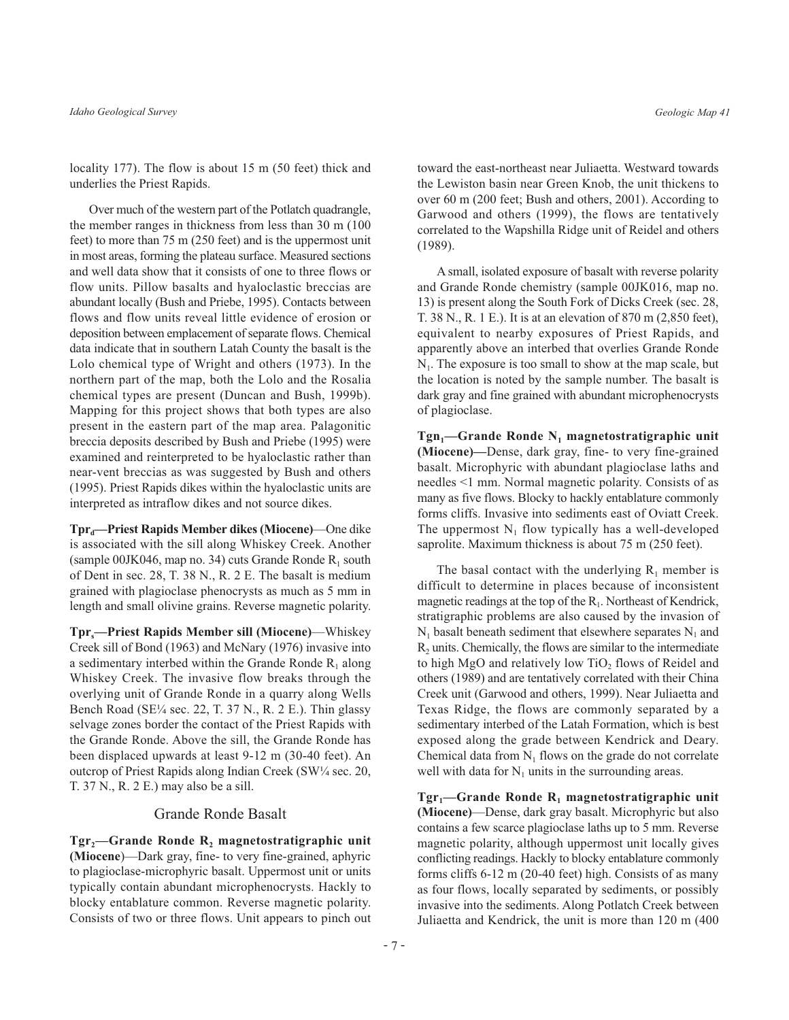locality 177). The flow is about 15 m (50 feet) thick and underlies the Priest Rapids.

Over much of the western part of the Potlatch quadrangle, the member ranges in thickness from less than 30 m (100) feet) to more than 75 m (250 feet) and is the uppermost unit in most areas, forming the plateau surface. Measured sections and well data show that it consists of one to three flows or flow units. Pillow basalts and hyaloclastic breccias are abundant locally (Bush and Priebe, 1995). Contacts between flows and flow units reveal little evidence of erosion or deposition between emplacement of separate flows. Chemical data indicate that in southern Latah County the basalt is the Lolo chemical type of Wright and others (1973). In the northern part of the map, both the Lolo and the Rosalia chemical types are present (Duncan and Bush, 1999b). Mapping for this project shows that both types are also present in the eastern part of the map area. Palagonitic breccia deposits described by Bush and Priebe (1995) were examined and reinterpreted to be hyaloclastic rather than near-vent breccias as was suggested by Bush and others (1995). Priest Rapids dikes within the hyaloclastic units are interpreted as intraflow dikes and not source dikes.

Tpr<sub>d</sub>—Priest Rapids Member dikes (Miocene)—One dike is associated with the sill along Whiskey Creek. Another (sample 00JK046, map no. 34) cuts Grande Ronde  $R_1$  south of Dent in sec. 28, T. 38 N., R. 2 E. The basalt is medium grained with plagioclase phenocrysts as much as 5 mm in length and small olivine grains. Reverse magnetic polarity.

**Tpr**—Priest Rapids Member sill (Miocene)—Whiskey Creek sill of Bond (1963) and McNary (1976) invasive into a sedimentary interbed within the Grande Ronde  $R_1$  along Whiskey Creek. The invasive flow breaks through the overlying unit of Grande Ronde in a quarry along Wells Bench Road (SE<sup>1</sup>/<sub>4</sub> sec. 22, T. 37 N., R. 2 E.). Thin glassy selvage zones border the contact of the Priest Rapids with the Grande Ronde. Above the sill, the Grande Ronde has been displaced upwards at least 9-12 m (30-40 feet). An outcrop of Priest Rapids along Indian Creek (SW1/4 sec. 20, T. 37 N., R. 2 E.) may also be a sill.

#### Grande Ronde Basalt

 $Tgr_2$ -Grande Ronde R<sub>2</sub> magnetostratigraphic unit (Miocene)—Dark gray, fine- to very fine-grained, aphyric to plagioclase-microphyric basalt. Uppermost unit or units typically contain abundant microphenocrysts. Hackly to blocky entablature common. Reverse magnetic polarity. Consists of two or three flows. Unit appears to pinch out

toward the east-northeast near Juliaetta. Westward towards the Lewiston basin near Green Knob, the unit thickens to over 60 m (200 feet; Bush and others, 2001). According to Garwood and others (1999), the flows are tentatively correlated to the Wapshilla Ridge unit of Reidel and others  $(1989).$ 

A small, isolated exposure of basalt with reverse polarity and Grande Ronde chemistry (sample 00JK016, map no. 13) is present along the South Fork of Dicks Creek (sec. 28, T. 38 N., R. 1 E.). It is at an elevation of 870 m (2,850 feet), equivalent to nearby exposures of Priest Rapids, and apparently above an interbed that overlies Grande Ronde  $N<sub>1</sub>$ . The exposure is too small to show at the map scale, but the location is noted by the sample number. The basalt is dark gray and fine grained with abundant microphenocrysts of plagioclase.

 $Tgn_1$ —Grande Ronde N<sub>1</sub> magnetostratigraphic unit (Miocene)-Dense, dark gray, fine- to very fine-grained basalt. Microphyric with abundant plagioclase laths and needles <1 mm. Normal magnetic polarity. Consists of as many as five flows. Blocky to hackly entablature commonly forms cliffs. Invasive into sediments east of Oviatt Creek. The uppermost  $N_1$  flow typically has a well-developed saprolite. Maximum thickness is about 75 m (250 feet).

The basal contact with the underlying  $R_1$  member is difficult to determine in places because of inconsistent magnetic readings at the top of the  $R_1$ . Northeast of Kendrick, stratigraphic problems are also caused by the invasion of  $N_1$  basalt beneath sediment that elsewhere separates  $N_1$  and R<sub>2</sub> units. Chemically, the flows are similar to the intermediate to high MgO and relatively low  $TiO<sub>2</sub>$  flows of Reidel and others (1989) and are tentatively correlated with their China Creek unit (Garwood and others, 1999). Near Juliaetta and Texas Ridge, the flows are commonly separated by a sedimentary interbed of the Latah Formation, which is best exposed along the grade between Kendrick and Deary. Chemical data from  $N_1$  flows on the grade do not correlate well with data for  $N_1$  units in the surrounding areas.

 $Tgr_1$ —Grande Ronde R<sub>1</sub> magnetostratigraphic unit (Miocene)—Dense, dark gray basalt. Microphyric but also contains a few scarce plagioclase laths up to 5 mm. Reverse magnetic polarity, although uppermost unit locally gives conflicting readings. Hackly to blocky entablature commonly forms cliffs 6-12 m (20-40 feet) high. Consists of as many as four flows, locally separated by sediments, or possibly invasive into the sediments. Along Potlatch Creek between Juliaetta and Kendrick, the unit is more than 120 m (400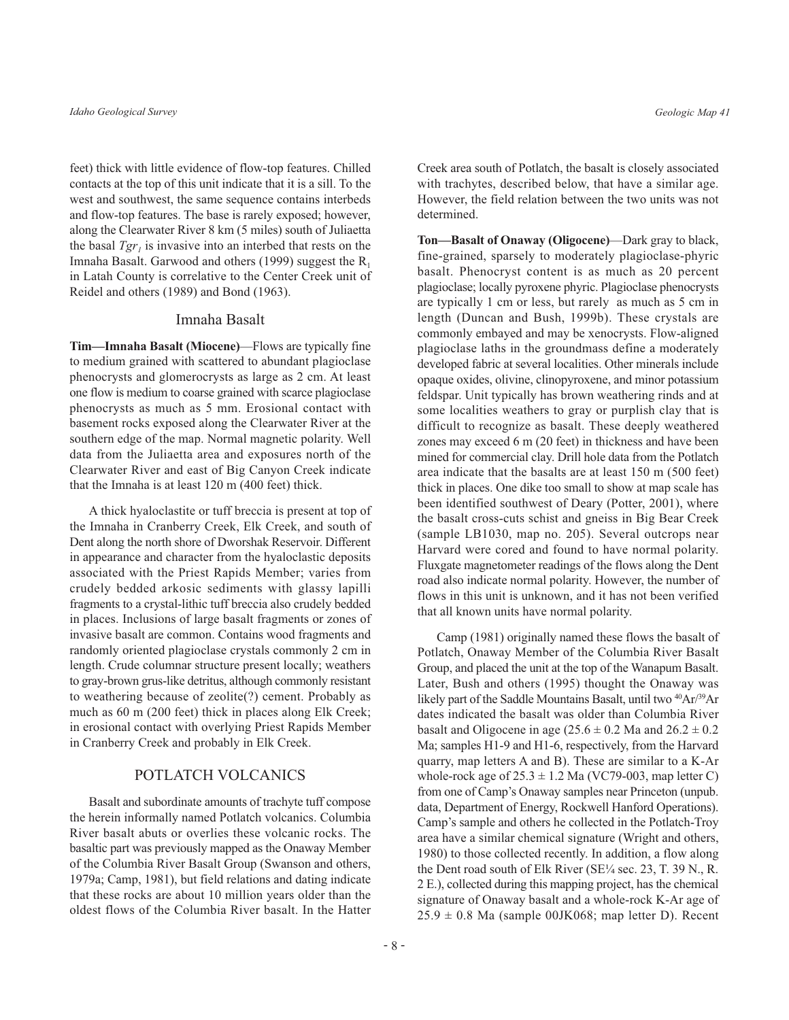feet) thick with little evidence of flow-top features. Chilled contacts at the top of this unit indicate that it is a sill. To the west and southwest, the same sequence contains interbeds and flow-top features. The base is rarely exposed; however, along the Clearwater River 8 km (5 miles) south of Juliaetta the basal  $Tgr_i$  is invasive into an interbed that rests on the Imnaha Basalt. Garwood and others (1999) suggest the  $R_1$ in Latah County is correlative to the Center Creek unit of Reidel and others (1989) and Bond (1963).

#### Imnaha Basalt

Tim—Imnaha Basalt (Miocene)—Flows are typically fine to medium grained with scattered to abundant plagioclase phenocrysts and glomerocrysts as large as 2 cm. At least one flow is medium to coarse grained with scarce plagioclase phenocrysts as much as 5 mm. Erosional contact with basement rocks exposed along the Clearwater River at the southern edge of the map. Normal magnetic polarity. Well data from the Juliaetta area and exposures north of the Clearwater River and east of Big Canyon Creek indicate that the Imnaha is at least 120 m (400 feet) thick.

A thick hyaloclastite or tuff breccia is present at top of the Imnaha in Cranberry Creek, Elk Creek, and south of Dent along the north shore of Dworshak Reservoir. Different in appearance and character from the hyaloclastic deposits associated with the Priest Rapids Member; varies from crudely bedded arkosic sediments with glassy lapilli fragments to a crystal-lithic tuff breccia also crudely bedded in places. Inclusions of large basalt fragments or zones of invasive basalt are common. Contains wood fragments and randomly oriented plagioclase crystals commonly 2 cm in length. Crude columnar structure present locally; weathers to gray-brown grus-like detritus, although commonly resistant to weathering because of zeolite(?) cement. Probably as much as 60 m (200 feet) thick in places along Elk Creek; in erosional contact with overlying Priest Rapids Member in Cranberry Creek and probably in Elk Creek.

#### **POTLATCH VOLCANICS**

Basalt and subordinate amounts of trachyte tuff compose the herein informally named Potlatch volcanics. Columbia River basalt abuts or overlies these volcanic rocks. The basaltic part was previously mapped as the Onaway Member of the Columbia River Basalt Group (Swanson and others, 1979a; Camp, 1981), but field relations and dating indicate that these rocks are about 10 million years older than the oldest flows of the Columbia River basalt. In the Hatter

Creek area south of Potlatch, the basalt is closely associated with trachytes, described below, that have a similar age. However, the field relation between the two units was not determined.

Ton-Basalt of Onaway (Oligocene)-Dark gray to black, fine-grained, sparsely to moderately plagioclase-phyric basalt. Phenocryst content is as much as 20 percent plagioclase; locally pyroxene phyric. Plagioclase phenocrysts are typically 1 cm or less, but rarely as much as 5 cm in length (Duncan and Bush, 1999b). These crystals are commonly embayed and may be xenocrysts. Flow-aligned plagioclase laths in the groundmass define a moderately developed fabric at several localities. Other minerals include opaque oxides, olivine, clinopyroxene, and minor potassium feldspar. Unit typically has brown weathering rinds and at some localities weathers to gray or purplish clay that is difficult to recognize as basalt. These deeply weathered zones may exceed 6 m (20 feet) in thickness and have been mined for commercial clay. Drill hole data from the Potlatch area indicate that the basalts are at least 150 m (500 feet) thick in places. One dike too small to show at map scale has been identified southwest of Deary (Potter, 2001), where the basalt cross-cuts schist and gneiss in Big Bear Creek (sample LB1030, map no. 205). Several outcrops near Harvard were cored and found to have normal polarity. Fluxgate magnetometer readings of the flows along the Dent road also indicate normal polarity. However, the number of flows in this unit is unknown, and it has not been verified that all known units have normal polarity.

Camp (1981) originally named these flows the basalt of Potlatch, Onaway Member of the Columbia River Basalt Group, and placed the unit at the top of the Wanapum Basalt. Later, Bush and others (1995) thought the Onaway was likely part of the Saddle Mountains Basalt, until two <sup>40</sup>Ar/<sup>39</sup>Ar dates indicated the basalt was older than Columbia River basalt and Oligocene in age  $(25.6 \pm 0.2 \text{ Ma}$  and  $26.2 \pm 0.2 \text{ A}$ Ma; samples H1-9 and H1-6, respectively, from the Harvard quarry, map letters A and B). These are similar to a K-Ar whole-rock age of  $25.3 \pm 1.2$  Ma (VC79-003, map letter C) from one of Camp's Onaway samples near Princeton (unpub. data, Department of Energy, Rockwell Hanford Operations). Camp's sample and others he collected in the Potlatch-Troy area have a similar chemical signature (Wright and others, 1980) to those collected recently. In addition, a flow along the Dent road south of Elk River (SE1/4 sec. 23, T. 39 N., R. 2 E.), collected during this mapping project, has the chemical signature of Onaway basalt and a whole-rock K-Ar age of  $25.9 \pm 0.8$  Ma (sample 00JK068; map letter D). Recent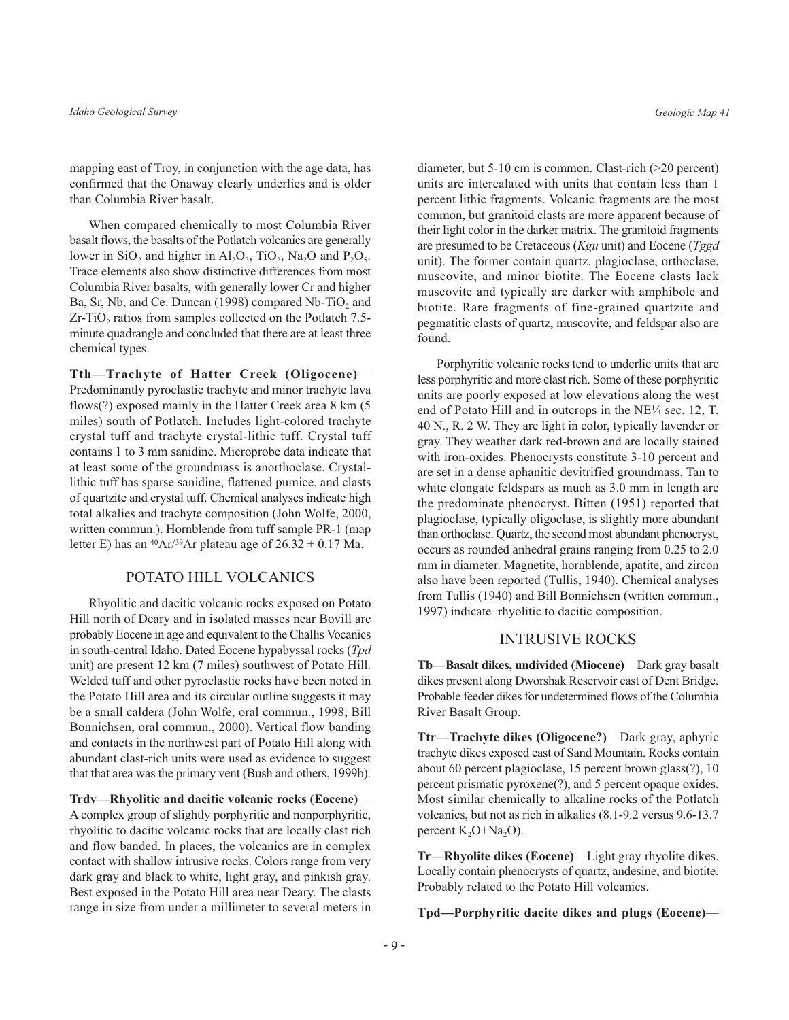mapping east of Troy, in conjunction with the age data, has confirmed that the Onaway clearly underlies and is older than Columbia River basalt.

When compared chemically to most Columbia River basalt flows, the basalts of the Potlatch volcanics are generally lower in SiO<sub>2</sub> and higher in  $Al_2O_3$ , TiO<sub>2</sub>, Na<sub>2</sub>O and P<sub>2</sub>O<sub>5</sub>. Trace elements also show distinctive differences from most Columbia River basalts, with generally lower Cr and higher Ba, Sr, Nb, and Ce. Duncan (1998) compared Nb-TiO<sub>2</sub> and Zr-TiO<sub>2</sub> ratios from samples collected on the Potlatch 7.5minute quadrangle and concluded that there are at least three chemical types.

Tth-Trachyte of Hatter Creek (Oligocene)-Predominantly pyroclastic trachyte and minor trachyte lava flows(?) exposed mainly in the Hatter Creek area 8 km (5) miles) south of Potlatch. Includes light-colored trachyte crystal tuff and trachyte crystal-lithic tuff. Crystal tuff contains 1 to 3 mm sanidine. Microprobe data indicate that at least some of the groundmass is anorthoclase. Crystallithic tuff has sparse sanidine, flattened pumice, and clasts of quartzite and crystal tuff. Chemical analyses indicate high total alkalies and trachyte composition (John Wolfe, 2000, written commun.). Hornblende from tuff sample PR-1 (map letter E) has an <sup>40</sup>Ar/<sup>39</sup>Ar plateau age of  $26.32 \pm 0.17$  Ma.

## POTATO HILL VOLCANICS

Rhyolitic and dacitic volcanic rocks exposed on Potato Hill north of Deary and in isolated masses near Bovill are probably Eocene in age and equivalent to the Challis Vocanics in south-central Idaho. Dated Eocene hypabyssal rocks (Tpd unit) are present 12 km (7 miles) southwest of Potato Hill. Welded tuff and other pyroclastic rocks have been noted in the Potato Hill area and its circular outline suggests it may be a small caldera (John Wolfe, oral commun., 1998; Bill Bonnichsen, oral commun., 2000). Vertical flow banding and contacts in the northwest part of Potato Hill along with abundant clast-rich units were used as evidence to suggest that that area was the primary vent (Bush and others, 1999b).

Trdv-Rhyolitic and dacitic volcanic rocks (Eocene)-A complex group of slightly porphyritic and nonporphyritic, rhyolitic to dacitic volcanic rocks that are locally clast rich and flow banded. In places, the volcanics are in complex contact with shallow intrusive rocks. Colors range from very dark gray and black to white, light gray, and pinkish gray. Best exposed in the Potato Hill area near Deary. The clasts range in size from under a millimeter to several meters in

diameter, but  $5-10$  cm is common. Clast-rich ( $>20$  percent) units are intercalated with units that contain less than 1 percent lithic fragments. Volcanic fragments are the most common, but granitoid clasts are more apparent because of their light color in the darker matrix. The granitoid fragments are presumed to be Cretaceous (Kgu unit) and Eocene (Tggd unit). The former contain quartz, plagioclase, orthoclase, muscovite, and minor biotite. The Eocene clasts lack muscovite and typically are darker with amphibole and biotite. Rare fragments of fine-grained quartzite and pegmatitic clasts of quartz, muscovite, and feldspar also are found.

Porphyritic volcanic rocks tend to underlie units that are less porphyritic and more clast rich. Some of these porphyritic units are poorly exposed at low elevations along the west end of Potato Hill and in outcrops in the NE1/4 sec. 12, T. 40 N., R. 2 W. They are light in color, typically lavender or gray. They weather dark red-brown and are locally stained with iron-oxides. Phenocrysts constitute 3-10 percent and are set in a dense aphanitic devitrified groundmass. Tan to white elongate feldspars as much as 3.0 mm in length are the predominate phenocryst. Bitten (1951) reported that plagioclase, typically oligoclase, is slightly more abundant than orthoclase. Ouartz, the second most abundant phenocryst, occurs as rounded anhedral grains ranging from 0.25 to 2.0 mm in diameter. Magnetite, hornblende, apatite, and zircon also have been reported (Tullis, 1940). Chemical analyses from Tullis (1940) and Bill Bonnichsen (written commun., 1997) indicate rhyolitic to dacitic composition.

#### **INTRUSIVE ROCKS**

Tb-Basalt dikes, undivided (Miocene)-Dark gray basalt dikes present along Dworshak Reservoir east of Dent Bridge. Probable feeder dikes for undetermined flows of the Columbia River Basalt Group.

Ttr-Trachyte dikes (Oligocene?)-Dark gray, aphyric trachyte dikes exposed east of Sand Mountain. Rocks contain about 60 percent plagioclase, 15 percent brown glass(?), 10 percent prismatic pyroxene(?), and 5 percent opaque oxides. Most similar chemically to alkaline rocks of the Potlatch volcanics, but not as rich in alkalies (8.1-9.2 versus 9.6-13.7 percent  $K_2O+Na_2O$ ).

Tr—Rhyolite dikes (Eocene)—Light gray rhyolite dikes. Locally contain phenocrysts of quartz, andesine, and biotite. Probably related to the Potato Hill volcanics.

Tpd-Porphyritic dacite dikes and plugs (Eocene)-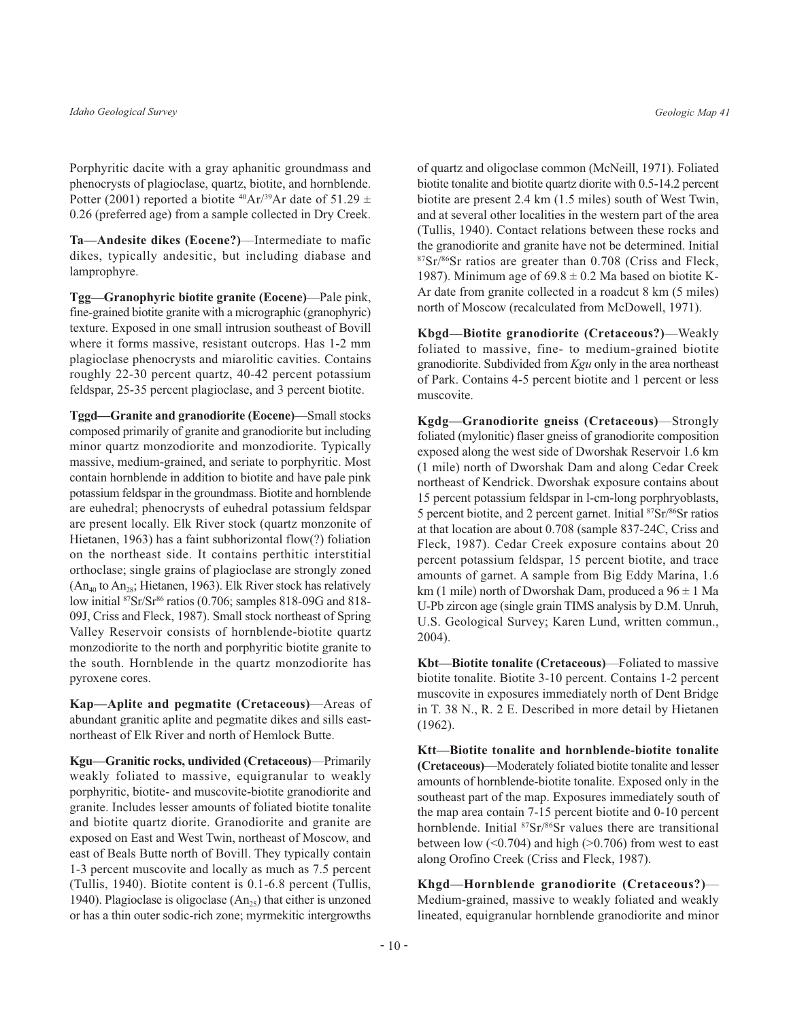Porphyritic dacite with a gray aphanitic groundmass and phenocrysts of plagioclase, quartz, biotite, and hornblende. Potter (2001) reported a biotite <sup>40</sup>Ar/<sup>39</sup>Ar date of 51.29  $\pm$ 0.26 (preferred age) from a sample collected in Dry Creek.

Ta-Andesite dikes (Eocene?)-Intermediate to mafic dikes, typically andesitic, but including diabase and lamprophyre.

Tgg-Granophyric biotite granite (Eocene)-Pale pink, fine-grained biotite granite with a micrographic (granophyric) texture. Exposed in one small intrusion southeast of Bovill where it forms massive, resistant outcrops. Has 1-2 mm plagioclase phenocrysts and miarolitic cavities. Contains roughly 22-30 percent quartz, 40-42 percent potassium feldspar, 25-35 percent plagioclase, and 3 percent biotite.

Tggd-Granite and granodiorite (Eocene)-Small stocks composed primarily of granite and granodiorite but including minor quartz monzodiorite and monzodiorite. Typically massive, medium-grained, and seriate to porphyritic. Most contain hornblende in addition to biotite and have pale pink potassium feldspar in the groundmass. Biotite and hornblende are euhedral; phenocrysts of euhedral potassium feldspar are present locally. Elk River stock (quartz monzonite of Hietanen, 1963) has a faint subhorizontal flow(?) foliation on the northeast side. It contains perthitic interstitial orthoclase; single grains of plagioclase are strongly zoned  $(An_{40}$  to  $An_{28}$ ; Hietanen, 1963). Elk River stock has relatively low initial <sup>87</sup>Sr/Sr<sup>86</sup> ratios (0.706; samples 818-09G and 818-09J, Criss and Fleck, 1987). Small stock northeast of Spring Valley Reservoir consists of hornblende-biotite quartz monzodiorite to the north and porphyritic biotite granite to the south. Hornblende in the quartz monzodiorite has pyroxene cores.

Kap—Aplite and pegmatite (Cretaceous)—Areas of abundant granitic aplite and pegmatite dikes and sills eastnortheast of Elk River and north of Hemlock Butte.

Kgu—Granitic rocks, undivided (Cretaceous)—Primarily weakly foliated to massive, equigranular to weakly porphyritic, biotite- and muscovite-biotite granodiorite and granite. Includes lesser amounts of foliated biotite tonalite and biotite quartz diorite. Granodiorite and granite are exposed on East and West Twin, northeast of Moscow, and east of Beals Butte north of Bovill. They typically contain 1-3 percent muscovite and locally as much as 7.5 percent (Tullis, 1940). Biotite content is 0.1-6.8 percent (Tullis, 1940). Plagioclase is oligoclase  $(An_{25})$  that either is unzoned or has a thin outer sodic-rich zone; myrmekitic intergrowths

of quartz and oligoclase common (McNeill, 1971). Foliated biotite tonalite and biotite quartz diorite with 0.5-14.2 percent biotite are present 2.4 km (1.5 miles) south of West Twin, and at several other localities in the western part of the area (Tullis, 1940). Contact relations between these rocks and the granodiorite and granite have not be determined. Initial 87Sr/86Sr ratios are greater than 0.708 (Criss and Fleck, 1987). Minimum age of  $69.8 \pm 0.2$  Ma based on biotite K-Ar date from granite collected in a roadcut 8 km (5 miles) north of Moscow (recalculated from McDowell, 1971).

Kbgd-Biotite granodiorite (Cretaceous?)-Weakly foliated to massive, fine- to medium-grained biotite granodiorite. Subdivided from Kgu only in the area northeast of Park. Contains 4-5 percent biotite and 1 percent or less muscovite.

Kgdg-Granodiorite gneiss (Cretaceous)-Strongly foliated (mylonitic) flaser gneiss of granodiorite composition exposed along the west side of Dworshak Reservoir 1.6 km (1 mile) north of Dworshak Dam and along Cedar Creek northeast of Kendrick. Dworshak exposure contains about 15 percent potassium feldspar in 1-cm-long porphryoblasts, 5 percent biotite, and 2 percent garnet. Initial <sup>87</sup>Sr/<sup>86</sup>Sr ratios at that location are about 0.708 (sample 837-24C, Criss and Fleck, 1987). Cedar Creek exposure contains about 20 percent potassium feldspar, 15 percent biotite, and trace amounts of garnet. A sample from Big Eddy Marina, 1.6 km (1 mile) north of Dworshak Dam, produced a  $96 \pm 1$  Ma U-Pb zircon age (single grain TIMS analysis by D.M. Unruh, U.S. Geological Survey; Karen Lund, written commun., 2004).

Kbt-Biotite tonalite (Cretaceous)-Foliated to massive biotite tonalite. Biotite 3-10 percent. Contains 1-2 percent muscovite in exposures immediately north of Dent Bridge in T. 38 N., R. 2 E. Described in more detail by Hietanen  $(1962)$ .

Ktt-Biotite tonalite and hornblende-biotite tonalite (Cretaceous)—Moderately foliated biotite tonalite and lesser amounts of hornblende-biotite tonalite. Exposed only in the southeast part of the map. Exposures immediately south of the map area contain 7-15 percent biotite and 0-10 percent hornblende. Initial <sup>87</sup>Sr/<sup>86</sup>Sr values there are transitional between low  $(<0.704$ ) and high  $(>0.706)$  from west to east along Orofino Creek (Criss and Fleck, 1987).

Khgd-Hornblende granodiorite (Cretaceous?)-Medium-grained, massive to weakly foliated and weakly lineated, equigranular hornblende granodiorite and minor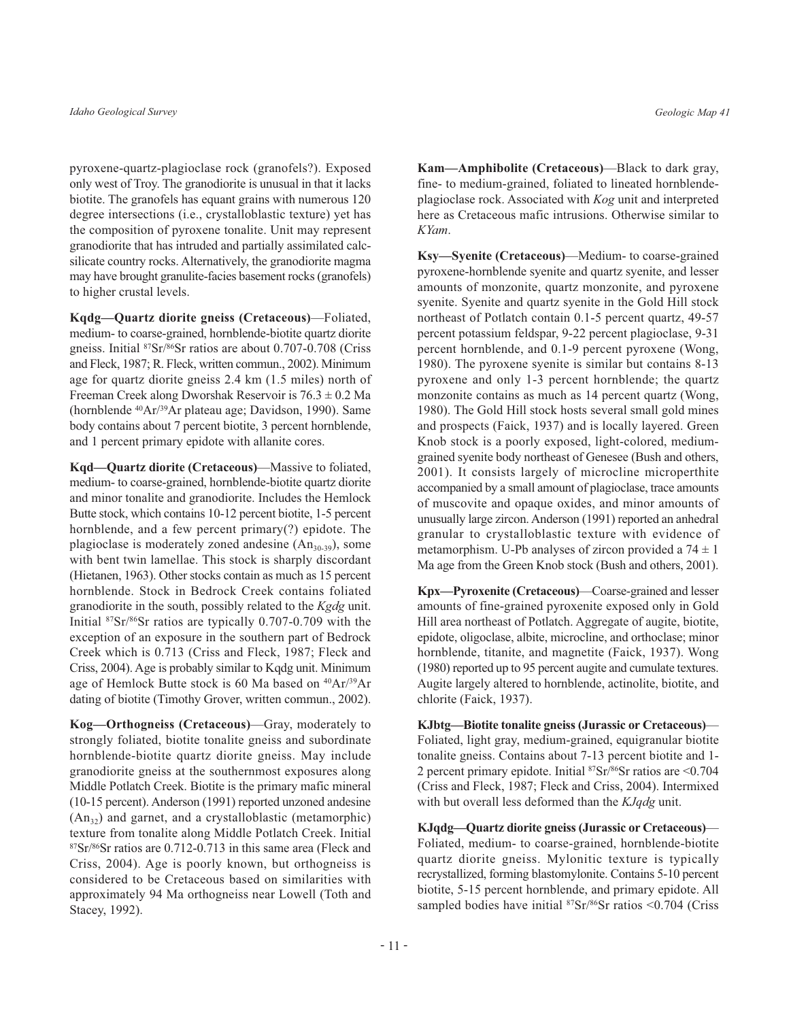pyroxene-quartz-plagioclase rock (granofels?). Exposed only west of Troy. The granodiorite is unusual in that it lacks biotite. The granofels has equant grains with numerous 120 degree intersections (i.e., crystalloblastic texture) yet has the composition of pyroxene tonalite. Unit may represent granodiorite that has intruded and partially assimilated calcsilicate country rocks. Alternatively, the granodiorite magma may have brought granulite-facies basement rocks (granofels) to higher crustal levels.

Kqdg-Quartz diorite gneiss (Cretaceous)-Foliated, medium- to coarse-grained, hornblende-biotite quartz diorite gneiss. Initial <sup>87</sup>Sr/<sup>86</sup>Sr ratios are about 0.707-0.708 (Criss and Fleck, 1987; R. Fleck, written commun., 2002). Minimum age for quartz diorite gneiss 2.4 km (1.5 miles) north of Freeman Creek along Dworshak Reservoir is  $76.3 \pm 0.2$  Ma (hornblende <sup>40</sup>Ar/<sup>39</sup>Ar plateau age; Davidson, 1990). Same body contains about 7 percent biotite, 3 percent hornblende, and 1 percent primary epidote with allanite cores.

Kqd—Quartz diorite (Cretaceous)—Massive to foliated, medium- to coarse-grained, hornblende-biotite quartz diorite and minor tonalite and granodiorite. Includes the Hemlock Butte stock, which contains 10-12 percent biotite, 1-5 percent hornblende, and a few percent primary(?) epidote. The plagioclase is moderately zoned andesine  $(An_{30-39})$ , some with bent twin lamellae. This stock is sharply discordant (Hietanen, 1963). Other stocks contain as much as 15 percent hornblende. Stock in Bedrock Creek contains foliated granodiorite in the south, possibly related to the Kgdg unit. Initial  $87Sr/86Sr$  ratios are typically 0.707-0.709 with the exception of an exposure in the southern part of Bedrock Creek which is 0.713 (Criss and Fleck, 1987; Fleck and Criss, 2004). Age is probably similar to Kqdg unit. Minimum age of Hemlock Butte stock is 60 Ma based on <sup>40</sup>Ar/<sup>39</sup>Ar dating of biotite (Timothy Grover, written commun., 2002).

Kog-Orthogneiss (Cretaceous)-Gray, moderately to strongly foliated, biotite tonalite gness and subordinate hornblende-biotite quartz diorite gneiss. May include granodiorite gneiss at the southernmost exposures along Middle Potlatch Creek. Biotite is the primary mafic mineral (10-15 percent). Anderson (1991) reported unzoned andesine  $(An_{32})$  and garnet, and a crystalloblastic (metamorphic) texture from tonalite along Middle Potlatch Creek. Initial <sup>87</sup>Sr/<sup>86</sup>Sr ratios are 0.712-0.713 in this same area (Fleck and Criss, 2004). Age is poorly known, but orthogneiss is considered to be Cretaceous based on similarities with approximately 94 Ma orthogneiss near Lowell (Toth and Stacey, 1992).

Kam-Amphibolite (Cretaceous)-Black to dark gray, fine- to medium-grained, foliated to lineated hornblendeplagioclase rock. Associated with Kog unit and interpreted here as Cretaceous mafic intrusions. Otherwise similar to KYam.

Ksy-Syenite (Cretaceous)-Medium- to coarse-grained pyroxene-hornblende syenite and quartz syenite, and lesser amounts of monzonite, quartz monzonite, and pyroxene syenite. Syenite and quartz syenite in the Gold Hill stock northeast of Potlatch contain 0.1-5 percent quartz, 49-57 percent potassium feldspar, 9-22 percent plagioclase, 9-31 percent hornblende, and 0.1-9 percent pyroxene (Wong, 1980). The pyroxene syenite is similar but contains 8-13 pyroxene and only 1-3 percent hornblende; the quartz monzonite contains as much as 14 percent quartz (Wong, 1980). The Gold Hill stock hosts several small gold mines and prospects (Faick, 1937) and is locally layered. Green Knob stock is a poorly exposed, light-colored, mediumgrained syenite body northeast of Genesee (Bush and others, 2001). It consists largely of microcline microperthite accompanied by a small amount of plagioclase, trace amounts of muscovite and opaque oxides, and minor amounts of unusually large zircon. Anderson (1991) reported an anhedral granular to crystalloblastic texture with evidence of metamorphism. U-Pb analyses of zircon provided a  $74 \pm 1$ Ma age from the Green Knob stock (Bush and others, 2001).

Kpx—Pyroxenite (Cretaceous)—Coarse-grained and lesser amounts of fine-grained pyroxenite exposed only in Gold Hill area northeast of Potlatch. Aggregate of augite, biotite, epidote, oligoclase, albite, microcline, and orthoclase; minor hornblende, titanite, and magnetite (Faick, 1937). Wong (1980) reported up to 95 percent augite and cumulate textures. Augite largely altered to hornblende, actinolite, biotite, and chlorite (Faick, 1937).

KJbtg-Biotite tonalite gneiss (Jurassic or Cretaceous)-Foliated, light gray, medium-grained, equigranular biotite tonalite gneiss. Contains about 7-13 percent biotite and 1-2 percent primary epidote. Initial  ${}^{87}Sr/{}^{86}Sr$  ratios are <0.704 (Criss and Fleck, 1987; Fleck and Criss, 2004). Intermixed with but overall less deformed than the KJqdg unit.

KJqdg-Quartz diorite gneiss (Jurassic or Cretaceous)-Foliated, medium- to coarse-grained, hornblende-biotite quartz diorite gneiss. Mylonitic texture is typically recrystallized, forming blastomylonite. Contains 5-10 percent biotite, 5-15 percent hornblende, and primary epidote. All sampled bodies have initial <sup>87</sup>Sr/<sup>86</sup>Sr ratios <0.704 (Criss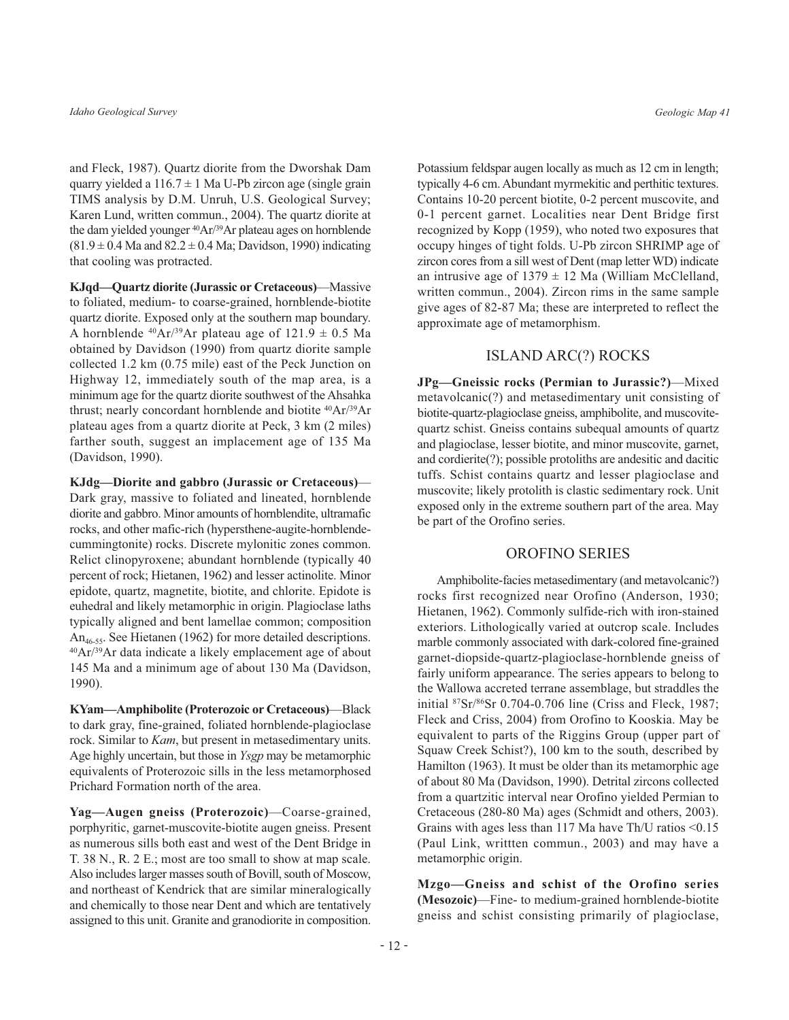and Fleck, 1987). Quartz diorite from the Dworshak Dam quarry yielded a  $116.7 \pm 1$  Ma U-Pb zircon age (single grain TIMS analysis by D.M. Unruh, U.S. Geological Survey; Karen Lund, written commun., 2004). The quartz diorite at the dam yielded younger <sup>40</sup>Ar/<sup>39</sup>Ar plateau ages on hornblende  $(81.9 \pm 0.4 \text{ Ma} \text{ and } 82.2 \pm 0.4 \text{ Ma}; \text{Davidson}, 1990) \text{ indicating}$ that cooling was protracted.

KJqd—Ouartz diorite (Jurassic or Cretaceous)—Massive to foliated, medium- to coarse-grained, hornblende-biotite quartz diorite. Exposed only at the southern map boundary. A hornblende <sup>40</sup>Ar/<sup>39</sup>Ar plateau age of  $121.9 \pm 0.5$  Ma obtained by Davidson (1990) from quartz diorite sample collected 1.2 km (0.75 mile) east of the Peck Junction on Highway 12, immediately south of the map area, is a minimum age for the quartz diorite southwest of the Ahsahka thrust; nearly concordant hornblende and biotite <sup>40</sup>Ar/<sup>39</sup>Ar plateau ages from a quartz diorite at Peck, 3 km (2 miles) farther south, suggest an implacement age of 135 Ma (Davidson, 1990).

KJdg-Diorite and gabbro (Jurassic or Cretaceous)-Dark gray, massive to foliated and lineated, hornblende diorite and gabbro. Minor amounts of hornblendite, ultramafic rocks, and other mafic-rich (hypersthene-augite-hornblendecummingtonite) rocks. Discrete mylonitic zones common. Relict clinopyroxene; abundant hornblende (typically 40 percent of rock; Hietanen, 1962) and lesser actinolite. Minor epidote, quartz, magnetite, biotite, and chlorite. Epidote is euhedral and likely metamorphic in origin. Plagioclase laths typically aligned and bent lamellae common; composition An<sub>46-55</sub>. See Hietanen (1962) for more detailed descriptions.  $^{40}Ar/^{39}Ar$  data indicate a likely emplacement age of about 145 Ma and a minimum age of about 130 Ma (Davidson, 1990).

KYam-Amphibolite (Proterozoic or Cretaceous)-Black to dark gray, fine-grained, foliated hornblende-plagioclase rock. Similar to *Kam*, but present in metasedimentary units. Age highly uncertain, but those in *Ysgp* may be metamorphic equivalents of Proterozoic sills in the less metamorphosed Prichard Formation north of the area.

Yag-Augen gneiss (Proterozoic)-Coarse-grained. porphyritic, garnet-muscovite-biotite augen gneiss. Present as numerous sills both east and west of the Dent Bridge in T. 38 N., R. 2 E.; most are too small to show at map scale. Also includes larger masses south of Bovill, south of Moscow, and northeast of Kendrick that are similar mineralogically and chemically to those near Dent and which are tentatively assigned to this unit. Granite and granodiorite in composition.

Potassium feldspar augen locally as much as 12 cm in length; typically 4-6 cm. Abundant myrmekitic and perthitic textures. Contains 10-20 percent biotite, 0-2 percent muscovite, and 0-1 percent garnet. Localities near Dent Bridge first recognized by Kopp (1959), who noted two exposures that occupy hinges of tight folds. U-Pb zircon SHRIMP age of zircon cores from a sill west of Dent (map letter WD) indicate an intrusive age of  $1379 \pm 12$  Ma (William McClelland, written commun., 2004). Zircon rims in the same sample give ages of 82-87 Ma; these are interpreted to reflect the approximate age of metamorphism.

### **ISLAND ARC(?) ROCKS**

JPg-Gneissic rocks (Permian to Jurassic?)-Mixed metavolcanic(?) and metasedimentary unit consisting of biotite-quartz-plagioclase gneiss, amphibolite, and muscovitequartz schist. Gneiss contains subequal amounts of quartz and plagioclase, lesser biotite, and minor muscovite, garnet, and cordierite(?); possible protoliths are andesitic and dacitic tuffs. Schist contains quartz and lesser plagioclase and muscovite; likely protolith is clastic sedimentary rock. Unit exposed only in the extreme southern part of the area. May be part of the Orofino series.

#### **OROFINO SERIES**

Amphibolite-facies metasedimentary (and metavolcanic?) rocks first recognized near Orofino (Anderson, 1930; Hietanen, 1962). Commonly sulfide-rich with iron-stained exteriors. Lithologically varied at outcrop scale. Includes marble commonly associated with dark-colored fine-grained garnet-diopside-quartz-plagioclase-hornblende gneiss of fairly uniform appearance. The series appears to belong to the Wallowa accreted terrane assemblage, but straddles the initial <sup>87</sup>Sr/<sup>86</sup>Sr 0.704-0.706 line (Criss and Fleck, 1987; Fleck and Criss, 2004) from Orofino to Kooskia. May be equivalent to parts of the Riggins Group (upper part of Squaw Creek Schist?), 100 km to the south, described by Hamilton (1963). It must be older than its metamorphic age of about 80 Ma (Davidson, 1990). Detrital zircons collected from a quartzitic interval near Orofino yielded Permian to Cretaceous (280-80 Ma) ages (Schmidt and others, 2003). Grains with ages less than 117 Ma have Th/U ratios <0.15 (Paul Link, writtten commun., 2003) and may have a metamorphic origin.

Mzgo-Gneiss and schist of the Orofino series (Mesozoic)—Fine- to medium-grained hornblende-biotite gneiss and schist consisting primarily of plagioclase,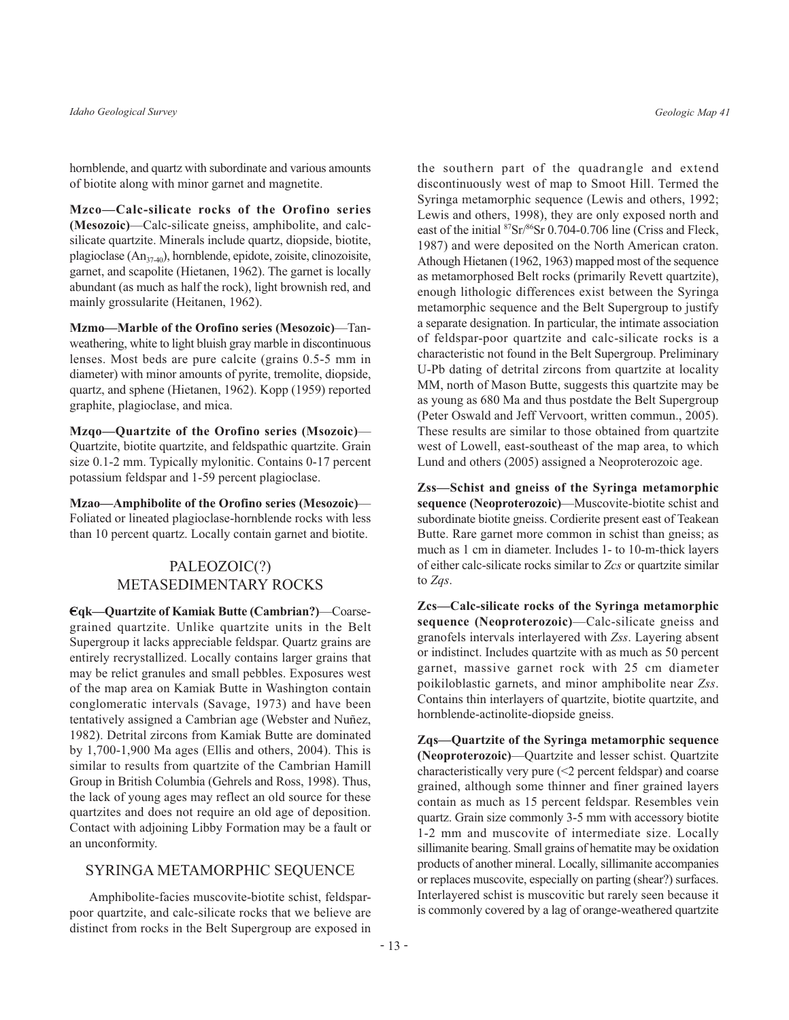hornblende, and quartz with subordinate and various amounts of biotite along with minor garnet and magnetite.

Mzco-Calc-silicate rocks of the Orofino series (Mesozoic)—Calc-silicate gneiss, amphibolite, and calcsilicate quartzite. Minerals include quartz, diopside, biotite, plagioclase  $(An_{37-40})$ , hornblende, epidote, zoisite, clinozoisite, garnet, and scapolite (Hietanen, 1962). The garnet is locally abundant (as much as half the rock), light brownish red, and mainly grossularite (Heitanen, 1962).

Mzmo-Marble of the Orofino series (Mesozoic)-Tanweathering, white to light bluish gray marble in discontinuous lenses. Most beds are pure calcite (grains 0.5-5 mm in diameter) with minor amounts of pyrite, tremolite, diopside, quartz, and sphene (Hietanen, 1962). Kopp (1959) reported graphite, plagioclase, and mica.

Mzqo-Quartzite of the Orofino series (Msozoic)-Quartzite, biotite quartzite, and feldspathic quartzite. Grain size 0.1-2 mm. Typically mylonitic. Contains 0-17 percent potassium feldspar and 1-59 percent plagioclase.

Mzao-Amphibolite of the Orofino series (Mesozoic)-Foliated or lineated plagioclase-hornblende rocks with less than 10 percent quartz. Locally contain garnet and biotite.

# PALEOZOIC(?) METASEDIMENTARY ROCKS

Eqk—Quartzite of Kamiak Butte (Cambrian?)—Coarsegrained quartzite. Unlike quartzite units in the Belt Supergroup it lacks appreciable feldspar. Quartz grains are entirely recrystallized. Locally contains larger grains that may be relict granules and small pebbles. Exposures west of the map area on Kamiak Butte in Washington contain conglomeratic intervals (Savage, 1973) and have been tentatively assigned a Cambrian age (Webster and Nuñez, 1982). Detrital zircons from Kamiak Butte are dominated by  $1,700-1,900$  Ma ages (Ellis and others, 2004). This is similar to results from quartzite of the Cambrian Hamill Group in British Columbia (Gehrels and Ross, 1998). Thus, the lack of young ages may reflect an old source for these quartzites and does not require an old age of deposition. Contact with adjoining Libby Formation may be a fault or an unconformity.

## SYRINGA METAMORPHIC SEQUENCE

Amphibolite-facies muscovite-biotite schist, feldsparpoor quartzite, and calc-silicate rocks that we believe are distinct from rocks in the Belt Supergroup are exposed in

the southern part of the quadrangle and extend discontinuously west of map to Smoot Hill. Termed the Syringa metamorphic sequence (Lewis and others, 1992; Lewis and others, 1998), they are only exposed north and east of the initial <sup>87</sup>Sr/<sup>86</sup>Sr 0.704-0.706 line (Criss and Fleck, 1987) and were deposited on the North American craton. Athough Hietanen (1962, 1963) mapped most of the sequence as metamorphosed Belt rocks (primarily Revett quartzite), enough lithologic differences exist between the Syringa metamorphic sequence and the Belt Supergroup to justify a separate designation. In particular, the intimate association of feldspar-poor quartzite and calc-silicate rocks is a characteristic not found in the Belt Supergroup. Preliminary U-Pb dating of detrital zircons from quartzite at locality MM, north of Mason Butte, suggests this quartzite may be as young as 680 Ma and thus postdate the Belt Supergroup (Peter Oswald and Jeff Vervoort, written commun., 2005). These results are similar to those obtained from quartzite west of Lowell, east-southeast of the map area, to which Lund and others (2005) assigned a Neoproterozoic age.

Zss-Schist and gneiss of the Syringa metamorphic sequence (Neoproterozoic)—Muscovite-biotite schist and subordinate biotite gneiss. Cordierite present east of Teakean Butte. Rare garnet more common in schist than gneiss; as much as 1 cm in diameter. Includes 1- to 10-m-thick layers of either calc-silicate rocks similar to Zcs or quartzite similar to Zqs.

Zcs-Calc-silicate rocks of the Syringa metamorphic sequence (Neoproterozoic)—Calc-silicate gneiss and granofels intervals interlayered with Zss. Layering absent or indistinct. Includes quartzite with as much as 50 percent garnet, massive garnet rock with 25 cm diameter poikiloblastic garnets, and minor amphibolite near Zss. Contains thin interlayers of quartzite, biotite quartzite, and hornblende-actinolite-diopside gneiss.

Zqs—Quartzite of the Syringa metamorphic sequence (Neoproterozoic)-Quartzite and lesser schist. Quartzite characteristically very pure  $($  2 percent feldspar) and coarse grained, although some thinner and finer grained layers contain as much as 15 percent feldspar. Resembles vein quartz. Grain size commonly 3-5 mm with accessory biotite 1-2 mm and muscovite of intermediate size. Locally sillimanite bearing. Small grains of hematite may be oxidation products of another mineral. Locally, sillimanite accompanies or replaces muscovite, especially on parting (shear?) surfaces. Interlayered schist is muscovitic but rarely seen because it is commonly covered by a lag of orange-weathered quartzite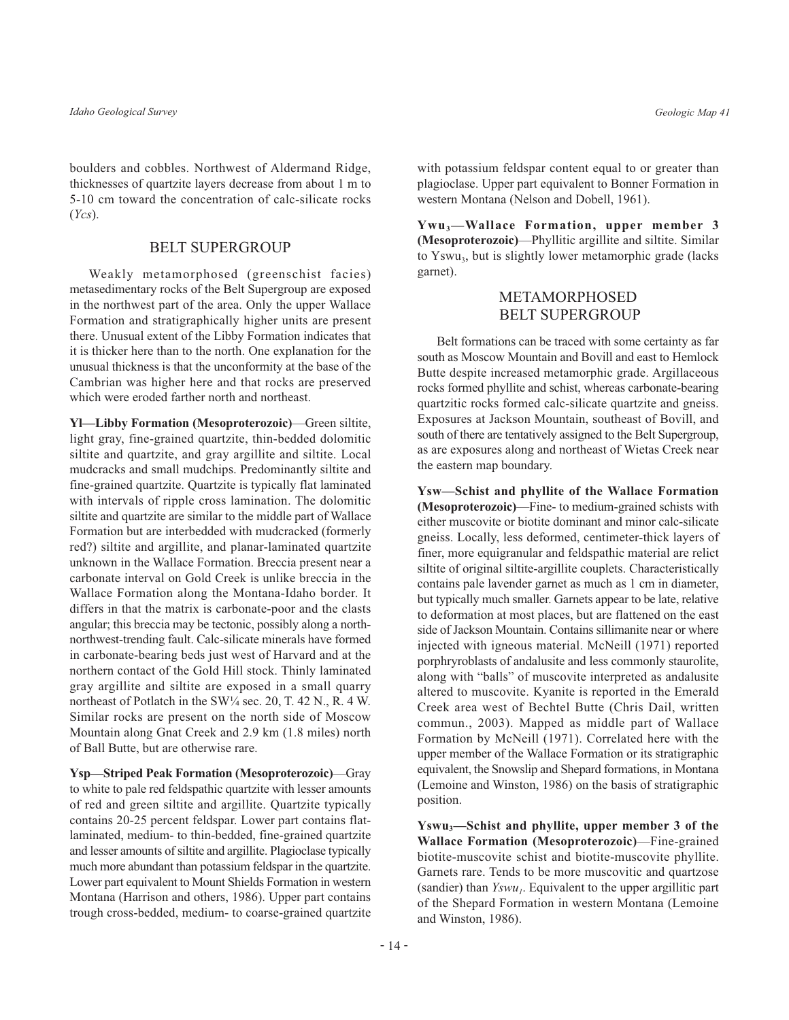boulders and cobbles. Northwest of Aldermand Ridge, thicknesses of quartzite layers decrease from about 1 m to 5-10 cm toward the concentration of calc-silicate rocks  $(Ycs)$ .

#### **BELT SUPERGROUP**

Weakly metamorphosed (greenschist facies) metasedimentary rocks of the Belt Supergroup are exposed in the northwest part of the area. Only the upper Wallace Formation and stratigraphically higher units are present there. Unusual extent of the Libby Formation indicates that it is thicker here than to the north. One explanation for the unusual thickness is that the unconformity at the base of the Cambrian was higher here and that rocks are preserved which were eroded farther north and northeast.

Yl-Libby Formation (Mesoproterozoic)-Green siltite, light gray, fine-grained quartzite, thin-bedded dolomitic siltite and quartzite, and gray argillite and siltite. Local mudcracks and small mudchips. Predominantly siltite and fine-grained quartzite. Quartzite is typically flat laminated with intervals of ripple cross lamination. The dolomitic siltite and quartzite are similar to the middle part of Wallace Formation but are interbedded with mudcracked (formerly red?) siltite and argillite, and planar-laminated quartzite unknown in the Wallace Formation. Breccia present near a carbonate interval on Gold Creek is unlike breccia in the Wallace Formation along the Montana-Idaho border. It differs in that the matrix is carbonate-poor and the clasts angular; this breccia may be tectonic, possibly along a northnorthwest-trending fault. Calc-silicate minerals have formed in carbonate-bearing beds just west of Harvard and at the northern contact of the Gold Hill stock. Thinly laminated gray argillite and siltite are exposed in a small quarry northeast of Potlatch in the SW1/4 sec. 20, T. 42 N., R. 4 W. Similar rocks are present on the north side of Moscow Mountain along Gnat Creek and 2.9 km (1.8 miles) north of Ball Butte, but are otherwise rare.

**Ysp—Striped Peak Formation (Mesoproterozoic)—Gray** to white to pale red feldspathic quartzite with lesser amounts of red and green siltite and argillite. Quartzite typically contains 20-25 percent feldspar. Lower part contains flatlaminated, medium- to thin-bedded, fine-grained quartzite and lesser amounts of siltite and argillite. Plagioclase typically much more abundant than potassium feldspar in the quartzite. Lower part equivalent to Mount Shields Formation in western Montana (Harrison and others, 1986). Upper part contains trough cross-bedded, medium- to coarse-grained quartzite with potassium feldspar content equal to or greater than plagioclase. Upper part equivalent to Bonner Formation in western Montana (Nelson and Dobell, 1961).

Ywu<sub>3</sub>-Wallace Formation, upper member 3 (Mesoproterozoic)—Phyllitic argillite and siltite. Similar to Yswu<sub>3</sub>, but is slightly lower metamorphic grade (lacks garnet).

# **METAMORPHOSED BELT SUPERGROUP**

Belt formations can be traced with some certainty as far south as Moscow Mountain and Bovill and east to Hemlock Butte despite increased metamorphic grade. Argillaceous rocks formed phyllite and schist, whereas carbonate-bearing quartzitic rocks formed calc-silicate quartzite and gneiss. Exposures at Jackson Mountain, southeast of Bovill, and south of there are tentatively assigned to the Belt Supergroup, as are exposures along and northeast of Wietas Creek near the eastern map boundary.

Ysw-Schist and phyllite of the Wallace Formation (Mesoproterozoic)—Fine- to medium-grained schists with either muscovite or biotite dominant and minor calc-silicate gneiss. Locally, less deformed, centimeter-thick layers of finer, more equigranular and feldspathic material are relict siltite of original siltite-argillite couplets. Characteristically contains pale lavender garnet as much as 1 cm in diameter, but typically much smaller. Garnets appear to be late, relative to deformation at most places, but are flattened on the east side of Jackson Mountain. Contains sillimanite near or where injected with igneous material. McNeill (1971) reported porphryroblasts of andalusite and less commonly staurolite, along with "balls" of muscovite interpreted as andalusite altered to muscovite. Kyanite is reported in the Emerald Creek area west of Bechtel Butte (Chris Dail, written commun., 2003). Mapped as middle part of Wallace Formation by McNeill (1971). Correlated here with the upper member of the Wallace Formation or its stratigraphic equivalent, the Snowslip and Shepard formations, in Montana (Lemoine and Winston, 1986) on the basis of stratigraphic position.

Yswu<sub>3</sub>—Schist and phyllite, upper member 3 of the Wallace Formation (Mesoproterozoic)-Fine-grained biotite-muscovite schist and biotite-muscovite phyllite. Garnets rare. Tends to be more muscovitic and quartzose (sandier) than  $Yswu_i$ . Equivalent to the upper argillitic part of the Shepard Formation in western Montana (Lemoine and Winston, 1986).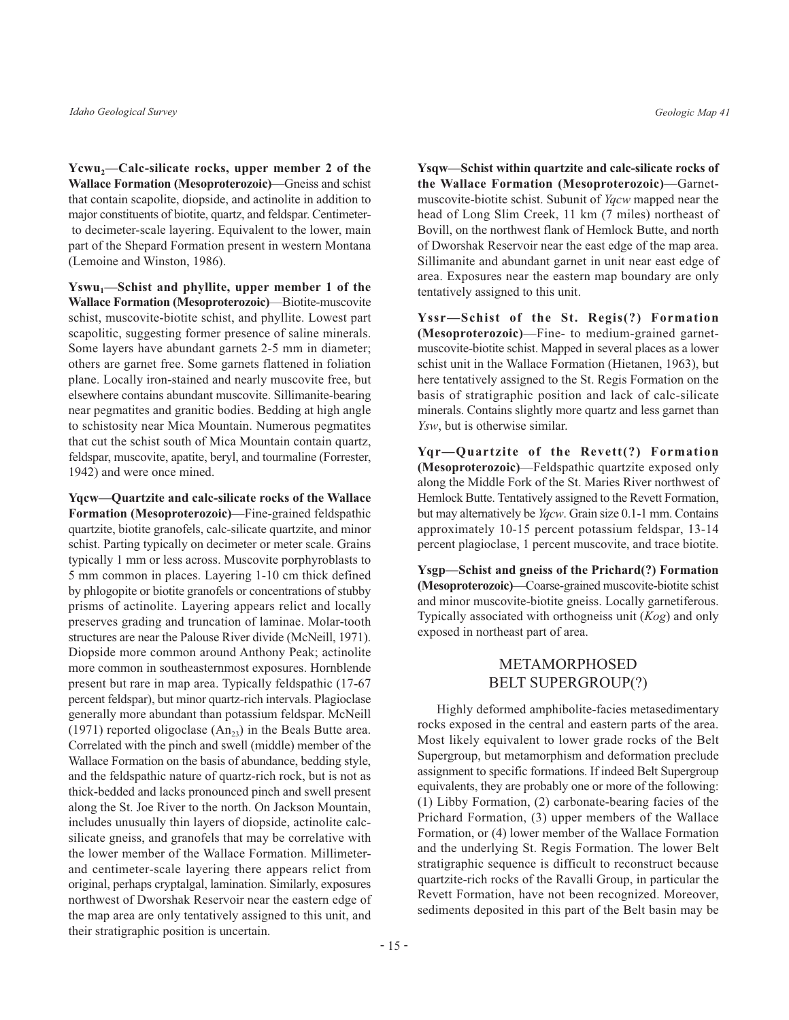$Ycwu_2$ —Calc-silicate rocks, upper member 2 of the Wallace Formation (Mesoproterozoic)-Gneiss and schist that contain scapolite, diopside, and actinolite in addition to major constituents of biotite, quartz, and feldspar. Centimeterto decimeter-scale layering. Equivalent to the lower, main part of the Shepard Formation present in western Montana (Lemoine and Winston, 1986).

Yswu<sub>1</sub>—Schist and phyllite, upper member 1 of the **Wallace Formation (Mesoproterozoic)**—Biotite-muscovite schist, muscovite-biotite schist, and phyllite. Lowest part scapolitic, suggesting former presence of saline minerals. Some layers have abundant garnets 2-5 mm in diameter; others are garnet free. Some garnets flattened in foliation plane. Locally iron-stained and nearly muscovite free, but elsewhere contains abundant muscovite. Sillimanite-bearing near pegmatites and granitic bodies. Bedding at high angle to schistosity near Mica Mountain. Numerous pegmatites that cut the schist south of Mica Mountain contain quartz, feldspar, muscovite, apatite, beryl, and tourmaline (Forrester, 1942) and were once mined.

Yqcw-Quartzite and calc-silicate rocks of the Wallace Formation (Mesoproterozoic)—Fine-grained feldspathic quartzite, biotite granofels, calc-silicate quartzite, and minor schist. Parting typically on decimeter or meter scale. Grains typically 1 mm or less across. Muscovite porphyroblasts to 5 mm common in places. Layering 1-10 cm thick defined by phlogopite or biotite granofels or concentrations of stubby prisms of actinolite. Layering appears relict and locally preserves grading and truncation of laminae. Molar-tooth structures are near the Palouse River divide (McNeill, 1971). Diopside more common around Anthony Peak; actinolite more common in southeasternmost exposures. Hornblende present but rare in map area. Typically feldspathic (17-67) percent feldspar), but minor quartz-rich intervals. Plagioclase generally more abundant than potassium feldspar. McNeill (1971) reported oligoclase  $(An_{23})$  in the Beals Butte area. Correlated with the pinch and swell (middle) member of the Wallace Formation on the basis of abundance, bedding style, and the feldspathic nature of quartz-rich rock, but is not as thick-bedded and lacks pronounced pinch and swell present along the St. Joe River to the north. On Jackson Mountain, includes unusually thin layers of diopside, actinolite calcsilicate gneiss, and granofels that may be correlative with the lower member of the Wallace Formation. Millimeterand centimeter-scale layering there appears relict from original, perhaps cryptalgal, lamination. Similarly, exposures northwest of Dworshak Reservoir near the eastern edge of the map area are only tentatively assigned to this unit, and their stratigraphic position is uncertain.

Ysqw-Schist within quartzite and calc-silicate rocks of the Wallace Formation (Mesoproterozoic)-Garnetmuscovite-biotite schist. Subunit of Ygcw mapped near the head of Long Slim Creek, 11 km (7 miles) northeast of Bovill, on the northwest flank of Hemlock Butte, and north of Dworshak Reservoir near the east edge of the map area. Sillimanite and abundant garnet in unit near east edge of area. Exposures near the eastern map boundary are only tentatively assigned to this unit.

Yssr-Schist of the St. Regis(?) Formation (Mesoproterozoic)—Fine- to medium-grained garnetmuscovite-biotite schist. Mapped in several places as a lower schist unit in the Wallace Formation (Hietanen, 1963), but here tentatively assigned to the St. Regis Formation on the basis of stratigraphic position and lack of calc-silicate minerals. Contains slightly more quartz and less garnet than Ysw, but is otherwise similar.

Yqr-Quartzite of the Revett(?) Formation (Mesoproterozoic)-Feldspathic quartzite exposed only along the Middle Fork of the St. Maries River northwest of Hemlock Butte. Tentatively assigned to the Revett Formation, but may alternatively be *Ygcw*. Grain size 0.1-1 mm. Contains approximately 10-15 percent potassium feldspar, 13-14 percent plagioclase, 1 percent muscovite, and trace biotite.

Ysgp—Schist and gneiss of the Prichard(?) Formation (Mesoproterozoic)-Coarse-grained muscovite-biotite schist and minor muscovite-biotite gneiss. Locally garnetiferous. Typically associated with orthogneiss unit  $(Kog)$  and only exposed in northeast part of area.

# **METAMORPHOSED BELT SUPERGROUP(?)**

Highly deformed amphibolite-facies metasedimentary rocks exposed in the central and eastern parts of the area. Most likely equivalent to lower grade rocks of the Belt Supergroup, but metamorphism and deformation preclude assignment to specific formations. If indeed Belt Supergroup equivalents, they are probably one or more of the following: (1) Libby Formation, (2) carbonate-bearing facies of the Prichard Formation, (3) upper members of the Wallace Formation, or (4) lower member of the Wallace Formation and the underlying St. Regis Formation. The lower Belt stratigraphic sequence is difficult to reconstruct because quartzite-rich rocks of the Ravalli Group, in particular the Revett Formation, have not been recognized. Moreover, sediments deposited in this part of the Belt basin may be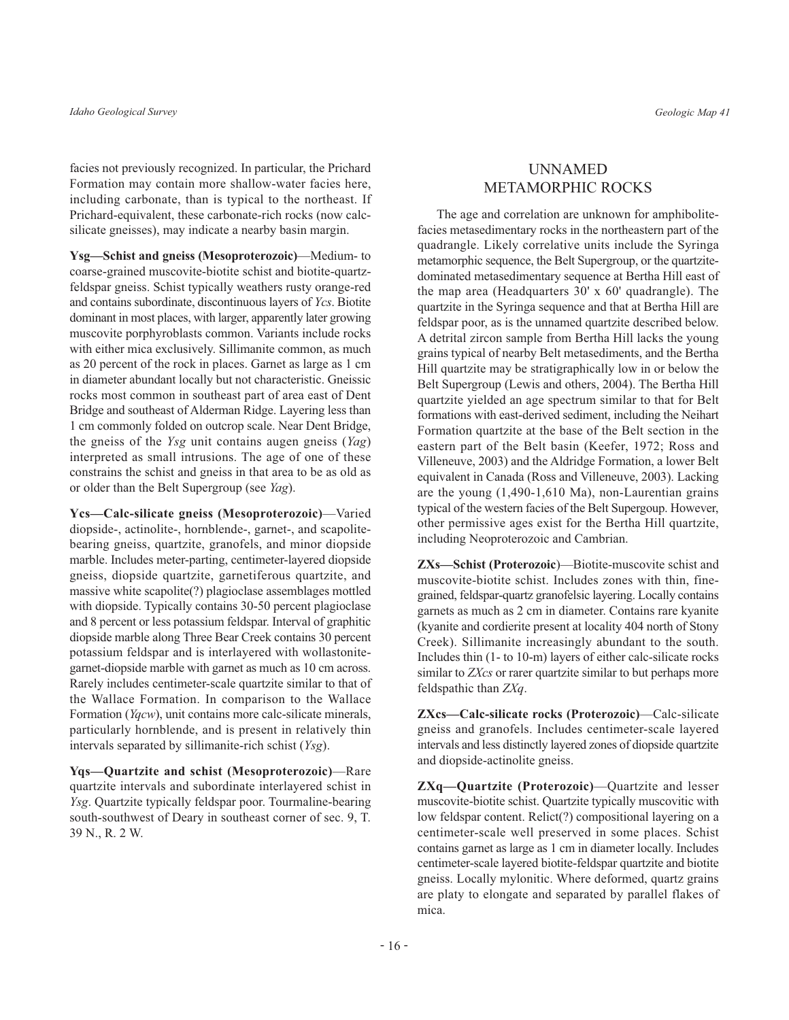facies not previously recognized. In particular, the Prichard Formation may contain more shallow-water facies here, including carbonate, than is typical to the northeast. If Prichard-equivalent, these carbonate-rich rocks (now calcsilicate gneisses), may indicate a nearby basin margin.

Ysg-Schist and gneiss (Mesoproterozoic)-Medium-to coarse-grained muscovite-biotite schist and biotite-quartzfeldspar gneiss. Schist typically weathers rusty orange-red and contains subordinate, discontinuous layers of Ycs. Biotite dominant in most places, with larger, apparently later growing muscovite porphyroblasts common. Variants include rocks with either mica exclusively. Sillimanite common, as much as 20 percent of the rock in places. Garnet as large as 1 cm in diameter abundant locally but not characteristic. Gneissic rocks most common in southeast part of area east of Dent Bridge and southeast of Alderman Ridge. Layering less than 1 cm commonly folded on outcrop scale. Near Dent Bridge, the gness of the  $Y_{sg}$  unit contains augen gness ( $Y_{ag}$ ) interpreted as small intrusions. The age of one of these constrains the schist and gneiss in that area to be as old as or older than the Belt Supergroup (see Yag).

Ycs-Calc-silicate gneiss (Mesoproterozoic)-Varied diopside-, actinolite-, hornblende-, garnet-, and scapolitebearing gneiss, quartzite, granofels, and minor diopside marble. Includes meter-parting, centimeter-layered diopside gneiss, diopside quartzite, garnetiferous quartzite, and massive white scapolite(?) plagioclase assemblages mottled with diopside. Typically contains 30-50 percent plagioclase and 8 percent or less potassium feldspar. Interval of graphitic diopside marble along Three Bear Creek contains 30 percent potassium feldspar and is interlayered with wollastonitegarnet-diopside marble with garnet as much as 10 cm across. Rarely includes centimeter-scale quartzite similar to that of the Wallace Formation. In comparison to the Wallace Formation (*Yqcw*), unit contains more calc-silicate minerals, particularly hornblende, and is present in relatively thin intervals separated by sillimanite-rich schist (Ysg).

Yqs-Quartzite and schist (Mesoproterozoic)-Rare quartzite intervals and subordinate interlayered schist in *Ysg.* Quartzite typically feldspar poor. Tourmaline-bearing south-southwest of Deary in southeast corner of sec. 9, T. 39 N., R. 2 W.

# **UNNAMED METAMORPHIC ROCKS**

The age and correlation are unknown for amphibolitefacies metasedimentary rocks in the northeastern part of the quadrangle. Likely correlative units include the Syringa metamorphic sequence, the Belt Supergroup, or the quartzitedominated metasedimentary sequence at Bertha Hill east of the map area (Headquarters 30' x 60' quadrangle). The quartzite in the Syringa sequence and that at Bertha Hill are feldspar poor, as is the unnamed quartzite described below. A detrital zircon sample from Bertha Hill lacks the young grains typical of nearby Belt metasediments, and the Bertha Hill quartzite may be stratigraphically low in or below the Belt Supergroup (Lewis and others, 2004). The Bertha Hill quartzite yielded an age spectrum similar to that for Belt formations with east-derived sediment, including the Neihart Formation quartzite at the base of the Belt section in the eastern part of the Belt basin (Keefer, 1972; Ross and Villeneuve, 2003) and the Aldridge Formation, a lower Belt equivalent in Canada (Ross and Villeneuve, 2003). Lacking are the young  $(1,490-1,610 \text{ Ma})$ , non-Laurentian grains typical of the western facies of the Belt Supergoup. However, other permissive ages exist for the Bertha Hill quartzite, including Neoproterozoic and Cambrian.

ZXs-Schist (Proterozoic)-Biotite-muscovite schist and muscovite-biotite schist. Includes zones with thin, finegrained, feldspar-quartz granofelsic layering. Locally contains garnets as much as 2 cm in diameter. Contains rare kyanite (kyanite and cordierite present at locality 404 north of Stony Creek). Sillimanite increasingly abundant to the south. Includes thin (1- to 10-m) layers of either calc-silicate rocks similar to ZXcs or rarer quartzite similar to but perhaps more feldspathic than ZXq.

ZXcs-Calc-silicate rocks (Proterozoic)-Calc-silicate gneiss and granofels. Includes centimeter-scale layered intervals and less distinctly layered zones of diopside quartzite and diopside-actinolite gneiss.

ZXq-Quartzite (Proterozoic)-Quartzite and lesser muscovite-biotite schist. Quartzite typically muscovitic with low feldspar content. Relict(?) compositional layering on a centimeter-scale well preserved in some places. Schist contains garnet as large as 1 cm in diameter locally. Includes centimeter-scale layered biotite-feldspar quartzite and biotite gneiss. Locally mylonitic. Where deformed, quartz grains are platy to elongate and separated by parallel flakes of mica.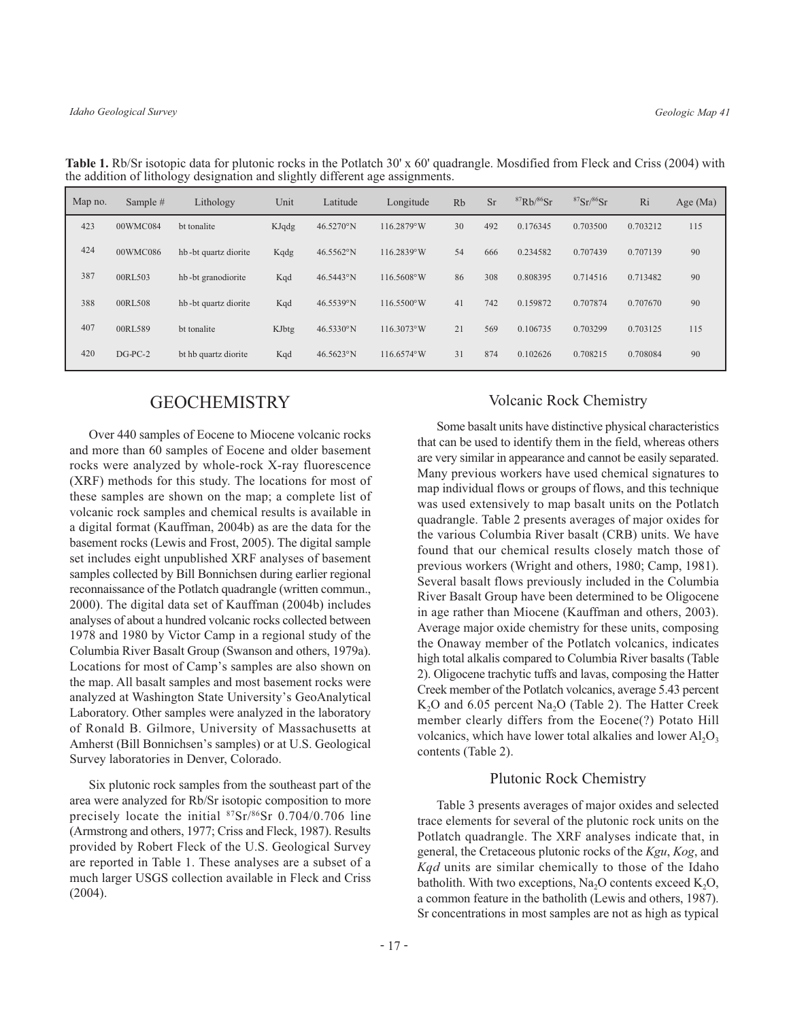| Map no. | Sample #  | Lithology            | Unit  | Latitude            | Longitude            | Rb | <b>Sr</b> | ${}^{87}Rb/{}^{86}Sr$ | ${}^{87}Sr/{}^{86}Sr$ | Ri       | Age $(Ma)$ |
|---------|-----------|----------------------|-------|---------------------|----------------------|----|-----------|-----------------------|-----------------------|----------|------------|
| 423     | 00WMC084  | bt tonalite          | KJqdg | $46.5270^{\circ}$ N | 116.2879°W           | 30 | 492       | 0.176345              | 0.703500              | 0.703212 | 115        |
| 424     | 00WMC086  | hb-bt quartz diorite | Kqdg  | $46.5562^{\circ}N$  | 116.2839°W           | 54 | 666       | 0.234582              | 0.707439              | 0.707139 | 90         |
| 387     | 00RL503   | hb-bt granodiorite   | Kqd   | 46.5443°N           | 116.5608°W           | 86 | 308       | 0.808395              | 0.714516              | 0.713482 | 90         |
| 388     | 00RL508   | hb-bt quartz diorite | Kqd   | 46.5539°N           | $116.5500^{\circ}$ W | 41 | 742       | 0.159872              | 0.707874              | 0.707670 | 90         |
| 407     | 00RL589   | bt tonalite          | KJbtg | $46.5330^{\circ}N$  | $116.3073^{\circ}$ W | 21 | 569       | 0.106735              | 0.703299              | 0.703125 | 115        |
| 420     | $DG-PC-2$ | bt hb quartz diorite | Kqd   | $46.5623^{\circ}N$  | $116.6574^{\circ}$ W | 31 | 874       | 0.102626              | 0.708215              | 0.708084 | 90         |

Table 1. Rb/Sr isotopic data for plutonic rocks in the Potlatch 30' x 60' quadrangle. Mosdified from Fleck and Criss (2004) with the addition of lithology designation and slightly different age assignments.

# **GEOCHEMISTRY**

Over 440 samples of Eocene to Miocene volcanic rocks and more than 60 samples of Eocene and older basement rocks were analyzed by whole-rock X-ray fluorescence (XRF) methods for this study. The locations for most of these samples are shown on the map; a complete list of volcanic rock samples and chemical results is available in a digital format (Kauffman, 2004b) as are the data for the basement rocks (Lewis and Frost, 2005). The digital sample set includes eight unpublished XRF analyses of basement samples collected by Bill Bonnichsen during earlier regional reconnaissance of the Potlatch quadrangle (written commun., 2000). The digital data set of Kauffman (2004b) includes analyses of about a hundred volcanic rocks collected between 1978 and 1980 by Victor Camp in a regional study of the Columbia River Basalt Group (Swanson and others, 1979a). Locations for most of Camp's samples are also shown on the map. All basalt samples and most basement rocks were analyzed at Washington State University's GeoAnalytical Laboratory. Other samples were analyzed in the laboratory of Ronald B. Gilmore, University of Massachusetts at Amherst (Bill Bonnichsen's samples) or at U.S. Geological Survey laboratories in Denver, Colorado.

Six plutonic rock samples from the southeast part of the area were analyzed for Rb/Sr isotopic composition to more precisely locate the initial <sup>87</sup>Sr/<sup>86</sup>Sr 0.704/0.706 line (Armstrong and others, 1977; Criss and Fleck, 1987). Results provided by Robert Fleck of the U.S. Geological Survey are reported in Table 1. These analyses are a subset of a much larger USGS collection available in Fleck and Criss  $(2004).$ 

#### **Volcanic Rock Chemistry**

Some basalt units have distinctive physical characteristics that can be used to identify them in the field, whereas others are very similar in appearance and cannot be easily separated. Many previous workers have used chemical signatures to map individual flows or groups of flows, and this technique was used extensively to map basalt units on the Potlatch quadrangle. Table 2 presents averages of major oxides for the various Columbia River basalt (CRB) units. We have found that our chemical results closely match those of previous workers (Wright and others, 1980; Camp, 1981). Several basalt flows previously included in the Columbia River Basalt Group have been determined to be Oligocene in age rather than Miocene (Kauffman and others, 2003). Average major oxide chemistry for these units, composing the Onaway member of the Potlatch volcanics, indicates high total alkalis compared to Columbia River basalts (Table 2). Oligocene trachytic tuffs and lavas, composing the Hatter Creek member of the Potlatch volcanics, average 5.43 percent K<sub>2</sub>O and 6.05 percent Na<sub>2</sub>O (Table 2). The Hatter Creek member clearly differs from the Eocene(?) Potato Hill volcanics, which have lower total alkalies and lower  $Al_2O_3$ contents (Table 2).

#### **Plutonic Rock Chemistry**

Table 3 presents averages of major oxides and selected trace elements for several of the plutonic rock units on the Potlatch quadrangle. The XRF analyses indicate that, in general, the Cretaceous plutonic rocks of the Kgu, Kog, and Kgd units are similar chemically to those of the Idaho batholith. With two exceptions, Na<sub>2</sub>O contents exceed  $K_2O$ , a common feature in the batholith (Lewis and others, 1987). Sr concentrations in most samples are not as high as typical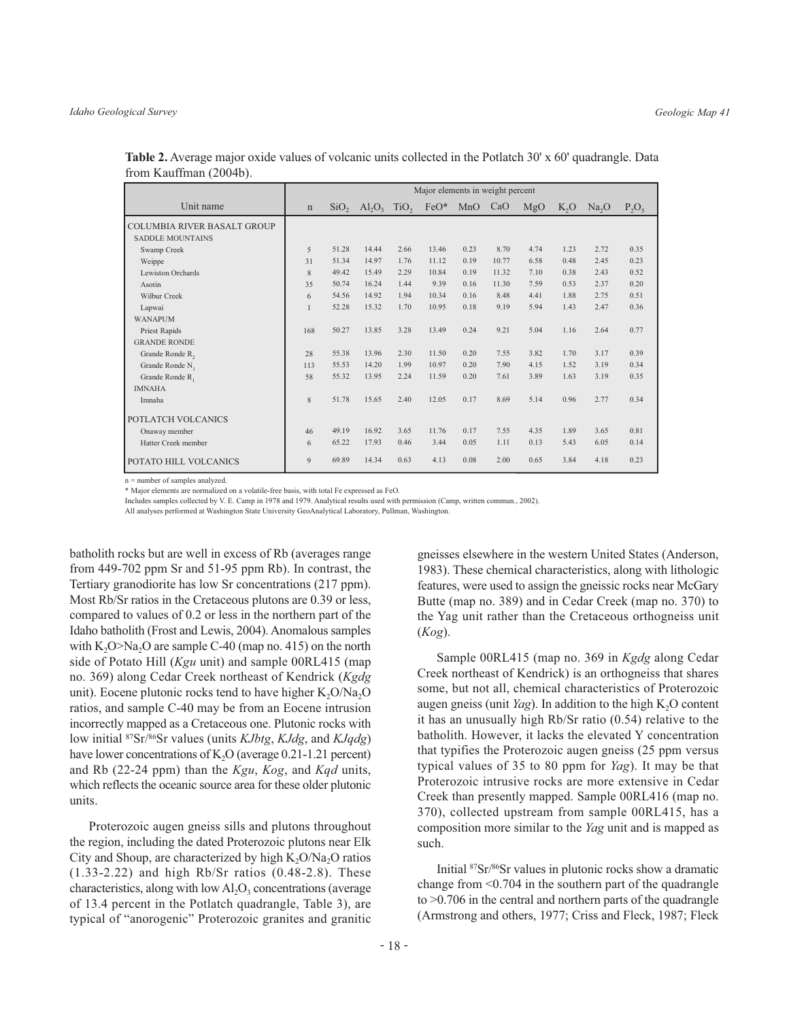|                                    | Major elements in weight percent |       |                   |      |                 |      |       |      |                  |                   |          |
|------------------------------------|----------------------------------|-------|-------------------|------|-----------------|------|-------|------|------------------|-------------------|----------|
| Unit name                          | $\mathbf n$                      |       | $SiO_2$ $Al_2O_2$ |      | $TiO$ , $FeO^*$ | MnO  | CaO   | MgO  | K <sub>2</sub> O | Na <sub>2</sub> O | $P_2O_5$ |
| <b>COLUMBIA RIVER BASALT GROUP</b> |                                  |       |                   |      |                 |      |       |      |                  |                   |          |
| <b>SADDLE MOUNTAINS</b>            |                                  |       |                   |      |                 |      |       |      |                  |                   |          |
| Swamp Creek                        | 5                                | 51.28 | 14.44             | 2.66 | 13.46           | 0.23 | 8.70  | 4.74 | 1.23             | 2.72              | 0.35     |
| Weippe                             | 31                               | 51.34 | 14.97             | 1.76 | 11.12           | 0.19 | 10.77 | 6.58 | 0.48             | 2.45              | 0.23     |
| Lewiston Orchards                  | 8                                | 49.42 | 15.49             | 2.29 | 10.84           | 0.19 | 11.32 | 7.10 | 0.38             | 2.43              | 0.52     |
| Asotin                             | 35                               | 50.74 | 16.24             | 1.44 | 9.39            | 0.16 | 11.30 | 7.59 | 0.53             | 2.37              | 0.20     |
| <b>Wilbur Creek</b>                | 6                                | 54.56 | 14.92             | 1.94 | 10.34           | 0.16 | 8.48  | 4.41 | 1.88             | 2.75              | 0.51     |
| Lapwai                             | $\mathbf{1}$                     | 52.28 | 15.32             | 1.70 | 10.95           | 0.18 | 9.19  | 5.94 | 1.43             | 2.47              | 0.36     |
| <b>WANAPUM</b>                     |                                  |       |                   |      |                 |      |       |      |                  |                   |          |
| Priest Rapids                      | 168                              | 50.27 | 13.85             | 3.28 | 13.49           | 0.24 | 9.21  | 5.04 | 1.16             | 2.64              | 0.77     |
| <b>GRANDE RONDE</b>                |                                  |       |                   |      |                 |      |       |      |                  |                   |          |
| Grande Ronde R,                    | 28                               | 55.38 | 13.96             | 2.30 | 11.50           | 0.20 | 7.55  | 3.82 | 1.70             | 3.17              | 0.39     |
| Grande Ronde N <sub>1</sub>        | 113                              | 55.53 | 14.20             | 1.99 | 10.97           | 0.20 | 7.90  | 4.15 | 1.52             | 3.19              | 0.34     |
| Grande Ronde R <sub>1</sub>        | 58                               | 55.32 | 13.95             | 2.24 | 11.59           | 0.20 | 7.61  | 3.89 | 1.63             | 3.19              | 0.35     |
| <b>IMNAHA</b>                      |                                  |       |                   |      |                 |      |       |      |                  |                   |          |
| Imnaha                             | 8                                | 51.78 | 15.65             | 2.40 | 12.05           | 0.17 | 8.69  | 5.14 | 0.96             | 2.77              | 0.34     |
| POTLATCH VOLCANICS                 |                                  |       |                   |      |                 |      |       |      |                  |                   |          |
| Onaway member                      | 46                               | 49.19 | 16.92             | 3.65 | 11.76           | 0.17 | 7.55  | 4.35 | 1.89             | 3.65              | 0.81     |
| Hatter Creek member                | 6                                | 65.22 | 17.93             | 0.46 | 3.44            | 0.05 | 1.11  | 0.13 | 5.43             | 6.05              | 0.14     |
| POTATO HILL VOLCANICS              | $\mathbf{Q}$                     | 69.89 | 14.34             | 0.63 | 4.13            | 0.08 | 2.00  | 0.65 | 3.84             | 4.18              | 0.23     |

**Table 2.** Average major oxide values of volcanic units collected in the Potlatch 30' x 60' quadrangle. Data from Kauffman (2004b).

 $n =$  number of samples analyzed

\* Major elements are normalized on a volatile-free basis, with total Fe expressed as FeO.

Includes samples collected by V. E. Camp in 1978 and 1979. Analytical results used with permission (Camp, written commun., 2002)

All analyses performed at Washington State University GeoAnalytical Laboratory, Pullman, Washington.

batholith rocks but are well in excess of Rb (averages range from 449-702 ppm Sr and 51-95 ppm Rb). In contrast, the Tertiary granodiorite has low Sr concentrations (217 ppm). Most Rb/Sr ratios in the Cretaceous plutons are 0.39 or less, compared to values of 0.2 or less in the northern part of the Idaho batholith (Frost and Lewis, 2004). Anomalous samples with  $K_2O>Na_2O$  are sample C-40 (map no. 415) on the north side of Potato Hill (*Kgu* unit) and sample 00RL415 (map no. 369) along Cedar Creek northeast of Kendrick (Kgdg unit). Eocene plutonic rocks tend to have higher  $K_2O/Na_2O$ ratios, and sample C-40 may be from an Eocene intrusion incorrectly mapped as a Cretaceous one. Plutonic rocks with low initial  ${}^{87}Sr/{}^{86}Sr$  values (units *KJbtg, KJdg, and KJqdg)* have lower concentrations of  $K_2O$  (average 0.21-1.21 percent) and Rb (22-24 ppm) than the  $Kgu$ ,  $Kog$ , and  $Kqd$  units, which reflects the oceanic source area for these older plutonic units.

Proterozoic augen gneiss sills and plutons throughout the region, including the dated Proterozoic plutons near Elk City and Shoup, are characterized by high  $K_2O/Na_2O$  ratios  $(1.33-2.22)$  and high Rb/Sr ratios  $(0.48-2.8)$ . These characteristics, along with low  $Al_2O_3$  concentrations (average of 13.4 percent in the Potlatch quadrangle, Table 3), are typical of "anorogenic" Proterozoic granites and granitic

gneisses elsewhere in the western United States (Anderson, 1983). These chemical characteristics, along with lithologic features, were used to assign the gneissic rocks near McGary Butte (map no. 389) and in Cedar Creek (map no. 370) to the Yag unit rather than the Cretaceous orthogneiss unit  $(Kog).$ 

Sample 00RL415 (map no. 369 in Kgdg along Cedar Creek northeast of Kendrick) is an orthogneiss that shares some, but not all, chemical characteristics of Proterozoic augen gneiss (unit  $Y_{qg}$ ). In addition to the high K<sub>2</sub>O content it has an unusually high  $Rb/Sr$  ratio  $(0.54)$  relative to the batholith. However, it lacks the elevated Y concentration that typifies the Proterozoic augen gneiss (25 ppm versus typical values of 35 to 80 ppm for  $Y_{\alpha}$ . It may be that Proterozoic intrusive rocks are more extensive in Cedar Creek than presently mapped. Sample 00RL416 (map no. 370), collected upstream from sample 00RL415, has a composition more similar to the Yag unit and is mapped as such.

Initial <sup>87</sup>Sr/<sup>86</sup>Sr values in plutonic rocks show a dramatic change from <0.704 in the southern part of the quadrangle to  $>0.706$  in the central and northern parts of the quadrangle (Armstrong and others, 1977; Criss and Fleck, 1987; Fleck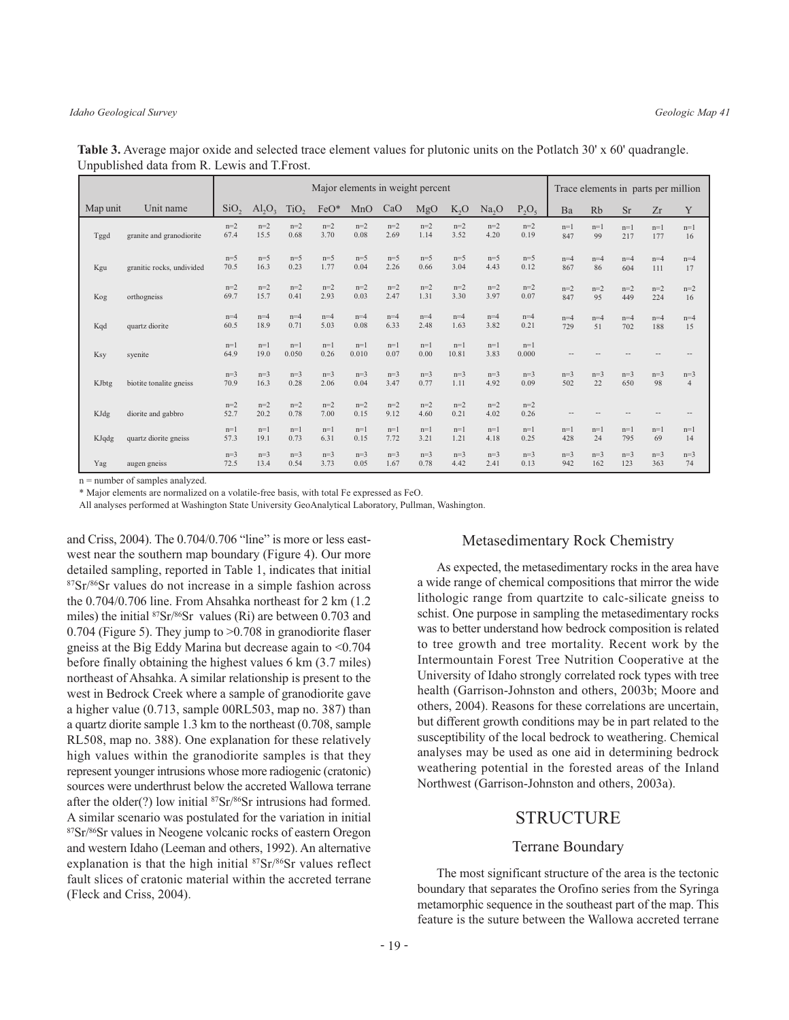|          |                           | Major elements in weight percent |                                |                  |               |                |               |               |                  |                   |                | Trace elements in parts per million |              |              |              |                         |
|----------|---------------------------|----------------------------------|--------------------------------|------------------|---------------|----------------|---------------|---------------|------------------|-------------------|----------------|-------------------------------------|--------------|--------------|--------------|-------------------------|
| Map unit | Unit name                 | SiO <sub>2</sub>                 | AI <sub>2</sub> O <sub>2</sub> | TiO <sub>2</sub> | $FeO*$        | MnO            | CaO           | MgO           | K <sub>2</sub> O | Na <sub>2</sub> O | $P_2O_5$       | Ba                                  | Rb           | <b>Sr</b>    | Zr           | Y                       |
| Tggd     | granite and granodiorite  | $n=2$<br>67.4                    | $n=2$<br>15.5                  | $n=2$<br>0.68    | $n=2$<br>3.70 | $n=2$<br>0.08  | $n=2$<br>2.69 | $n=2$<br>1.14 | $n=2$<br>3.52    | $n=2$<br>4.20     | $n=2$<br>0.19  | $n=1$<br>847                        | $n=1$<br>99  | $n=1$<br>217 | $n=1$<br>177 | $n=1$<br>16             |
| Kgu      | granitic rocks, undivided | $n=5$<br>70.5                    | $n=5$<br>16.3                  | $n=5$<br>0.23    | $n=5$<br>1.77 | $n=5$<br>0.04  | $n=5$<br>2.26 | $n=5$<br>0.66 | $n=5$<br>3.04    | $n=5$<br>4.43     | $n=5$<br>0.12  | $n=4$<br>867                        | $n=4$<br>86  | $n=4$<br>604 | $n=4$<br>111 | $n=4$<br>17             |
| Kog      | orthogneiss               | $n=2$<br>69.7                    | $n=2$<br>15.7                  | $n=2$<br>0.41    | $n=2$<br>2.93 | $n=2$<br>0.03  | $n=2$<br>2.47 | $n=2$<br>1.31 | $n=2$<br>3.30    | $n=2$<br>3.97     | $n=2$<br>0.07  | $n=2$<br>847                        | $n=2$<br>95  | $n=2$<br>449 | $n=2$<br>224 | $n=2$<br>16             |
| Kqd      | quartz diorite            | $n=4$<br>60.5                    | $n=4$<br>18.9                  | $n=4$<br>0.71    | $n=4$<br>5.03 | $n=4$<br>0.08  | $n=4$<br>6.33 | $n=4$<br>2.48 | $n=4$<br>1.63    | $n=4$<br>3.82     | $n=4$<br>0.21  | $n=4$<br>729                        | $n=4$<br>51  | $n=4$<br>702 | $n=4$<br>188 | $n=4$<br>15             |
| Ksy      | syenite                   | $n=1$<br>64.9                    | $n=1$<br>19.0                  | $n=1$<br>0.050   | $n=1$<br>0.26 | $n=1$<br>0.010 | $n=1$<br>0.07 | $n=1$<br>0.00 | $n=1$<br>10.81   | $n=1$<br>3.83     | $n=1$<br>0.000 |                                     |              |              |              |                         |
| KJbtg    | biotite tonalite gneiss   | $n=3$<br>70.9                    | $n=3$<br>16.3                  | $n=3$<br>0.28    | $n=3$<br>2.06 | $n=3$<br>0.04  | $n=3$<br>3.47 | $n=3$<br>0.77 | $n=3$<br>1.11    | $n=3$<br>4.92     | $n=3$<br>0.09  | $n=3$<br>502                        | $n=3$<br>22  | $n=3$<br>650 | $n=3$<br>98  | $n=3$<br>$\overline{4}$ |
| KJdg     | diorite and gabbro        | $n=2$<br>52.7                    | $n=2$<br>20.2                  | $n=2$<br>0.78    | $n=2$<br>7.00 | $n=2$<br>0.15  | $n=2$<br>9.12 | $n=2$<br>4.60 | $n=2$<br>0.21    | $n=2$<br>4.02     | $n=2$<br>0.26  |                                     |              |              |              |                         |
| KJqdg    | quartz diorite gneiss     | $n=1$<br>57.3                    | $n=1$<br>19.1                  | $n=1$<br>0.73    | $n=1$<br>6.31 | $n=1$<br>0.15  | $n=1$<br>7.72 | $n=1$<br>3.21 | $n=1$<br>1.21    | $n=1$<br>4.18     | $n=1$<br>0.25  | $n=1$<br>428                        | $n=1$<br>24  | $n=1$<br>795 | $n=1$<br>69  | $n=1$<br>14             |
| Yag      | augen gneiss              | $n=3$<br>72.5                    | $n=3$<br>13.4                  | $n=3$<br>0.54    | $n=3$<br>3.73 | $n=3$<br>0.05  | $n=3$<br>1.67 | $n=3$<br>0.78 | $n=3$<br>4.42    | $n=3$<br>2.41     | $n=3$<br>0.13  | $n=3$<br>942                        | $n=3$<br>162 | $n=3$<br>123 | $n=3$<br>363 | $n=3$<br>74             |

Table 3. Average major oxide and selected trace element values for plutonic units on the Potlatch 30' x 60' quadrangle. Unpublished data from R. Lewis and T. Frost.

 $n =$  number of samples analyzed.

\* Major elements are normalized on a volatile-free basis, with total Fe expressed as FeO.

All analyses performed at Washington State University GeoAnalytical Laboratory, Pullman, Washington.

and Criss, 2004). The 0.704/0.706 "line" is more or less eastwest near the southern map boundary (Figure 4). Our more detailed sampling, reported in Table 1, indicates that initial <sup>87</sup>Sr/<sup>86</sup>Sr values do not increase in a simple fashion across the 0.704/0.706 line. From Ahsahka northeast for 2 km (1.2) miles) the initial <sup>87</sup>Sr/<sup>86</sup>Sr values (Ri) are between 0.703 and 0.704 (Figure 5). They jump to  $>0.708$  in granodiorite flaser gneiss at the Big Eddy Marina but decrease again to  $\leq 0.704$ before finally obtaining the highest values 6 km (3.7 miles) northeast of Ahsahka. A similar relationship is present to the west in Bedrock Creek where a sample of granodiorite gave a higher value (0.713, sample 00RL503, map no. 387) than a quartz diorite sample 1.3 km to the northeast (0.708, sample RL508, map no. 388). One explanation for these relatively high values within the granodiorite samples is that they represent younger intrusions whose more radiogenic (cratonic) sources were underthrust below the accreted Wallowa terrane after the older(?) low initial <sup>87</sup>Sr/<sup>86</sup>Sr intrusions had formed. A similar scenario was postulated for the variation in initial <sup>87</sup>Sr/<sup>86</sup>Sr values in Neogene volcanic rocks of eastern Oregon and western Idaho (Leeman and others, 1992). An alternative explanation is that the high initial <sup>87</sup>Sr/86Sr values reflect fault slices of cratonic material within the accreted terrane (Fleck and Criss, 2004).

#### **Metasedimentary Rock Chemistry**

As expected, the metasedimentary rocks in the area have a wide range of chemical compositions that mirror the wide lithologic range from quartzite to calc-silicate gneiss to schist. One purpose in sampling the metasedimentary rocks was to better understand how bedrock composition is related to tree growth and tree mortality. Recent work by the Intermountain Forest Tree Nutrition Cooperative at the University of Idaho strongly correlated rock types with tree health (Garrison-Johnston and others, 2003b; Moore and others, 2004). Reasons for these correlations are uncertain, but different growth conditions may be in part related to the susceptibility of the local bedrock to weathering. Chemical analyses may be used as one aid in determining bedrock weathering potential in the forested areas of the Inland Northwest (Garrison-Johnston and others, 2003a).

#### **STRUCTURE**

#### **Terrane Boundary**

The most significant structure of the area is the tectonic boundary that separates the Orofino series from the Syringa metamorphic sequence in the southeast part of the map. This feature is the suture between the Wallowa accreted terrane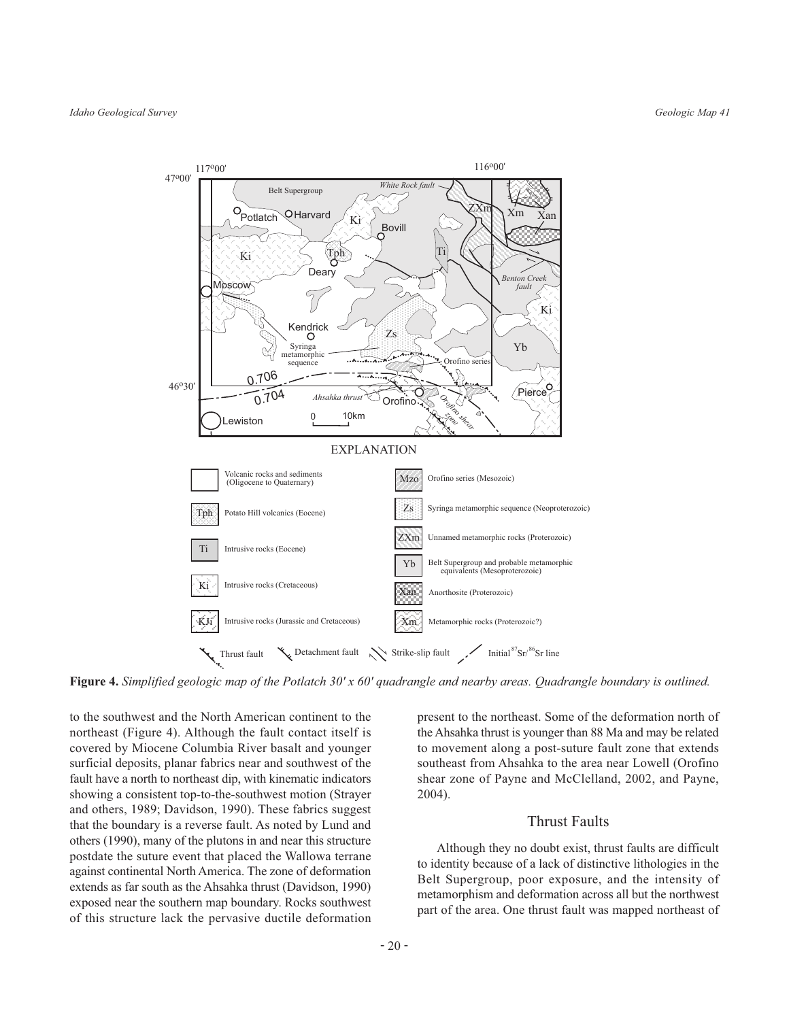

Figure 4. Simplified geologic map of the Potlatch  $30' \times 60'$  quadrangle and nearby areas. Quadrangle boundary is outlined.

to the southwest and the North American continent to the northeast (Figure 4). Although the fault contact itself is covered by Miocene Columbia River basalt and younger surficial deposits, planar fabrics near and southwest of the fault have a north to northeast dip, with kinematic indicators showing a consistent top-to-the-southwest motion (Strayer and others, 1989; Davidson, 1990). These fabrics suggest that the boundary is a reverse fault. As noted by Lund and others (1990), many of the plutons in and near this structure postdate the suture event that placed the Wallowa terrane against continental North America. The zone of deformation extends as far south as the Ahsahka thrust (Davidson, 1990) exposed near the southern map boundary. Rocks southwest of this structure lack the pervasive ductile deformation

present to the northeast. Some of the deformation north of the Ahsahka thrust is younger than 88 Ma and may be related to movement along a post-suture fault zone that extends southeast from Ahsahka to the area near Lowell (Orofino shear zone of Payne and McClelland, 2002, and Payne, 2004).

## **Thrust Faults**

Although they no doubt exist, thrust faults are difficult to identity because of a lack of distinctive lithologies in the Belt Supergroup, poor exposure, and the intensity of metamorphism and deformation across all but the northwest part of the area. One thrust fault was mapped northeast of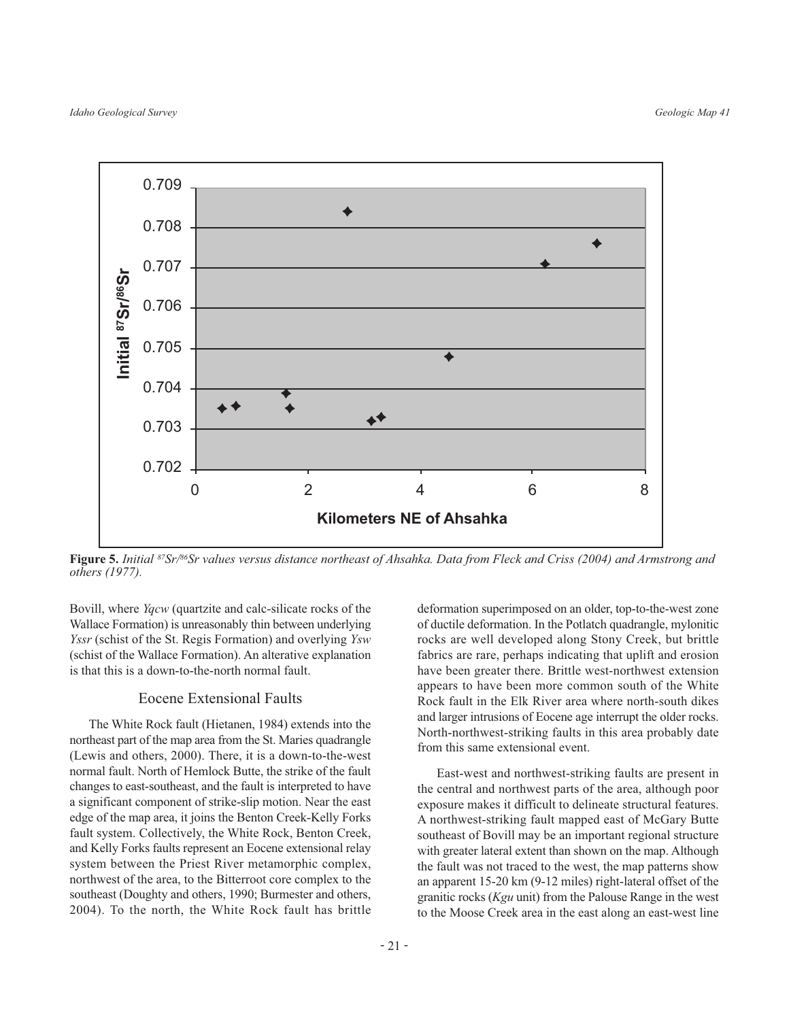

Figure 5. Initial 87Sr/86Sr values versus distance northeast of Ahsahka. Data from Fleck and Criss (2004) and Armstrong and others (1977).

Bovill, where *Yqcw* (quartzite and calc-silicate rocks of the Wallace Formation) is unreasonably thin between underlying *Yssr* (schist of the St. Regis Formation) and overlying *Ysw* (schist of the Wallace Formation). An alterative explanation is that this is a down-to-the-north normal fault.

#### **Eocene Extensional Faults**

The White Rock fault (Hietanen, 1984) extends into the northeast part of the map area from the St. Maries quadrangle (Lewis and others, 2000). There, it is a down-to-the-west normal fault. North of Hemlock Butte, the strike of the fault changes to east-southeast, and the fault is interpreted to have a significant component of strike-slip motion. Near the east edge of the map area, it joins the Benton Creek-Kelly Forks fault system. Collectively, the White Rock, Benton Creek, and Kelly Forks faults represent an Eocene extensional relay system between the Priest River metamorphic complex, northwest of the area, to the Bitterroot core complex to the southeast (Doughty and others, 1990; Burmester and others, 2004). To the north, the White Rock fault has brittle deformation superimposed on an older, top-to-the-west zone of ductile deformation. In the Potlatch quadrangle, mylonitic rocks are well developed along Stony Creek, but brittle fabrics are rare, perhaps indicating that uplift and erosion have been greater there. Brittle west-northwest extension appears to have been more common south of the White Rock fault in the Elk River area where north-south dikes and larger intrusions of Eocene age interrupt the older rocks. North-northwest-striking faults in this area probably date from this same extensional event.

East-west and northwest-striking faults are present in the central and northwest parts of the area, although poor exposure makes it difficult to delineate structural features. A northwest-striking fault mapped east of McGary Butte southeast of Bovill may be an important regional structure with greater lateral extent than shown on the map. Although the fault was not traced to the west, the map patterns show an apparent 15-20 km (9-12 miles) right-lateral offset of the granitic rocks (Kgu unit) from the Palouse Range in the west to the Moose Creek area in the east along an east-west line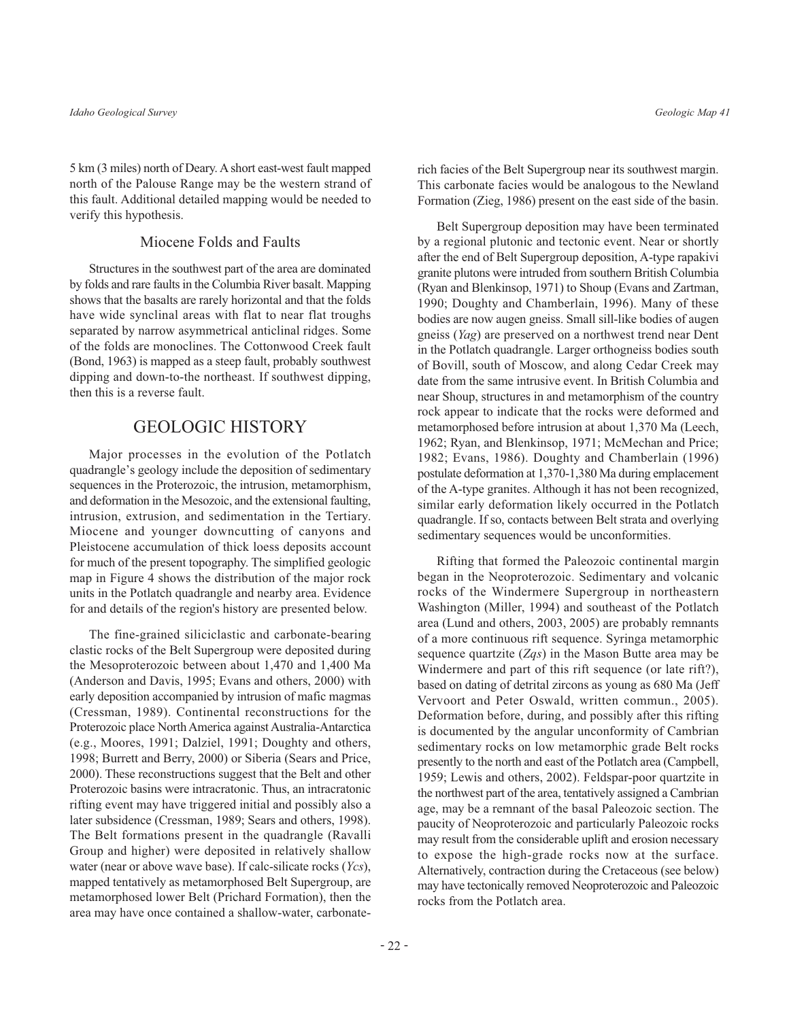5 km (3 miles) north of Deary. A short east-west fault mapped north of the Palouse Range may be the western strand of this fault. Additional detailed mapping would be needed to verify this hypothesis.

#### Miocene Folds and Faults

Structures in the southwest part of the area are dominated by folds and rare faults in the Columbia River basalt. Mapping shows that the basalts are rarely horizontal and that the folds have wide synclinal areas with flat to near flat troughs separated by narrow asymmetrical anticlinal ridges. Some of the folds are monoclines. The Cottonwood Creek fault (Bond, 1963) is mapped as a steep fault, probably southwest dipping and down-to-the northeast. If southwest dipping, then this is a reverse fault.

# **GEOLOGIC HISTORY**

Major processes in the evolution of the Potlatch quadrangle's geology include the deposition of sedimentary sequences in the Proterozoic, the intrusion, metamorphism, and deformation in the Mesozoic, and the extensional faulting, intrusion, extrusion, and sedimentation in the Tertiary. Miocene and younger downcutting of canyons and Pleistocene accumulation of thick loess deposits account for much of the present topography. The simplified geologic map in Figure 4 shows the distribution of the major rock units in the Potlatch quadrangle and nearby area. Evidence for and details of the region's history are presented below.

The fine-grained siliciclastic and carbonate-bearing clastic rocks of the Belt Supergroup were deposited during the Mesoproterozoic between about 1,470 and 1,400 Ma (Anderson and Davis, 1995; Evans and others, 2000) with early deposition accompanied by intrusion of mafic magmas (Cressman, 1989). Continental reconstructions for the Proterozoic place North America against Australia-Antarctica (e.g., Moores, 1991; Dalziel, 1991; Doughty and others, 1998; Burrett and Berry, 2000) or Siberia (Sears and Price, 2000). These reconstructions suggest that the Belt and other Proterozoic basins were intracratonic. Thus, an intracratonic rifting event may have triggered initial and possibly also a later subsidence (Cressman, 1989; Sears and others, 1998). The Belt formations present in the quadrangle (Ravalli Group and higher) were deposited in relatively shallow water (near or above wave base). If calc-silicate rocks  $(Ycs)$ , mapped tentatively as metamorphosed Belt Supergroup, are metamorphosed lower Belt (Prichard Formation), then the area may have once contained a shallow-water, carbonaterich facies of the Belt Supergroup near its southwest margin. This carbonate facies would be analogous to the Newland Formation (Zieg, 1986) present on the east side of the basin.

Belt Supergroup deposition may have been terminated by a regional plutonic and tectonic event. Near or shortly after the end of Belt Supergroup deposition, A-type rapakivi granite plutons were intruded from southern British Columbia (Ryan and Blenkinsop, 1971) to Shoup (Evans and Zartman, 1990; Doughty and Chamberlain, 1996). Many of these bodies are now augen gneiss. Small sill-like bodies of augen gneiss (Yag) are preserved on a northwest trend near Dent in the Potlatch quadrangle. Larger orthogneiss bodies south of Bovill, south of Moscow, and along Cedar Creek may date from the same intrusive event. In British Columbia and near Shoup, structures in and metamorphism of the country rock appear to indicate that the rocks were deformed and metamorphosed before intrusion at about 1,370 Ma (Leech, 1962; Ryan, and Blenkinsop, 1971; McMechan and Price; 1982; Evans, 1986). Doughty and Chamberlain (1996) postulate deformation at 1,370-1,380 Ma during emplacement of the A-type granites. Although it has not been recognized, similar early deformation likely occurred in the Potlatch quadrangle. If so, contacts between Belt strata and overlying sedimentary sequences would be unconformities.

Rifting that formed the Paleozoic continental margin began in the Neoproterozoic. Sedimentary and volcanic rocks of the Windermere Supergroup in northeastern Washington (Miller, 1994) and southeast of the Potlatch area (Lund and others, 2003, 2005) are probably remnants of a more continuous rift sequence. Syringa metamorphic sequence quartzite  $(Zqs)$  in the Mason Butte area may be Windermere and part of this rift sequence (or late rift?), based on dating of detrital zircons as young as 680 Ma (Jeff Vervoort and Peter Oswald, written commun., 2005). Deformation before, during, and possibly after this rifting is documented by the angular unconformity of Cambrian sedimentary rocks on low metamorphic grade Belt rocks presently to the north and east of the Potlatch area (Campbell, 1959; Lewis and others, 2002). Feldspar-poor quartzite in the northwest part of the area, tentatively assigned a Cambrian age, may be a remnant of the basal Paleozoic section. The paucity of Neoproterozoic and particularly Paleozoic rocks may result from the considerable uplift and erosion necessary to expose the high-grade rocks now at the surface. Alternatively, contraction during the Cretaceous (see below) may have tectonically removed Neoproterozoic and Paleozoic rocks from the Potlatch area.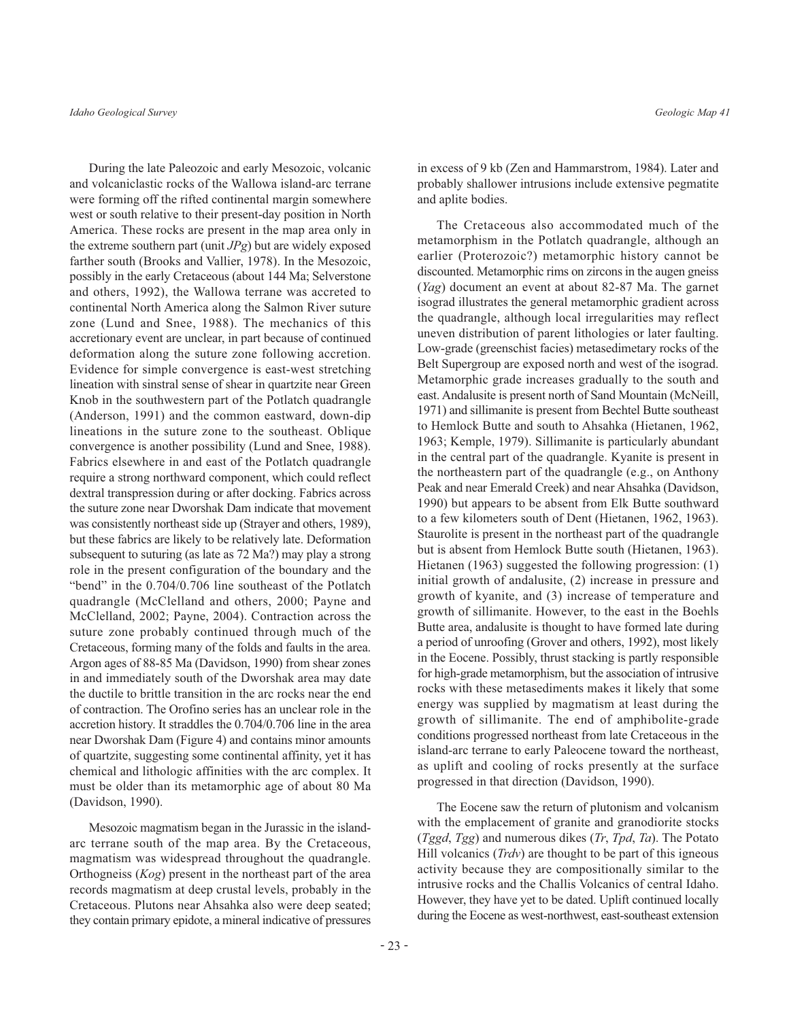During the late Paleozoic and early Mesozoic, volcanic and volcaniclastic rocks of the Wallowa island-arc terrane were forming off the rifted continental margin somewhere west or south relative to their present-day position in North America. These rocks are present in the map area only in the extreme southern part (unit  $JPg$ ) but are widely exposed farther south (Brooks and Vallier, 1978). In the Mesozoic, possibly in the early Cretaceous (about 144 Ma; Selverstone and others, 1992), the Wallowa terrane was accreted to continental North America along the Salmon River suture zone (Lund and Snee, 1988). The mechanics of this accretionary event are unclear, in part because of continued deformation along the suture zone following accretion. Evidence for simple convergence is east-west stretching lineation with sinstral sense of shear in quartzite near Green Knob in the southwestern part of the Potlatch quadrangle (Anderson, 1991) and the common eastward, down-dip lineations in the suture zone to the southeast. Oblique convergence is another possibility (Lund and Snee, 1988). Fabrics elsewhere in and east of the Potlatch quadrangle require a strong northward component, which could reflect dextral transpression during or after docking. Fabrics across the suture zone near Dworshak Dam indicate that movement was consistently northeast side up (Strayer and others, 1989), but these fabrics are likely to be relatively late. Deformation subsequent to suturing (as late as 72 Ma?) may play a strong role in the present configuration of the boundary and the "bend" in the 0.704/0.706 line southeast of the Potlatch quadrangle (McClelland and others, 2000; Payne and McClelland, 2002; Payne, 2004). Contraction across the suture zone probably continued through much of the Cretaceous, forming many of the folds and faults in the area. Argon ages of 88-85 Ma (Davidson, 1990) from shear zones in and immediately south of the Dworshak area may date the ductile to brittle transition in the arc rocks near the end of contraction. The Orofino series has an unclear role in the accretion history. It straddles the 0.704/0.706 line in the area near Dworshak Dam (Figure 4) and contains minor amounts of quartzite, suggesting some continental affinity, yet it has chemical and lithologic affinities with the arc complex. It must be older than its metamorphic age of about 80 Ma (Davidson, 1990).

Mesozoic magmatism began in the Jurassic in the islandarc terrane south of the map area. By the Cretaceous, magmatism was widespread throughout the quadrangle. Orthogneiss  $(Kog)$  present in the northeast part of the area records magmatism at deep crustal levels, probably in the Cretaceous. Plutons near Ahsahka also were deep seated; they contain primary epidote, a mineral indicative of pressures

in excess of 9 kb (Zen and Hammarstrom, 1984). Later and probably shallower intrusions include extensive pegmatite and aplite bodies.

The Cretaceous also accommodated much of the metamorphism in the Potlatch quadrangle, although an earlier (Proterozoic?) metamorphic history cannot be discounted. Metamorphic rims on zircons in the augen gneiss (Yag) document an event at about 82-87 Ma. The garnet isograd illustrates the general metamorphic gradient across the quadrangle, although local irregularities may reflect uneven distribution of parent lithologies or later faulting. Low-grade (greenschist facies) metasedimetary rocks of the Belt Supergroup are exposed north and west of the isograd. Metamorphic grade increases gradually to the south and east. Andalusite is present north of Sand Mountain (McNeill, 1971) and sillimanite is present from Bechtel Butte southeast to Hemlock Butte and south to Ahsahka (Hietanen, 1962, 1963; Kemple, 1979). Sillimanite is particularly abundant in the central part of the quadrangle. Kyanite is present in the northeastern part of the quadrangle (e.g., on Anthony Peak and near Emerald Creek) and near Ahsahka (Davidson, 1990) but appears to be absent from Elk Butte southward to a few kilometers south of Dent (Hietanen, 1962, 1963). Staurolite is present in the northeast part of the quadrangle but is absent from Hemlock Butte south (Hietanen, 1963). Hietanen (1963) suggested the following progression:  $(1)$ initial growth of andalusite, (2) increase in pressure and growth of kyanite, and (3) increase of temperature and growth of sillimanite. However, to the east in the Boehls Butte area, andalusite is thought to have formed late during a period of unroofing (Grover and others, 1992), most likely in the Eocene. Possibly, thrust stacking is partly responsible for high-grade metamorphism, but the association of intrusive rocks with these metasediments makes it likely that some energy was supplied by magmatism at least during the growth of sillimanite. The end of amphibolite-grade conditions progressed northeast from late Cretaceous in the island-arc terrane to early Paleocene toward the northeast, as uplift and cooling of rocks presently at the surface progressed in that direction (Davidson, 1990).

The Eocene saw the return of plutonism and volcanism with the emplacement of granite and granodiorite stocks  $(Tggd, Tgg)$  and numerous dikes  $(Tr, Tpd, Ta)$ . The Potato Hill volcanics  $(Trdv)$  are thought to be part of this igneous activity because they are compositionally similar to the intrusive rocks and the Challis Volcanics of central Idaho. However, they have yet to be dated. Uplift continued locally during the Eocene as west-northwest, east-southeast extension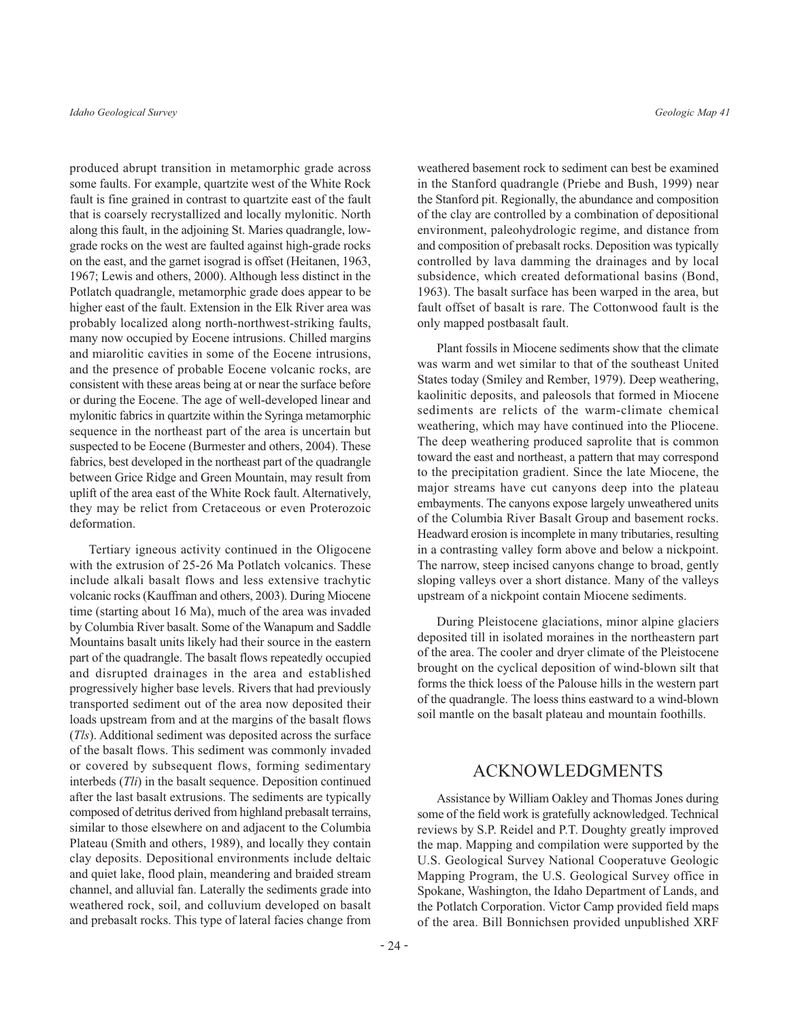produced abrupt transition in metamorphic grade across some faults. For example, quartzite west of the White Rock fault is fine grained in contrast to quartzite east of the fault that is coarsely recrystallized and locally mylonitic. North along this fault, in the adjoining St. Maries quadrangle, lowgrade rocks on the west are faulted against high-grade rocks on the east, and the garnet isograd is offset (Heitanen, 1963, 1967; Lewis and others, 2000). Although less distinct in the Potlatch quadrangle, metamorphic grade does appear to be higher east of the fault. Extension in the Elk River area was probably localized along north-northwest-striking faults, many now occupied by Eocene intrusions. Chilled margins and miarolitic cavities in some of the Eocene intrusions, and the presence of probable Eocene volcanic rocks, are consistent with these areas being at or near the surface before or during the Eocene. The age of well-developed linear and mylonitic fabrics in quartzite within the Syringa metamorphic sequence in the northeast part of the area is uncertain but suspected to be Eocene (Burmester and others, 2004). These fabrics, best developed in the northeast part of the quadrangle between Grice Ridge and Green Mountain, may result from uplift of the area east of the White Rock fault. Alternatively, they may be relict from Cretaceous or even Proterozoic deformation.

Tertiary igneous activity continued in the Oligocene with the extrusion of 25-26 Ma Potlatch volcanics. These include alkali basalt flows and less extensive trachytic volcanic rocks (Kauffman and others, 2003). During Miocene time (starting about 16 Ma), much of the area was invaded by Columbia River basalt. Some of the Wanapum and Saddle Mountains basalt units likely had their source in the eastern part of the quadrangle. The basalt flows repeatedly occupied and disrupted drainages in the area and established progressively higher base levels. Rivers that had previously transported sediment out of the area now deposited their loads upstream from and at the margins of the basalt flows (Tls). Additional sediment was deposited across the surface of the basalt flows. This sediment was commonly invaded or covered by subsequent flows, forming sedimentary interbeds  $(Tli)$  in the basalt sequence. Deposition continued after the last basalt extrusions. The sediments are typically composed of detritus derived from highland prebasalt terrains, similar to those elsewhere on and adjacent to the Columbia Plateau (Smith and others, 1989), and locally they contain clay deposits. Depositional environments include deltaic and quiet lake, flood plain, meandering and braided stream channel, and alluvial fan. Laterally the sediments grade into weathered rock, soil, and colluvium developed on basalt and prebasalt rocks. This type of lateral facies change from

Geologic Map 41

weathered basement rock to sediment can best be examined in the Stanford quadrangle (Priebe and Bush, 1999) near the Stanford pit. Regionally, the abundance and composition of the clay are controlled by a combination of depositional environment, paleohydrologic regime, and distance from and composition of prebasalt rocks. Deposition was typically controlled by lava damming the drainages and by local subsidence, which created deformational basins (Bond, 1963). The basalt surface has been warped in the area, but fault offset of basalt is rare. The Cottonwood fault is the only mapped postbasalt fault.

Plant fossils in Miocene sediments show that the climate was warm and wet similar to that of the southeast United States today (Smiley and Rember, 1979). Deep weathering, kaolinitic deposits, and paleosols that formed in Miocene sediments are relicts of the warm-climate chemical weathering, which may have continued into the Pliocene. The deep weathering produced saprolite that is common toward the east and northeast, a pattern that may correspond to the precipitation gradient. Since the late Miocene, the major streams have cut canyons deep into the plateau embayments. The canyons expose largely unweathered units of the Columbia River Basalt Group and basement rocks. Headward erosion is incomplete in many tributaries, resulting in a contrasting valley form above and below a nickpoint. The narrow, steep incised canyons change to broad, gently sloping valleys over a short distance. Many of the valleys upstream of a nickpoint contain Miocene sediments.

During Pleistocene glaciations, minor alpine glaciers deposited till in isolated moraines in the northeastern part of the area. The cooler and dryer climate of the Pleistocene brought on the cyclical deposition of wind-blown silt that forms the thick loess of the Palouse hills in the western part of the quadrangle. The loess thins eastward to a wind-blown soil mantle on the basalt plateau and mountain foothills.

# **ACKNOWLEDGMENTS**

Assistance by William Oakley and Thomas Jones during some of the field work is gratefully acknowledged. Technical reviews by S.P. Reidel and P.T. Doughty greatly improved the map. Mapping and compilation were supported by the U.S. Geological Survey National Cooperatuve Geologic Mapping Program, the U.S. Geological Survey office in Spokane, Washington, the Idaho Department of Lands, and the Potlatch Corporation. Victor Camp provided field maps of the area. Bill Bonnichsen provided unpublished XRF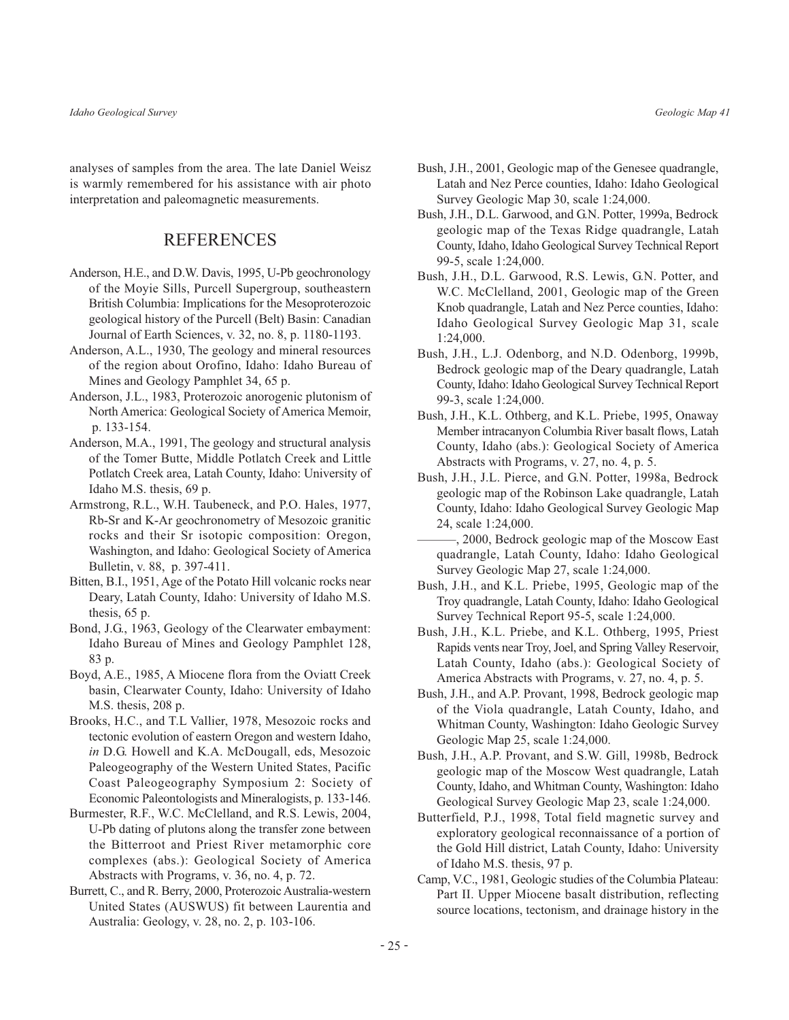analyses of samples from the area. The late Daniel Weisz is warmly remembered for his assistance with air photo interpretation and paleomagnetic measurements.

# **REFERENCES**

- Anderson, H.E., and D.W. Davis, 1995, U-Pb geochronology of the Moyie Sills, Purcell Supergroup, southeastern British Columbia: Implications for the Mesoproterozoic geological history of the Purcell (Belt) Basin: Canadian Journal of Earth Sciences, v. 32, no. 8, p. 1180-1193.
- Anderson, A.L., 1930, The geology and mineral resources of the region about Orofino, Idaho: Idaho Bureau of Mines and Geology Pamphlet 34, 65 p.
- Anderson, J.L., 1983, Proterozoic anorogenic plutonism of North America: Geological Society of America Memoir, p. 133-154.
- Anderson, M.A., 1991, The geology and structural analysis of the Tomer Butte, Middle Potlatch Creek and Little Potlatch Creek area, Latah County, Idaho: University of Idaho M.S. thesis, 69 p.
- Armstrong, R.L., W.H. Taubeneck, and P.O. Hales, 1977, Rb-Sr and K-Ar geochronometry of Mesozoic granitic rocks and their Sr isotopic composition: Oregon, Washington, and Idaho: Geological Society of America Bulletin, v. 88, p. 397-411.
- Bitten, B.I., 1951, Age of the Potato Hill volcanic rocks near Deary, Latah County, Idaho: University of Idaho M.S. thesis,  $65$  p.
- Bond, J.G., 1963, Geology of the Clearwater embayment: Idaho Bureau of Mines and Geology Pamphlet 128, 83 p.
- Boyd, A.E., 1985, A Miocene flora from the Oviatt Creek basin, Clearwater County, Idaho: University of Idaho M.S. thesis, 208 p.
- Brooks, H.C., and T.L Vallier, 1978, Mesozoic rocks and tectonic evolution of eastern Oregon and western Idaho, in D.G. Howell and K.A. McDougall, eds, Mesozoic Paleogeography of the Western United States, Pacific Coast Paleogeography Symposium 2: Society of Economic Paleontologists and Mineralogists, p. 133-146.
- Burmester, R.F., W.C. McClelland, and R.S. Lewis, 2004, U-Pb dating of plutons along the transfer zone between the Bitterroot and Priest River metamorphic core complexes (abs.): Geological Society of America Abstracts with Programs, v. 36, no. 4, p. 72.
- Burrett, C., and R. Berry, 2000, Proterozoic Australia-western United States (AUSWUS) fit between Laurentia and Australia: Geology, v. 28, no. 2, p. 103-106.
- Bush, J.H., 2001, Geologic map of the Genesee quadrangle, Latah and Nez Perce counties, Idaho: Idaho Geological Survey Geologic Map 30, scale 1:24,000.
- Bush, J.H., D.L. Garwood, and G.N. Potter, 1999a, Bedrock geologic map of the Texas Ridge quadrangle, Latah County, Idaho, Idaho Geological Survey Technical Report 99-5, scale 1:24,000.
- Bush, J.H., D.L. Garwood, R.S. Lewis, G.N. Potter, and W.C. McClelland, 2001, Geologic map of the Green Knob quadrangle, Latah and Nez Perce counties, Idaho: Idaho Geological Survey Geologic Map 31, scale  $1:24,000.$
- Bush, J.H., L.J. Odenborg, and N.D. Odenborg, 1999b, Bedrock geologic map of the Deary quadrangle, Latah County, Idaho: Idaho Geological Survey Technical Report 99-3, scale 1:24,000.
- Bush, J.H., K.L. Othberg, and K.L. Priebe, 1995, Onaway Member intracanyon Columbia River basalt flows, Latah County, Idaho (abs.): Geological Society of America Abstracts with Programs, v. 27, no. 4, p. 5.
- Bush, J.H., J.L. Pierce, and G.N. Potter, 1998a, Bedrock geologic map of the Robinson Lake quadrangle, Latah County, Idaho: Idaho Geological Survey Geologic Map 24, scale 1:24,000.
- , 2000, Bedrock geologic map of the Moscow East quadrangle, Latah County, Idaho: Idaho Geological Survey Geologic Map 27, scale 1:24,000.
- Bush, J.H., and K.L. Priebe, 1995, Geologic map of the Troy quadrangle, Latah County, Idaho: Idaho Geological Survey Technical Report 95-5, scale 1:24,000.
- Bush, J.H., K.L. Priebe, and K.L. Othberg, 1995, Priest Rapids vents near Troy, Joel, and Spring Valley Reservoir, Latah County, Idaho (abs.): Geological Society of America Abstracts with Programs, v. 27, no. 4, p. 5.
- Bush, J.H., and A.P. Provant, 1998, Bedrock geologic map of the Viola quadrangle, Latah County, Idaho, and Whitman County, Washington: Idaho Geologic Survey Geologic Map 25, scale 1:24,000.
- Bush, J.H., A.P. Provant, and S.W. Gill, 1998b, Bedrock geologic map of the Moscow West quadrangle, Latah County, Idaho, and Whitman County, Washington: Idaho Geological Survey Geologic Map 23, scale 1:24,000.
- Butterfield, P.J., 1998, Total field magnetic survey and exploratory geological reconnaissance of a portion of the Gold Hill district, Latah County, Idaho: University of Idaho M.S. thesis, 97 p.
- Camp, V.C., 1981, Geologic studies of the Columbia Plateau: Part II. Upper Miocene basalt distribution, reflecting source locations, tectonism, and drainage history in the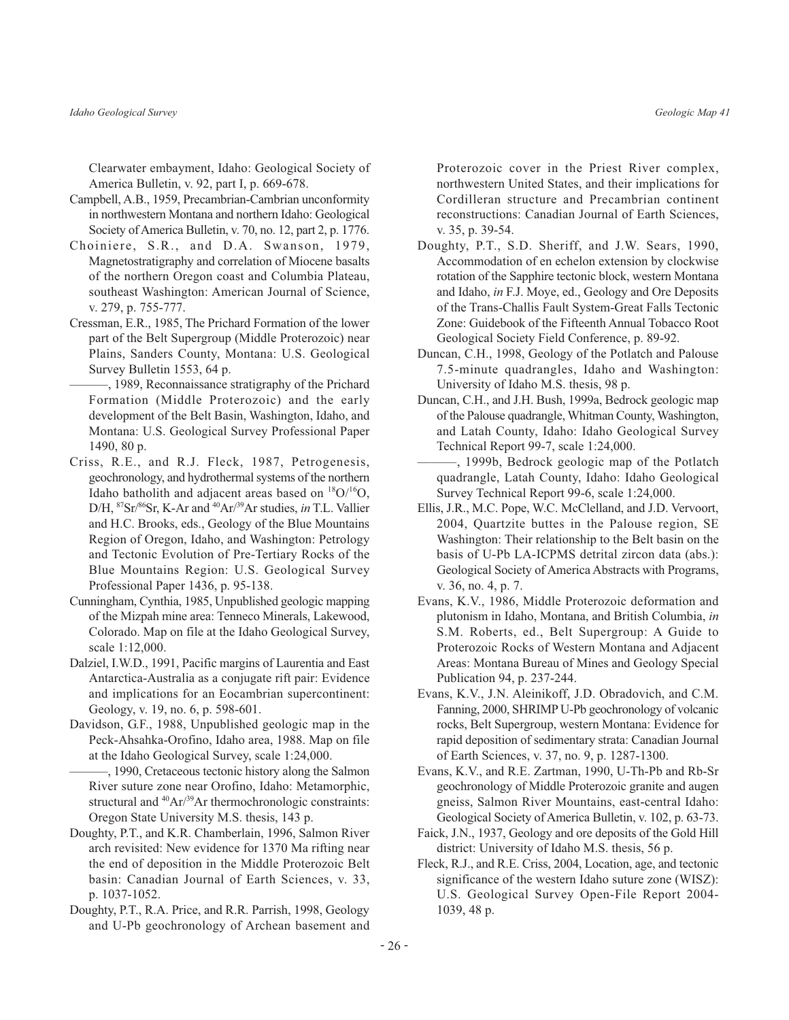Clearwater embayment, Idaho: Geological Society of America Bulletin, v. 92, part I, p. 669-678.

- Campbell, A.B., 1959, Precambrian-Cambrian unconformity in northwestern Montana and northern Idaho: Geological Society of America Bulletin, v. 70, no. 12, part 2, p. 1776.
- Choiniere, S.R., and D.A. Swanson, 1979, Magnetostratigraphy and correlation of Miocene basalts of the northern Oregon coast and Columbia Plateau, southeast Washington: American Journal of Science, v. 279, p. 755-777.
- Cressman, E.R., 1985, The Prichard Formation of the lower part of the Belt Supergroup (Middle Proterozoic) near Plains, Sanders County, Montana: U.S. Geological Survey Bulletin 1553, 64 p.
- -, 1989, Reconnaissance stratigraphy of the Prichard Formation (Middle Proterozoic) and the early development of the Belt Basin, Washington, Idaho, and Montana: U.S. Geological Survey Professional Paper 1490, 80 p.
- Criss, R.E., and R.J. Fleck, 1987, Petrogenesis, geochronology, and hydrothermal systems of the northern Idaho batholith and adjacent areas based on  ${}^{18}O/{}^{16}O$ , D/H, <sup>87</sup>Sr/<sup>86</sup>Sr, K-Ar and <sup>40</sup>Ar/<sup>39</sup>Ar studies, in T.L. Vallier and H.C. Brooks, eds., Geology of the Blue Mountains Region of Oregon, Idaho, and Washington: Petrology and Tectonic Evolution of Pre-Tertiary Rocks of the Blue Mountains Region: U.S. Geological Survey Professional Paper 1436, p. 95-138.
- Cunningham, Cynthia, 1985, Unpublished geologic mapping of the Mizpah mine area: Tenneco Minerals, Lakewood, Colorado. Map on file at the Idaho Geological Survey, scale 1:12,000.
- Dalziel, I.W.D., 1991, Pacific margins of Laurentia and East Antarctica-Australia as a conjugate rift pair: Evidence and implications for an Eocambrian supercontinent: Geology, v. 19, no. 6, p. 598-601.
- Davidson, G.F., 1988, Unpublished geologic map in the Peck-Ahsahka-Orofino, Idaho area, 1988. Map on file at the Idaho Geological Survey, scale 1:24,000.

-, 1990, Cretaceous tectonic history along the Salmon River suture zone near Orofino, Idaho: Metamorphic, structural and  ${}^{40}Ar/{}^{39}Ar$  thermochronologic constraints: Oregon State University M.S. thesis, 143 p.

- Doughty, P.T., and K.R. Chamberlain, 1996, Salmon River arch revisited: New evidence for 1370 Ma rifting near the end of deposition in the Middle Proterozoic Belt basin: Canadian Journal of Earth Sciences, v. 33, p. 1037-1052.
- Doughty, P.T., R.A. Price, and R.R. Parrish, 1998, Geology and U-Pb geochronology of Archean basement and

Proterozoic cover in the Priest River complex, northwestern United States, and their implications for Cordilleran structure and Precambrian continent reconstructions: Canadian Journal of Earth Sciences, v. 35, p. 39-54.

- Doughty, P.T., S.D. Sheriff, and J.W. Sears, 1990, Accommodation of en echelon extension by clockwise rotation of the Sapphire tectonic block, western Montana and Idaho, in F.J. Moye, ed., Geology and Ore Deposits of the Trans-Challis Fault System-Great Falls Tectonic Zone: Guidebook of the Fifteenth Annual Tobacco Root Geological Society Field Conference, p. 89-92.
- Duncan, C.H., 1998, Geology of the Potlatch and Palouse 7.5-minute quadrangles, Idaho and Washington: University of Idaho M.S. thesis, 98 p.
- Duncan, C.H., and J.H. Bush, 1999a, Bedrock geologic map of the Palouse quadrangle, Whitman County, Washington, and Latah County, Idaho: Idaho Geological Survey Technical Report 99-7, scale 1:24,000.
- -, 1999b, Bedrock geologic map of the Potlatch quadrangle, Latah County, Idaho: Idaho Geological Survey Technical Report 99-6, scale 1:24,000.
- Ellis, J.R., M.C. Pope, W.C. McClelland, and J.D. Vervoort, 2004, Quartzite buttes in the Palouse region, SE Washington: Their relationship to the Belt basin on the basis of U-Pb LA-ICPMS detrital zircon data (abs.): Geological Society of America Abstracts with Programs, v. 36, no. 4, p. 7.
- Evans, K.V., 1986, Middle Proterozoic deformation and plutonism in Idaho, Montana, and British Columbia, in S.M. Roberts, ed., Belt Supergroup: A Guide to Proterozoic Rocks of Western Montana and Adjacent Areas: Montana Bureau of Mines and Geology Special Publication 94, p. 237-244.
- Evans, K.V., J.N. Aleinikoff, J.D. Obradovich, and C.M. Fanning, 2000, SHRIMP U-Pb geochronology of volcanic rocks, Belt Supergroup, western Montana: Evidence for rapid deposition of sedimentary strata: Canadian Journal of Earth Sciences, v. 37, no. 9, p. 1287-1300.
- Evans, K.V., and R.E. Zartman, 1990, U-Th-Pb and Rb-Sr geochronology of Middle Proterozoic granite and augen gneiss, Salmon River Mountains, east-central Idaho: Geological Society of America Bulletin, v. 102, p. 63-73.
- Faick, J.N., 1937, Geology and ore deposits of the Gold Hill district: University of Idaho M.S. thesis, 56 p.
- Fleck, R.J., and R.E. Criss, 2004, Location, age, and tectonic significance of the western Idaho suture zone (WISZ): U.S. Geological Survey Open-File Report 2004- $1039, 48 p.$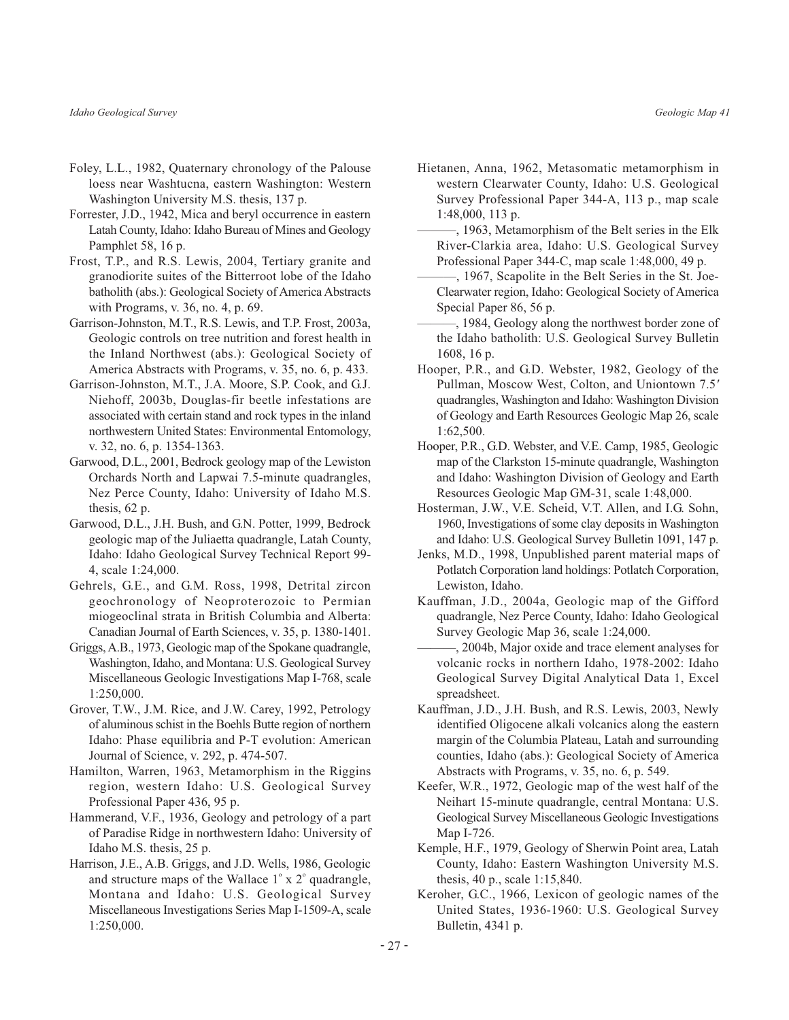- Foley, L.L., 1982, Quaternary chronology of the Palouse loess near Washtucna, eastern Washington: Western Washington University M.S. thesis, 137 p.
- Forrester, J.D., 1942, Mica and beryl occurrence in eastern Latah County, Idaho: Idaho Bureau of Mines and Geology Pamphlet 58, 16 p.
- Frost, T.P., and R.S. Lewis, 2004, Tertiary granite and granodiorite suites of the Bitterroot lobe of the Idaho batholith (abs.): Geological Society of America Abstracts with Programs, v. 36, no. 4, p. 69.
- Garrison-Johnston, M.T., R.S. Lewis, and T.P. Frost, 2003a, Geologic controls on tree nutrition and forest health in the Inland Northwest (abs.): Geological Society of America Abstracts with Programs, v. 35, no. 6, p. 433.
- Garrison-Johnston, M.T., J.A. Moore, S.P. Cook, and G.J. Niehoff, 2003b, Douglas-fir beetle infestations are associated with certain stand and rock types in the inland northwestern United States: Environmental Entomology, v. 32, no. 6, p. 1354-1363.
- Garwood, D.L., 2001, Bedrock geology map of the Lewiston Orchards North and Lapwai 7.5-minute quadrangles, Nez Perce County, Idaho: University of Idaho M.S. thesis,  $62$  p.
- Garwood, D.L., J.H. Bush, and G.N. Potter, 1999, Bedrock geologic map of the Juliaetta quadrangle, Latah County, Idaho: Idaho Geological Survey Technical Report 99-4, scale 1:24,000.
- Gehrels, G.E., and G.M. Ross, 1998, Detrital zircon geochronology of Neoproterozoic to Permian miogeoclinal strata in British Columbia and Alberta: Canadian Journal of Earth Sciences, v. 35, p. 1380-1401.
- Griggs, A.B., 1973, Geologic map of the Spokane quadrangle, Washington, Idaho, and Montana: U.S. Geological Survey Miscellaneous Geologic Investigations Map I-768, scale 1:250,000.
- Grover, T.W., J.M. Rice, and J.W. Carey, 1992, Petrology of aluminous schist in the Boehls Butte region of northern Idaho: Phase equilibria and P-T evolution: American Journal of Science, v. 292, p. 474-507.
- Hamilton, Warren, 1963, Metamorphism in the Riggins region, western Idaho: U.S. Geological Survey Professional Paper 436, 95 p.
- Hammerand, V.F., 1936, Geology and petrology of a part of Paradise Ridge in northwestern Idaho: University of Idaho M.S. thesis, 25 p.
- Harrison, J.E., A.B. Griggs, and J.D. Wells, 1986, Geologic and structure maps of the Wallace  $1^\circ$  x  $2^\circ$  quadrangle, Montana and Idaho: U.S. Geological Survey Miscellaneous Investigations Series Map I-1509-A, scale 1:250,000.
- Hietanen, Anna, 1962, Metasomatic metamorphism in western Clearwater County, Idaho: U.S. Geological Survey Professional Paper 344-A, 113 p., map scale  $1:48,000, 113$  p.
- -, 1963, Metamorphism of the Belt series in the Elk River-Clarkia area, Idaho: U.S. Geological Survey Professional Paper 344-C, map scale 1:48,000, 49 p.
- -, 1967, Scapolite in the Belt Series in the St. Joe-Clearwater region, Idaho: Geological Society of America Special Paper 86, 56 p.
- -, 1984, Geology along the northwest border zone of the Idaho batholith: U.S. Geological Survey Bulletin 1608, 16 p.
- Hooper, P.R., and G.D. Webster, 1982, Geology of the Pullman, Moscow West, Colton, and Uniontown 7.5' quadrangles, Washington and Idaho: Washington Division of Geology and Earth Resources Geologic Map 26, scale  $1:62,500.$
- Hooper, P.R., G.D. Webster, and V.E. Camp, 1985, Geologic map of the Clarkston 15-minute quadrangle, Washington and Idaho: Washington Division of Geology and Earth Resources Geologic Map GM-31, scale 1:48,000.
- Hosterman, J.W., V.E. Scheid, V.T. Allen, and I.G. Sohn, 1960, Investigations of some clay deposits in Washington and Idaho: U.S. Geological Survey Bulletin 1091, 147 p.
- Jenks, M.D., 1998, Unpublished parent material maps of Potlatch Corporation land holdings: Potlatch Corporation, Lewiston, Idaho.
- Kauffman, J.D., 2004a, Geologic map of the Gifford quadrangle, Nez Perce County, Idaho: Idaho Geological Survey Geologic Map 36, scale 1:24,000.
- -, 2004b, Major oxide and trace element analyses for volcanic rocks in northern Idaho, 1978-2002: Idaho Geological Survey Digital Analytical Data 1, Excel spreadsheet.
- Kauffman, J.D., J.H. Bush, and R.S. Lewis, 2003, Newly identified Oligocene alkali volcanics along the eastern margin of the Columbia Plateau, Latah and surrounding counties, Idaho (abs.): Geological Society of America Abstracts with Programs, v. 35, no. 6, p. 549.
- Keefer, W.R., 1972, Geologic map of the west half of the Neihart 15-minute quadrangle, central Montana: U.S. Geological Survey Miscellaneous Geologic Investigations Map I-726.
- Kemple, H.F., 1979, Geology of Sherwin Point area, Latah County, Idaho: Eastern Washington University M.S. thesis, 40 p., scale 1:15,840.
- Keroher, G.C., 1966, Lexicon of geologic names of the United States, 1936-1960: U.S. Geological Survey Bulletin, 4341 p.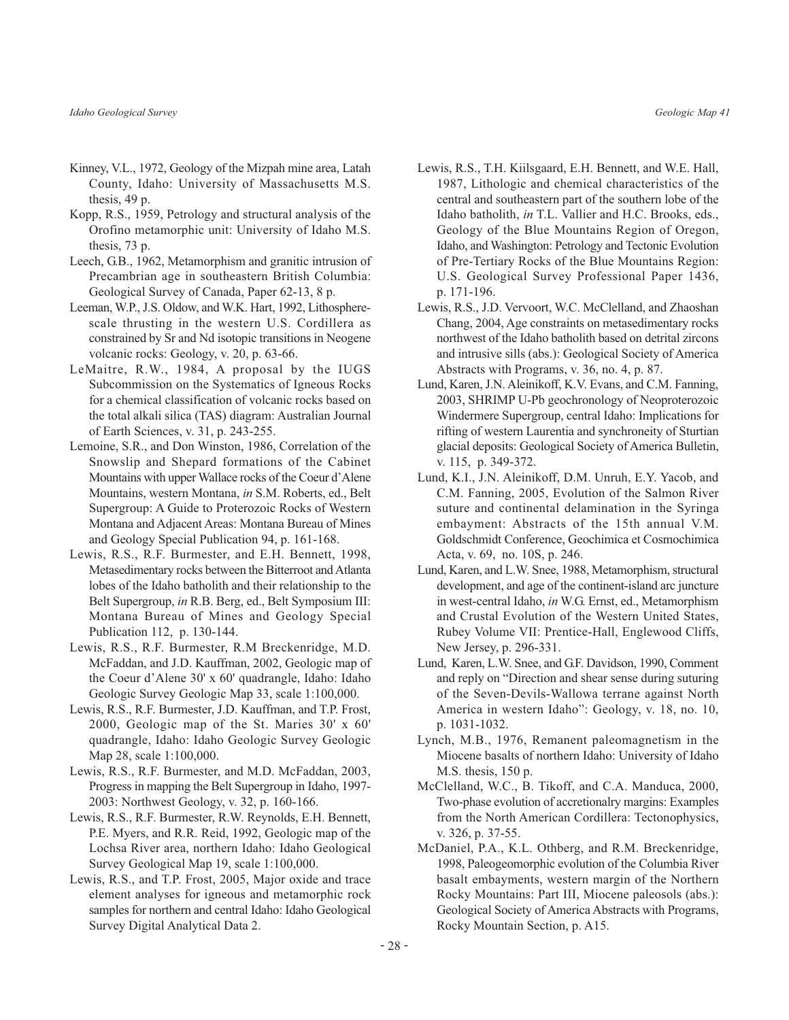- Kinney, V.L., 1972, Geology of the Mizpah mine area, Latah County, Idaho: University of Massachusetts M.S. thesis, 49 p.
- Kopp, R.S., 1959, Petrology and structural analysis of the Orofino metamorphic unit: University of Idaho M.S. thesis, 73 p.
- Leech, G.B., 1962, Metamorphism and granitic intrusion of Precambrian age in southeastern British Columbia: Geological Survey of Canada, Paper 62-13, 8 p.
- Leeman, W.P., J.S. Oldow, and W.K. Hart, 1992, Lithospherescale thrusting in the western U.S. Cordillera as constrained by Sr and Nd isotopic transitions in Neogene volcanic rocks: Geology, v. 20, p. 63-66.
- LeMaitre, R.W., 1984, A proposal by the IUGS Subcommission on the Systematics of Igneous Rocks for a chemical classification of volcanic rocks based on the total alkali silica (TAS) diagram: Australian Journal of Earth Sciences, v. 31, p. 243-255.
- Lemoine, S.R., and Don Winston, 1986, Correlation of the Snowslip and Shepard formations of the Cabinet Mountains with upper Wallace rocks of the Coeur d'Alene Mountains, western Montana, in S.M. Roberts, ed., Belt Supergroup: A Guide to Proterozoic Rocks of Western Montana and Adjacent Areas: Montana Bureau of Mines and Geology Special Publication 94, p. 161-168.
- Lewis, R.S., R.F. Burmester, and E.H. Bennett, 1998, Metasedimentary rocks between the Bitterroot and Atlanta lobes of the Idaho batholith and their relationship to the Belt Supergroup, in R.B. Berg, ed., Belt Symposium III: Montana Bureau of Mines and Geology Special Publication 112, p. 130-144.
- Lewis, R.S., R.F. Burmester, R.M Breckenridge, M.D. McFaddan, and J.D. Kauffman, 2002, Geologic map of the Coeur d'Alene 30' x 60' quadrangle, Idaho: Idaho Geologic Survey Geologic Map 33, scale 1:100,000.
- Lewis, R.S., R.F. Burmester, J.D. Kauffman, and T.P. Frost, 2000, Geologic map of the St. Maries 30' x 60' quadrangle, Idaho: Idaho Geologic Survey Geologic Map 28, scale 1:100,000.
- Lewis, R.S., R.F. Burmester, and M.D. McFaddan, 2003, Progress in mapping the Belt Supergroup in Idaho, 1997-2003: Northwest Geology, v. 32, p. 160-166.
- Lewis, R.S., R.F. Burmester, R.W. Reynolds, E.H. Bennett, P.E. Myers, and R.R. Reid, 1992, Geologic map of the Lochsa River area, northern Idaho: Idaho Geological Survey Geological Map 19, scale 1:100,000.
- Lewis, R.S., and T.P. Frost, 2005, Major oxide and trace element analyses for igneous and metamorphic rock samples for northern and central Idaho: Idaho Geological Survey Digital Analytical Data 2.
- Lewis, R.S., T.H. Kiilsgaard, E.H. Bennett, and W.E. Hall, 1987, Lithologic and chemical characteristics of the central and southeastern part of the southern lobe of the Idaho batholith, in T.L. Vallier and H.C. Brooks, eds., Geology of the Blue Mountains Region of Oregon, Idaho, and Washington: Petrology and Tectonic Evolution of Pre-Tertiary Rocks of the Blue Mountains Region: U.S. Geological Survey Professional Paper 1436, p.  $171-196$ .
- Lewis, R.S., J.D. Vervoort, W.C. McClelland, and Zhaoshan Chang, 2004, Age constraints on metasedimentary rocks northwest of the Idaho batholith based on detrital zircons and intrusive sills (abs.): Geological Society of America Abstracts with Programs, v. 36, no. 4, p. 87.
- Lund, Karen, J.N. Aleinikoff, K.V. Evans, and C.M. Fanning, 2003, SHRIMP U-Pb geochronology of Neoproterozoic Windermere Supergroup, central Idaho: Implications for rifting of western Laurentia and synchroneity of Sturtian glacial deposits: Geological Society of America Bulletin, v. 115, p. 349-372.
- Lund, K.I., J.N. Aleinikoff, D.M. Unruh, E.Y. Yacob, and C.M. Fanning, 2005, Evolution of the Salmon River suture and continental delamination in the Syringa embayment: Abstracts of the 15th annual V.M. Goldschmidt Conference, Geochimica et Cosmochimica Acta, v. 69, no. 10S, p. 246.
- Lund, Karen, and L.W. Snee, 1988, Metamorphism, structural development, and age of the continent-island arc juncture in west-central Idaho, in W.G. Ernst, ed., Metamorphism and Crustal Evolution of the Western United States, Rubey Volume VII: Prentice-Hall, Englewood Cliffs, New Jersey, p. 296-331.
- Lund, Karen, L.W. Snee, and G.F. Davidson, 1990, Comment and reply on "Direction and shear sense during suturing of the Seven-Devils-Wallowa terrane against North America in western Idaho": Geology, v. 18, no. 10, p. 1031-1032.
- Lynch, M.B., 1976, Remanent paleomagnetism in the Miocene basalts of northern Idaho: University of Idaho M.S. thesis, 150 p.
- McClelland, W.C., B. Tikoff, and C.A. Manduca, 2000, Two-phase evolution of accretionalry margins: Examples from the North American Cordillera: Tectonophysics, v. 326, p. 37-55.
- McDaniel, P.A., K.L. Othberg, and R.M. Breckenridge, 1998, Paleogeomorphic evolution of the Columbia River basalt embayments, western margin of the Northern Rocky Mountains: Part III, Miocene paleosols (abs.): Geological Society of America Abstracts with Programs, Rocky Mountain Section, p. A15.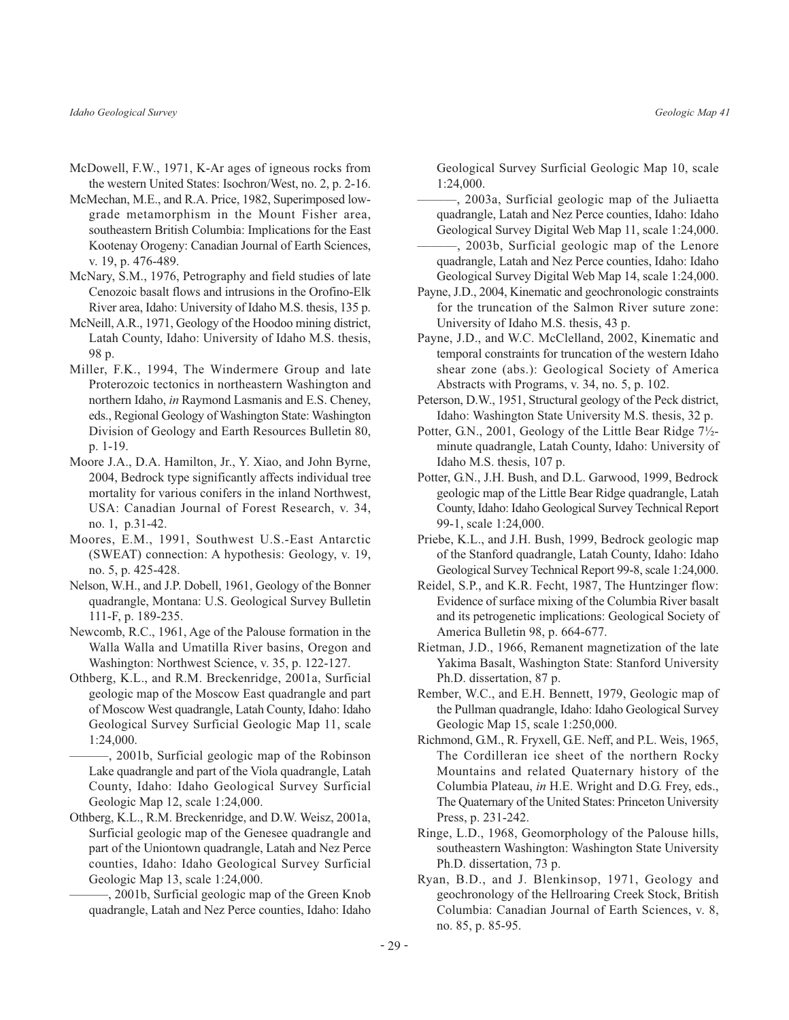- McDowell, F.W., 1971, K-Ar ages of igneous rocks from the western United States: Isochron/West, no. 2, p. 2-16.
- McMechan, M.E., and R.A. Price, 1982, Superimposed lowgrade metamorphism in the Mount Fisher area, southeastern British Columbia: Implications for the East Kootenay Orogeny: Canadian Journal of Earth Sciences, v. 19, p. 476-489.
- McNary, S.M., 1976, Petrography and field studies of late Cenozoic basalt flows and intrusions in the Orofino-Elk River area, Idaho: University of Idaho M.S. thesis, 135 p.
- McNeill, A.R., 1971, Geology of the Hoodoo mining district, Latah County, Idaho: University of Idaho M.S. thesis, 98 p.
- Miller, F.K., 1994, The Windermere Group and late Proterozoic tectonics in northeastern Washington and northern Idaho, *in* Raymond Lasmanis and E.S. Cheney, eds., Regional Geology of Washington State: Washington Division of Geology and Earth Resources Bulletin 80, p. 1-19.
- Moore J.A., D.A. Hamilton, Jr., Y. Xiao, and John Byrne, 2004, Bedrock type significantly affects individual tree mortality for various conifers in the inland Northwest, USA: Canadian Journal of Forest Research, v. 34, no. 1, p.31-42.
- Moores, E.M., 1991, Southwest U.S.-East Antarctic (SWEAT) connection: A hypothesis: Geology, v. 19, no. 5, p. 425-428.
- Nelson, W.H., and J.P. Dobell, 1961, Geology of the Bonner quadrangle, Montana: U.S. Geological Survey Bulletin 111-F, p. 189-235.
- Newcomb, R.C., 1961, Age of the Palouse formation in the Walla Walla and Umatilla River basins, Oregon and Washington: Northwest Science, v. 35, p. 122-127.
- Othberg, K.L., and R.M. Breckenridge, 2001a, Surficial geologic map of the Moscow East quadrangle and part of Moscow West quadrangle, Latah County, Idaho: Idaho Geological Survey Surficial Geologic Map 11, scale  $1:24,000.$

-, 2001b, Surficial geologic map of the Robinson Lake quadrangle and part of the Viola quadrangle, Latah County, Idaho: Idaho Geological Survey Surficial Geologic Map 12, scale 1:24,000.

- Othberg, K.L., R.M. Breckenridge, and D.W. Weisz, 2001a, Surficial geologic map of the Genesee quadrangle and part of the Uniontown quadrangle, Latah and Nez Perce counties, Idaho: Idaho Geological Survey Surficial Geologic Map 13, scale 1:24,000.
	- , 2001b, Surficial geologic map of the Green Knob quadrangle, Latah and Nez Perce counties, Idaho: Idaho

Geological Survey Surficial Geologic Map 10, scale 1:24,000.

- -, 2003a, Surficial geologic map of the Juliaetta quadrangle, Latah and Nez Perce counties, Idaho: Idaho Geological Survey Digital Web Map 11, scale 1:24,000.
- -, 2003b, Surficial geologic map of the Lenore quadrangle, Latah and Nez Perce counties, Idaho: Idaho Geological Survey Digital Web Map 14, scale 1:24,000.
- Payne, J.D., 2004, Kinematic and geochronologic constraints for the truncation of the Salmon River suture zone: University of Idaho M.S. thesis, 43 p.
- Payne, J.D., and W.C. McClelland, 2002, Kinematic and temporal constraints for truncation of the western Idaho shear zone (abs.): Geological Society of America Abstracts with Programs, v. 34, no. 5, p. 102.
- Peterson, D.W., 1951, Structural geology of the Peck district, Idaho: Washington State University M.S. thesis, 32 p.
- Potter, G.N., 2001, Geology of the Little Bear Ridge 7½minute quadrangle, Latah County, Idaho: University of Idaho M.S. thesis, 107 p.
- Potter, G.N., J.H. Bush, and D.L. Garwood, 1999, Bedrock geologic map of the Little Bear Ridge quadrangle, Latah County, Idaho: Idaho Geological Survey Technical Report 99-1, scale 1:24,000.
- Priebe, K.L., and J.H. Bush, 1999, Bedrock geologic map of the Stanford quadrangle, Latah County, Idaho: Idaho Geological Survey Technical Report 99-8, scale 1:24,000.
- Reidel, S.P., and K.R. Fecht, 1987, The Huntzinger flow: Evidence of surface mixing of the Columbia River basalt and its petrogenetic implications: Geological Society of America Bulletin 98, p. 664-677.
- Rietman, J.D., 1966, Remanent magnetization of the late Yakima Basalt, Washington State: Stanford University Ph.D. dissertation, 87 p.
- Rember, W.C., and E.H. Bennett, 1979, Geologic map of the Pullman quadrangle, Idaho: Idaho Geological Survey Geologic Map 15, scale 1:250,000.
- Richmond, G.M., R. Fryxell, G.E. Neff, and P.L. Weis, 1965, The Cordilleran ice sheet of the northern Rocky Mountains and related Quaternary history of the Columbia Plateau, in H.E. Wright and D.G. Frey, eds., The Quaternary of the United States: Princeton University Press, p. 231-242.
- Ringe, L.D., 1968, Geomorphology of the Palouse hills, southeastern Washington: Washington State University Ph.D. dissertation, 73 p.
- Ryan, B.D., and J. Blenkinsop, 1971, Geology and geochronology of the Hellroaring Creek Stock, British Columbia: Canadian Journal of Earth Sciences, v. 8, no. 85, p. 85-95.